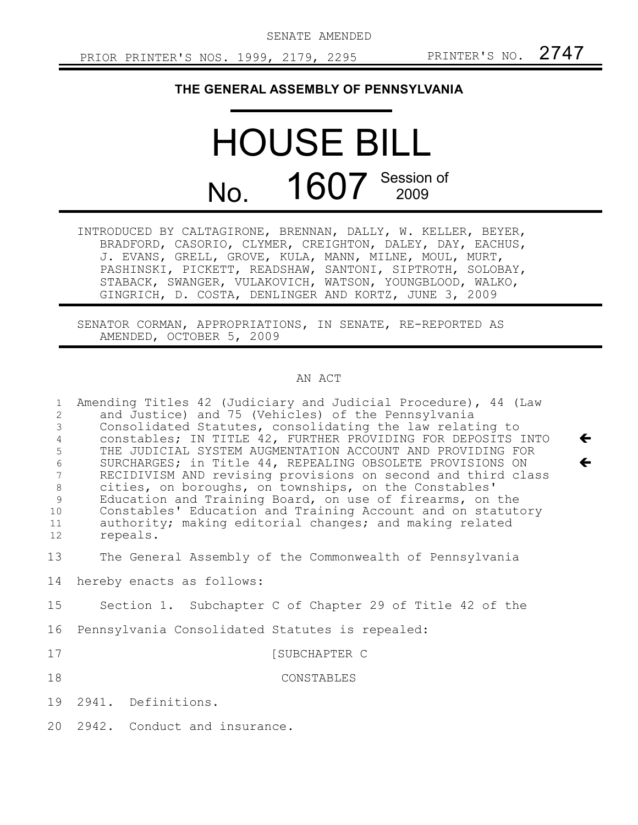SENATE AMENDED

 $\leftarrow$ 

 $\leftarrow$ 

## **THE GENERAL ASSEMBLY OF PENNSYLVANIA**

## HOUSE BILL No. 1607 Session of

INTRODUCED BY CALTAGIRONE, BRENNAN, DALLY, W. KELLER, BEYER, BRADFORD, CASORIO, CLYMER, CREIGHTON, DALEY, DAY, EACHUS, J. EVANS, GRELL, GROVE, KULA, MANN, MILNE, MOUL, MURT, PASHINSKI, PICKETT, READSHAW, SANTONI, SIPTROTH, SOLOBAY, STABACK, SWANGER, VULAKOVICH, WATSON, YOUNGBLOOD, WALKO, GINGRICH, D. COSTA, DENLINGER AND KORTZ, JUNE 3, 2009

SENATOR CORMAN, APPROPRIATIONS, IN SENATE, RE-REPORTED AS AMENDED, OCTOBER 5, 2009

## AN ACT

Amending Titles 42 (Judiciary and Judicial Procedure), 44 (Law and Justice) and 75 (Vehicles) of the Pennsylvania Consolidated Statutes, consolidating the law relating to constables; IN TITLE 42, FURTHER PROVIDING FOR DEPOSITS INTO THE JUDICIAL SYSTEM AUGMENTATION ACCOUNT AND PROVIDING FOR SURCHARGES; in Title 44, REPEALING OBSOLETE PROVISIONS ON RECIDIVISM AND revising provisions on second and third class cities, on boroughs, on townships, on the Constables' Education and Training Board, on use of firearms, on the Constables' Education and Training Account and on statutory authority; making editorial changes; and making related repeals. 1 2 3 4 5 6 7 8 9 10 11 12

The General Assembly of the Commonwealth of Pennsylvania 13

hereby enacts as follows: 14

Section 1. Subchapter C of Chapter 29 of Title 42 of the 15

Pennsylvania Consolidated Statutes is repealed: 16

[SUBCHAPTER C

CONSTABLES 18

2941. Definitions. 19

17

2942. Conduct and insurance.  $20$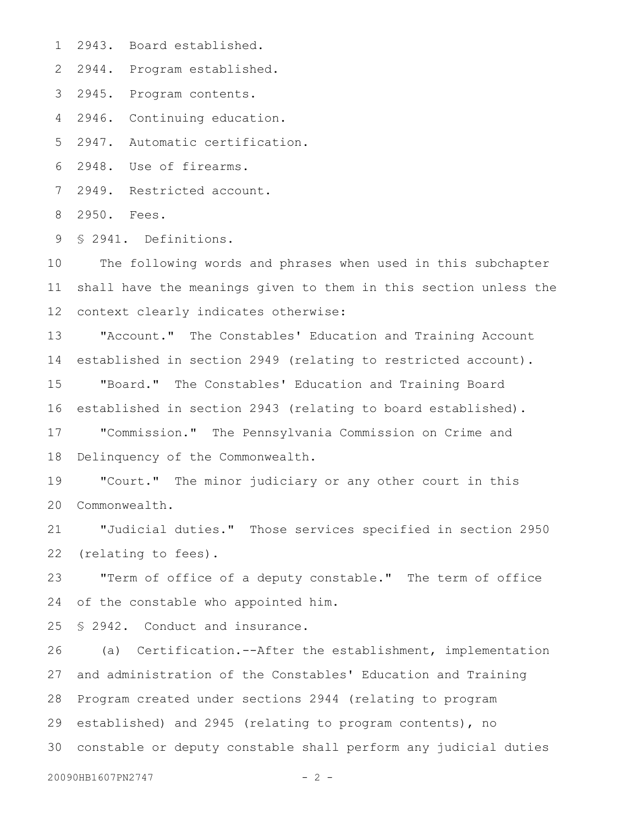2943. Board established. 1

2944. Program established. 2

2945. Program contents. 3

2946. Continuing education. 4

2947. Automatic certification. 5

2948. Use of firearms. 6

2949. Restricted account. 7

2950. Fees. 8

§ 2941. Definitions. 9

The following words and phrases when used in this subchapter shall have the meanings given to them in this section unless the context clearly indicates otherwise: 10 11 12

"Account." The Constables' Education and Training Account established in section 2949 (relating to restricted account). 13 14

"Board." The Constables' Education and Training Board established in section 2943 (relating to board established). 15 16

"Commission." The Pennsylvania Commission on Crime and Delinquency of the Commonwealth. 17 18

"Court." The minor judiciary or any other court in this Commonwealth. 19 20

"Judicial duties." Those services specified in section 2950 (relating to fees). 21 22

"Term of office of a deputy constable." The term of office of the constable who appointed him. 23 24

§ 2942. Conduct and insurance. 25

(a) Certification.--After the establishment, implementation and administration of the Constables' Education and Training Program created under sections 2944 (relating to program established) and 2945 (relating to program contents), no constable or deputy constable shall perform any judicial duties 3026 27 28 29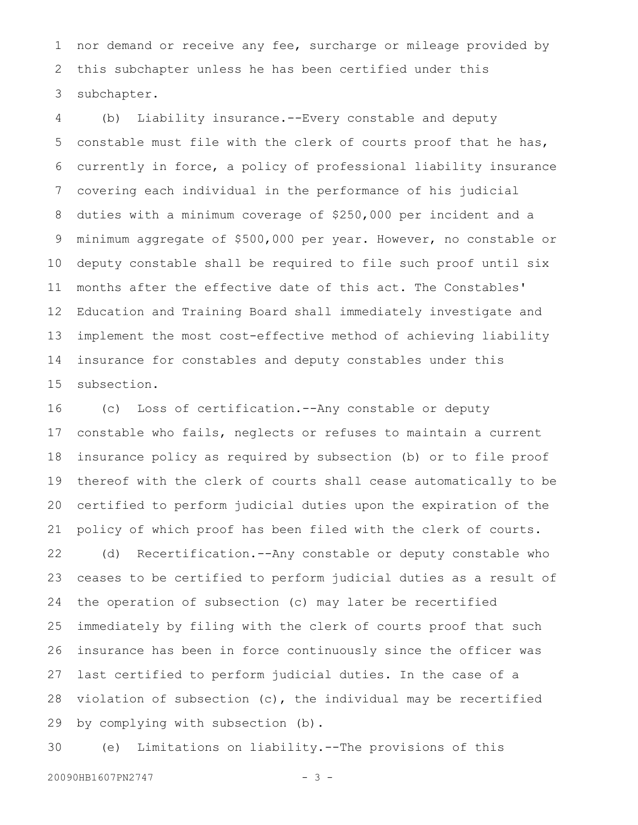nor demand or receive any fee, surcharge or mileage provided by this subchapter unless he has been certified under this subchapter. 1 2 3

(b) Liability insurance.--Every constable and deputy constable must file with the clerk of courts proof that he has, currently in force, a policy of professional liability insurance covering each individual in the performance of his judicial duties with a minimum coverage of \$250,000 per incident and a minimum aggregate of \$500,000 per year. However, no constable or deputy constable shall be required to file such proof until six months after the effective date of this act. The Constables' Education and Training Board shall immediately investigate and implement the most cost-effective method of achieving liability insurance for constables and deputy constables under this subsection. 4 5 6 7 8 9 10 11 12 13 14 15

(c) Loss of certification.--Any constable or deputy constable who fails, neglects or refuses to maintain a current insurance policy as required by subsection (b) or to file proof thereof with the clerk of courts shall cease automatically to be certified to perform judicial duties upon the expiration of the policy of which proof has been filed with the clerk of courts. 16 17 18 19 20 21

(d) Recertification.--Any constable or deputy constable who ceases to be certified to perform judicial duties as a result of the operation of subsection (c) may later be recertified immediately by filing with the clerk of courts proof that such insurance has been in force continuously since the officer was last certified to perform judicial duties. In the case of a violation of subsection (c), the individual may be recertified by complying with subsection (b). 22 23 24 25 26 27 28 29

(e) Limitations on liability.--The provisions of this 30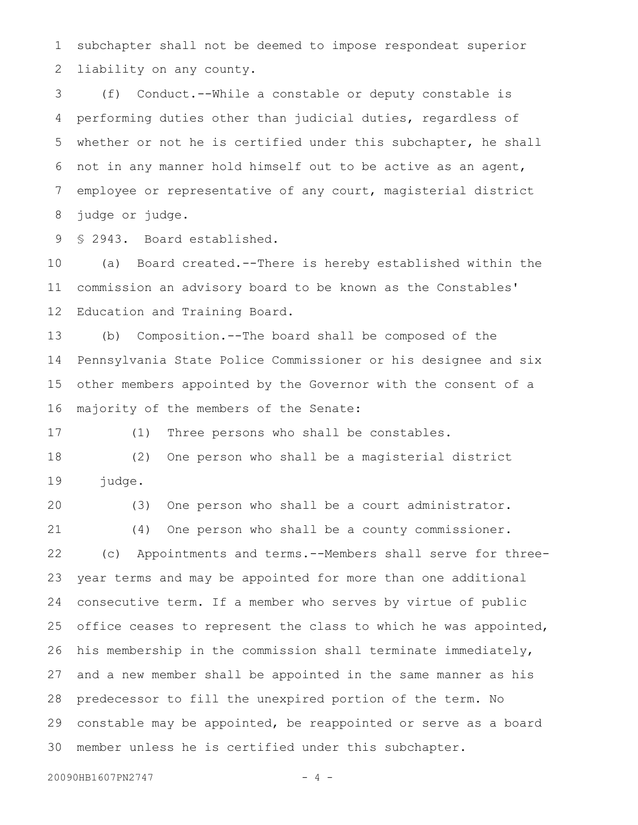subchapter shall not be deemed to impose respondeat superior liability on any county. 1 2

(f) Conduct.--While a constable or deputy constable is performing duties other than judicial duties, regardless of whether or not he is certified under this subchapter, he shall not in any manner hold himself out to be active as an agent, employee or representative of any court, magisterial district judge or judge. 3 4 5 6 7 8

§ 2943. Board established. 9

(a) Board created.--There is hereby established within the commission an advisory board to be known as the Constables' Education and Training Board. 10 11 12

(b) Composition.--The board shall be composed of the Pennsylvania State Police Commissioner or his designee and six other members appointed by the Governor with the consent of a majority of the members of the Senate: 13 14 15 16

17

(1) Three persons who shall be constables.

(2) One person who shall be a magisterial district judge. 18 19

(3) One person who shall be a court administrator. 20

(4) One person who shall be a county commissioner. 21

(c) Appointments and terms.--Members shall serve for threeyear terms and may be appointed for more than one additional consecutive term. If a member who serves by virtue of public office ceases to represent the class to which he was appointed, his membership in the commission shall terminate immediately, and a new member shall be appointed in the same manner as his predecessor to fill the unexpired portion of the term. No constable may be appointed, be reappointed or serve as a board member unless he is certified under this subchapter. 22 23 24 25 26 27 28 29 30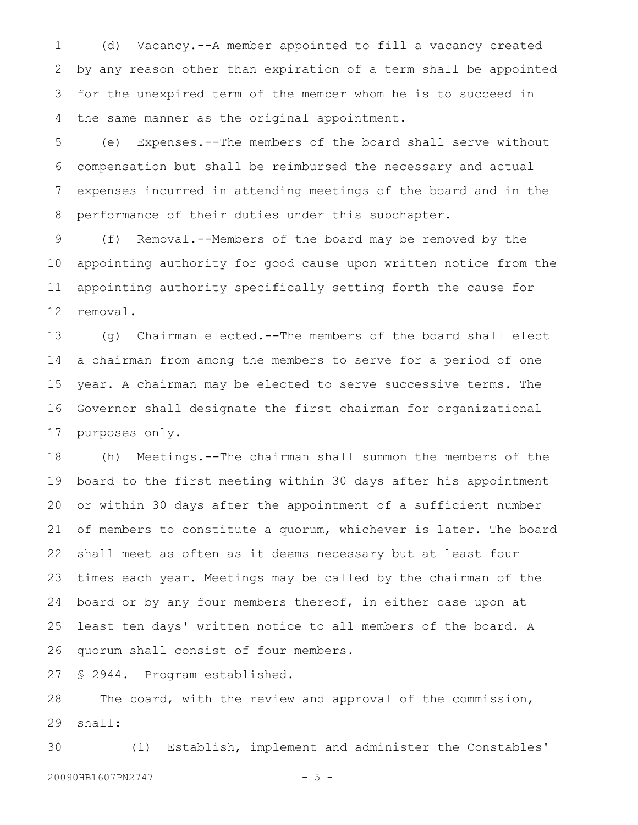(d) Vacancy.--A member appointed to fill a vacancy created by any reason other than expiration of a term shall be appointed for the unexpired term of the member whom he is to succeed in the same manner as the original appointment. 1 2 3 4

(e) Expenses.--The members of the board shall serve without compensation but shall be reimbursed the necessary and actual expenses incurred in attending meetings of the board and in the performance of their duties under this subchapter. 5 6 7 8

(f) Removal.--Members of the board may be removed by the appointing authority for good cause upon written notice from the appointing authority specifically setting forth the cause for removal. 9 10 11 12

(g) Chairman elected.--The members of the board shall elect a chairman from among the members to serve for a period of one year. A chairman may be elected to serve successive terms. The Governor shall designate the first chairman for organizational purposes only. 13 14 15 16 17

(h) Meetings.--The chairman shall summon the members of the board to the first meeting within 30 days after his appointment or within 30 days after the appointment of a sufficient number of members to constitute a quorum, whichever is later. The board shall meet as often as it deems necessary but at least four times each year. Meetings may be called by the chairman of the board or by any four members thereof, in either case upon at least ten days' written notice to all members of the board. A quorum shall consist of four members. 18 19 20 21 22 23 24 25 26

§ 2944. Program established. 27

The board, with the review and approval of the commission, shall: 28 29

(1) Establish, implement and administer the Constables' 20090HB1607PN2747 - 5 -30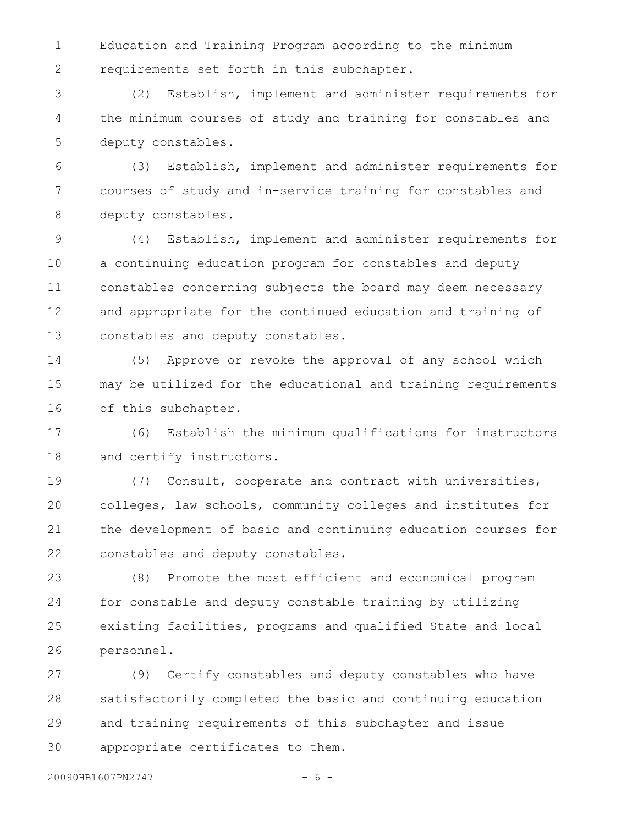Education and Training Program according to the minimum requirements set forth in this subchapter. 1 2

(2) Establish, implement and administer requirements for the minimum courses of study and training for constables and deputy constables. 3 4 5

(3) Establish, implement and administer requirements for courses of study and in-service training for constables and deputy constables. 6 7 8

(4) Establish, implement and administer requirements for a continuing education program for constables and deputy constables concerning subjects the board may deem necessary and appropriate for the continued education and training of constables and deputy constables. 9 10 11 12 13

(5) Approve or revoke the approval of any school which may be utilized for the educational and training requirements of this subchapter. 14 15 16

(6) Establish the minimum qualifications for instructors and certify instructors. 17 18

(7) Consult, cooperate and contract with universities, colleges, law schools, community colleges and institutes for the development of basic and continuing education courses for constables and deputy constables. 19 20 21 22

(8) Promote the most efficient and economical program for constable and deputy constable training by utilizing existing facilities, programs and qualified State and local personnel. 23 24 25 26

(9) Certify constables and deputy constables who have satisfactorily completed the basic and continuing education and training requirements of this subchapter and issue appropriate certificates to them. 27 28 29 30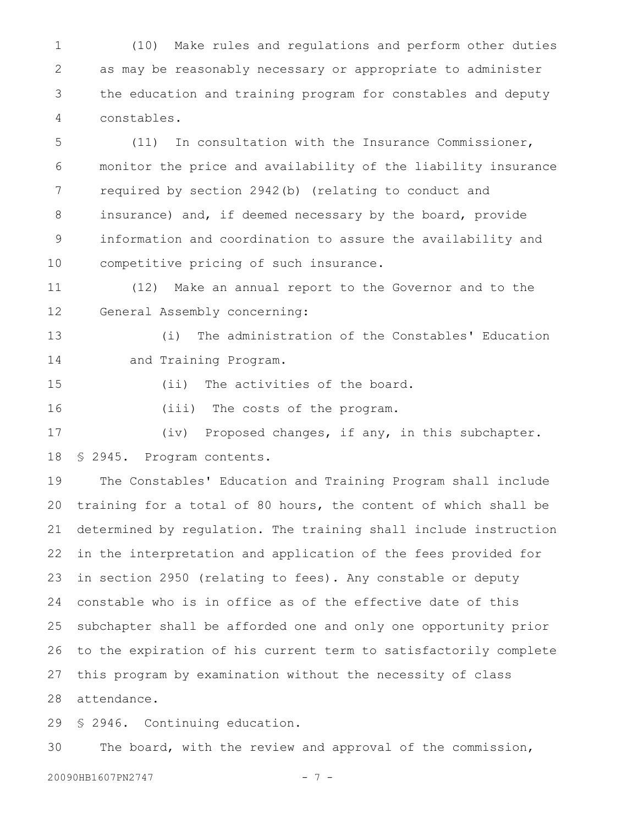(10) Make rules and regulations and perform other duties as may be reasonably necessary or appropriate to administer the education and training program for constables and deputy constables. 1 2 3 4

(11) In consultation with the Insurance Commissioner, monitor the price and availability of the liability insurance required by section 2942(b) (relating to conduct and insurance) and, if deemed necessary by the board, provide information and coordination to assure the availability and competitive pricing of such insurance. 5 6 7 8 9 10

(12) Make an annual report to the Governor and to the General Assembly concerning: 11 12

(i) The administration of the Constables' Education and Training Program. 13 14

15

(ii) The activities of the board.

(iii) The costs of the program. 16

(iv) Proposed changes, if any, in this subchapter. § 2945. Program contents. 17 18

The Constables' Education and Training Program shall include training for a total of 80 hours, the content of which shall be determined by regulation. The training shall include instruction in the interpretation and application of the fees provided for in section 2950 (relating to fees). Any constable or deputy constable who is in office as of the effective date of this subchapter shall be afforded one and only one opportunity prior to the expiration of his current term to satisfactorily complete this program by examination without the necessity of class attendance. 19 20 21 22 23 24 25 26 27 28

§ 2946. Continuing education. 29

The board, with the review and approval of the commission, 30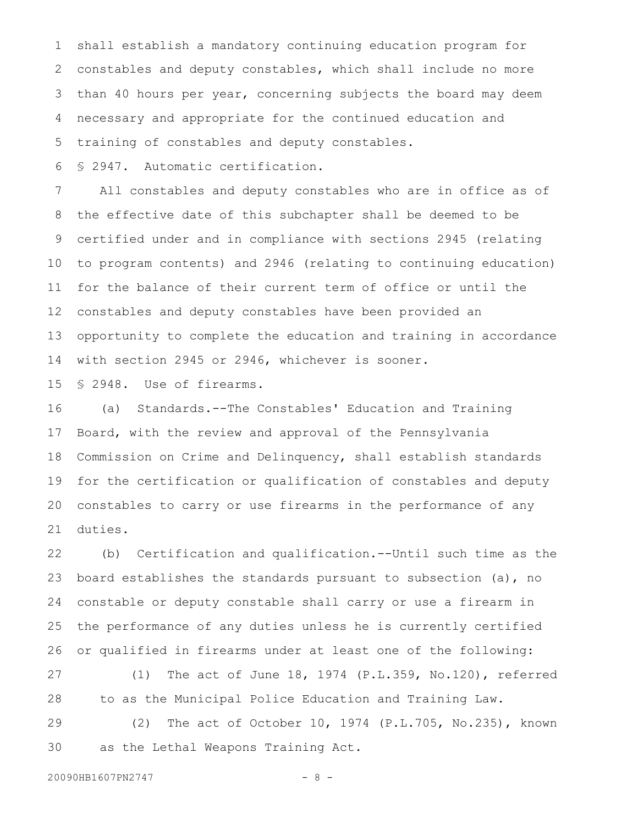shall establish a mandatory continuing education program for constables and deputy constables, which shall include no more than 40 hours per year, concerning subjects the board may deem necessary and appropriate for the continued education and training of constables and deputy constables. 1 2 3 4 5

§ 2947. Automatic certification. 6

All constables and deputy constables who are in office as of the effective date of this subchapter shall be deemed to be certified under and in compliance with sections 2945 (relating to program contents) and 2946 (relating to continuing education) for the balance of their current term of office or until the constables and deputy constables have been provided an opportunity to complete the education and training in accordance with section 2945 or 2946, whichever is sooner. 7 8 9 10 11 12 13 14

§ 2948. Use of firearms. 15

(a) Standards.--The Constables' Education and Training Board, with the review and approval of the Pennsylvania Commission on Crime and Delinquency, shall establish standards for the certification or qualification of constables and deputy constables to carry or use firearms in the performance of any duties. 16 17 18 19 20 21

(b) Certification and qualification.--Until such time as the board establishes the standards pursuant to subsection (a), no constable or deputy constable shall carry or use a firearm in the performance of any duties unless he is currently certified or qualified in firearms under at least one of the following: 22 23 24 25 26

(1) The act of June 18, 1974 (P.L.359, No.120), referred to as the Municipal Police Education and Training Law. 27 28

(2) The act of October 10, 1974 (P.L.705, No.235), known as the Lethal Weapons Training Act. 29 30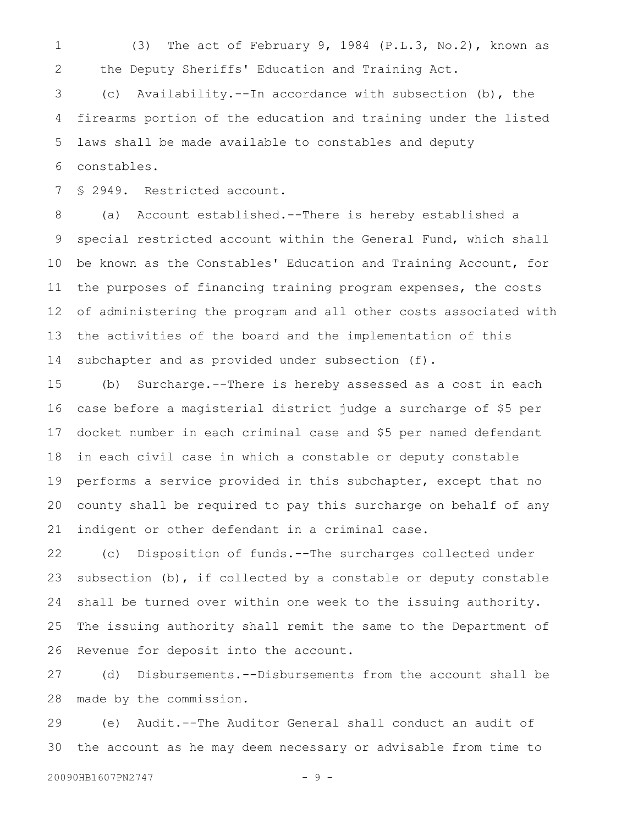(3) The act of February 9, 1984 (P.L.3, No.2), known as the Deputy Sheriffs' Education and Training Act. 1 2

(c) Availability.--In accordance with subsection (b), the firearms portion of the education and training under the listed laws shall be made available to constables and deputy constables. 3 4 5 6

§ 2949. Restricted account. 7

(a) Account established.--There is hereby established a special restricted account within the General Fund, which shall be known as the Constables' Education and Training Account, for the purposes of financing training program expenses, the costs of administering the program and all other costs associated with the activities of the board and the implementation of this subchapter and as provided under subsection (f). 8 9 10 11 12 13 14

(b) Surcharge.--There is hereby assessed as a cost in each case before a magisterial district judge a surcharge of \$5 per docket number in each criminal case and \$5 per named defendant in each civil case in which a constable or deputy constable performs a service provided in this subchapter, except that no county shall be required to pay this surcharge on behalf of any indigent or other defendant in a criminal case. 15 16 17 18 19 20 21

(c) Disposition of funds.--The surcharges collected under subsection (b), if collected by a constable or deputy constable shall be turned over within one week to the issuing authority. The issuing authority shall remit the same to the Department of Revenue for deposit into the account. 22 23 24 25 26

(d) Disbursements.--Disbursements from the account shall be made by the commission. 27 28

(e) Audit.--The Auditor General shall conduct an audit of the account as he may deem necessary or advisable from time to 29 30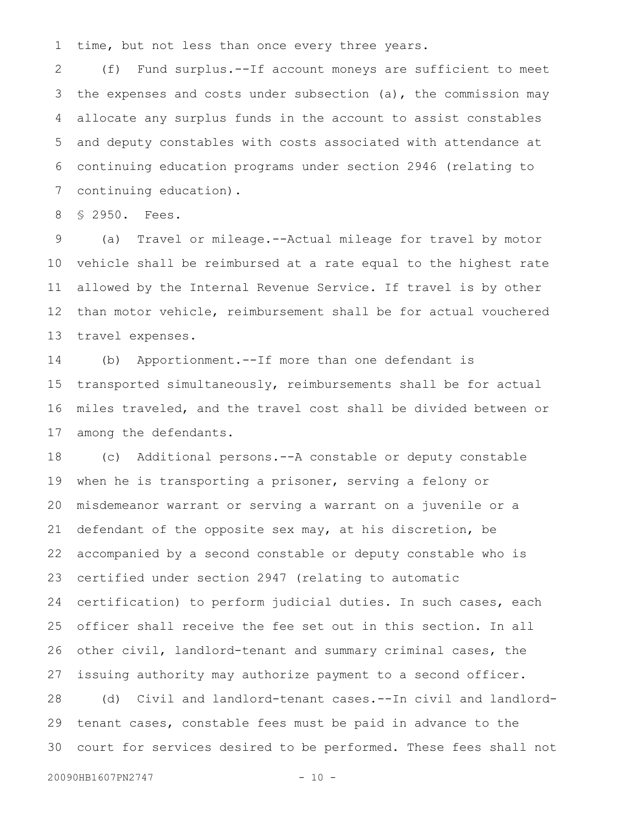time, but not less than once every three years. 1

(f) Fund surplus.--If account moneys are sufficient to meet the expenses and costs under subsection (a), the commission may allocate any surplus funds in the account to assist constables and deputy constables with costs associated with attendance at continuing education programs under section 2946 (relating to continuing education). 2 3 4 5 6 7

§ 2950. Fees. 8

(a) Travel or mileage.--Actual mileage for travel by motor vehicle shall be reimbursed at a rate equal to the highest rate allowed by the Internal Revenue Service. If travel is by other than motor vehicle, reimbursement shall be for actual vouchered travel expenses. 9 10 11 12 13

(b) Apportionment.--If more than one defendant is transported simultaneously, reimbursements shall be for actual miles traveled, and the travel cost shall be divided between or among the defendants. 14 15 16 17

(c) Additional persons.--A constable or deputy constable when he is transporting a prisoner, serving a felony or misdemeanor warrant or serving a warrant on a juvenile or a defendant of the opposite sex may, at his discretion, be accompanied by a second constable or deputy constable who is certified under section 2947 (relating to automatic certification) to perform judicial duties. In such cases, each officer shall receive the fee set out in this section. In all other civil, landlord-tenant and summary criminal cases, the issuing authority may authorize payment to a second officer. (d) Civil and landlord-tenant cases.--In civil and landlord-18 19 20 21 22 23 24 25 26 27 28

tenant cases, constable fees must be paid in advance to the court for services desired to be performed. These fees shall not 29 30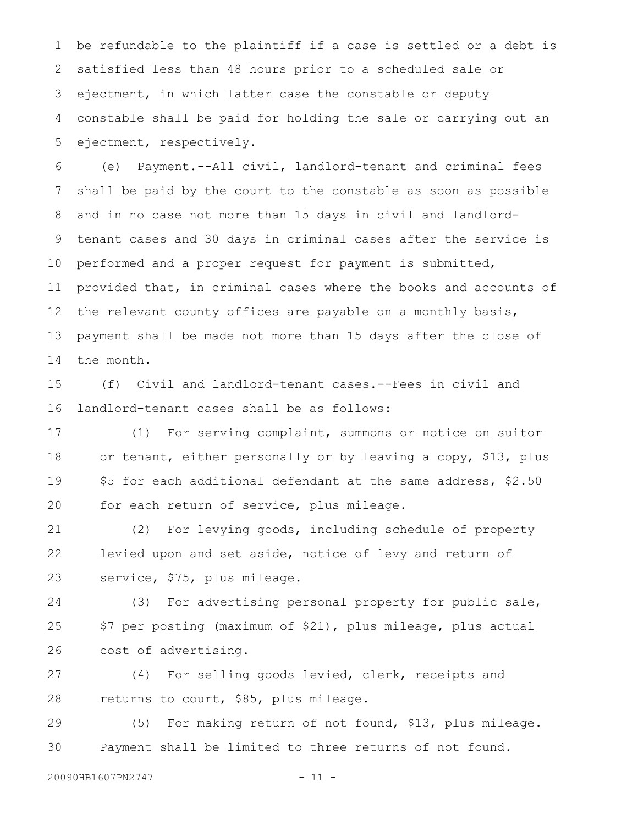be refundable to the plaintiff if a case is settled or a debt is satisfied less than 48 hours prior to a scheduled sale or ejectment, in which latter case the constable or deputy constable shall be paid for holding the sale or carrying out an ejectment, respectively. 1 2 3 4 5

(e) Payment.--All civil, landlord-tenant and criminal fees shall be paid by the court to the constable as soon as possible and in no case not more than 15 days in civil and landlordtenant cases and 30 days in criminal cases after the service is performed and a proper request for payment is submitted, provided that, in criminal cases where the books and accounts of the relevant county offices are payable on a monthly basis, payment shall be made not more than 15 days after the close of the month. 6 7 8 9 10 11 12 13 14

(f) Civil and landlord-tenant cases.--Fees in civil and landlord-tenant cases shall be as follows: 15 16

(1) For serving complaint, summons or notice on suitor or tenant, either personally or by leaving a copy, \$13, plus \$5 for each additional defendant at the same address, \$2.50 for each return of service, plus mileage. 17 18 19 20

(2) For levying goods, including schedule of property levied upon and set aside, notice of levy and return of service, \$75, plus mileage. 21 22 23

(3) For advertising personal property for public sale, \$7 per posting (maximum of \$21), plus mileage, plus actual cost of advertising. 24 25 26

(4) For selling goods levied, clerk, receipts and returns to court, \$85, plus mileage. 27 28

(5) For making return of not found, \$13, plus mileage. Payment shall be limited to three returns of not found. 29 30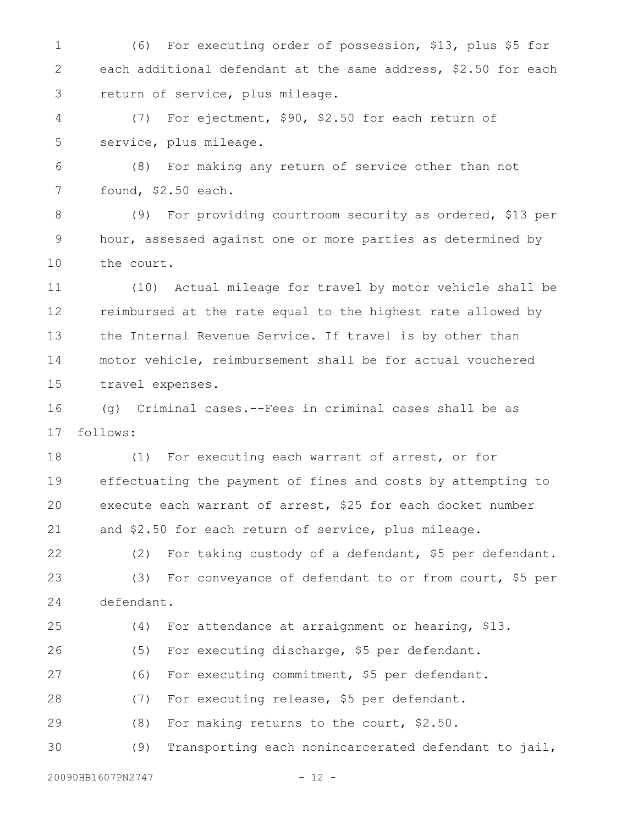(6) For executing order of possession, \$13, plus \$5 for each additional defendant at the same address, \$2.50 for each return of service, plus mileage. 1 2 3

(7) For ejectment, \$90, \$2.50 for each return of service, plus mileage. 4 5

(8) For making any return of service other than not found, \$2.50 each. 6 7

(9) For providing courtroom security as ordered, \$13 per hour, assessed against one or more parties as determined by the court. 8 9 10

(10) Actual mileage for travel by motor vehicle shall be reimbursed at the rate equal to the highest rate allowed by the Internal Revenue Service. If travel is by other than motor vehicle, reimbursement shall be for actual vouchered travel expenses. 11 12 13 14 15

(g) Criminal cases.--Fees in criminal cases shall be as follows: 16 17

(1) For executing each warrant of arrest, or for effectuating the payment of fines and costs by attempting to execute each warrant of arrest, \$25 for each docket number and \$2.50 for each return of service, plus mileage. 18 19 20 21

(2) For taking custody of a defendant, \$5 per defendant. (3) For conveyance of defendant to or from court, \$5 per defendant. 22 23 24

(4) For attendance at arraignment or hearing, \$13. (5) For executing discharge, \$5 per defendant. (6) For executing commitment, \$5 per defendant. (7) For executing release, \$5 per defendant. (8) For making returns to the court, \$2.50. (9) Transporting each nonincarcerated defendant to jail, 25 26 27 28 29 30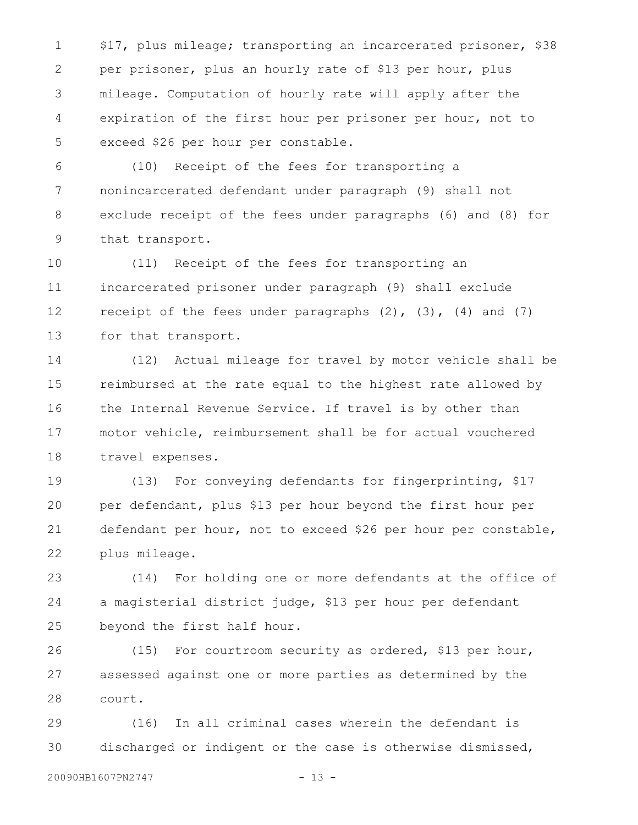\$17, plus mileage; transporting an incarcerated prisoner, \$38 per prisoner, plus an hourly rate of \$13 per hour, plus mileage. Computation of hourly rate will apply after the expiration of the first hour per prisoner per hour, not to exceed \$26 per hour per constable. 1 2 3 4 5

(10) Receipt of the fees for transporting a nonincarcerated defendant under paragraph (9) shall not exclude receipt of the fees under paragraphs (6) and (8) for that transport. 6 7 8 9

(11) Receipt of the fees for transporting an incarcerated prisoner under paragraph (9) shall exclude receipt of the fees under paragraphs  $(2)$ ,  $(3)$ ,  $(4)$  and  $(7)$ for that transport. 10 11 12 13

(12) Actual mileage for travel by motor vehicle shall be reimbursed at the rate equal to the highest rate allowed by the Internal Revenue Service. If travel is by other than motor vehicle, reimbursement shall be for actual vouchered travel expenses. 14 15 16 17 18

(13) For conveying defendants for fingerprinting, \$17 per defendant, plus \$13 per hour beyond the first hour per defendant per hour, not to exceed \$26 per hour per constable, plus mileage. 19 20 21 22

(14) For holding one or more defendants at the office of a magisterial district judge, \$13 per hour per defendant beyond the first half hour. 23 24 25

(15) For courtroom security as ordered, \$13 per hour, assessed against one or more parties as determined by the court. 26 27 28

(16) In all criminal cases wherein the defendant is discharged or indigent or the case is otherwise dismissed, 29 30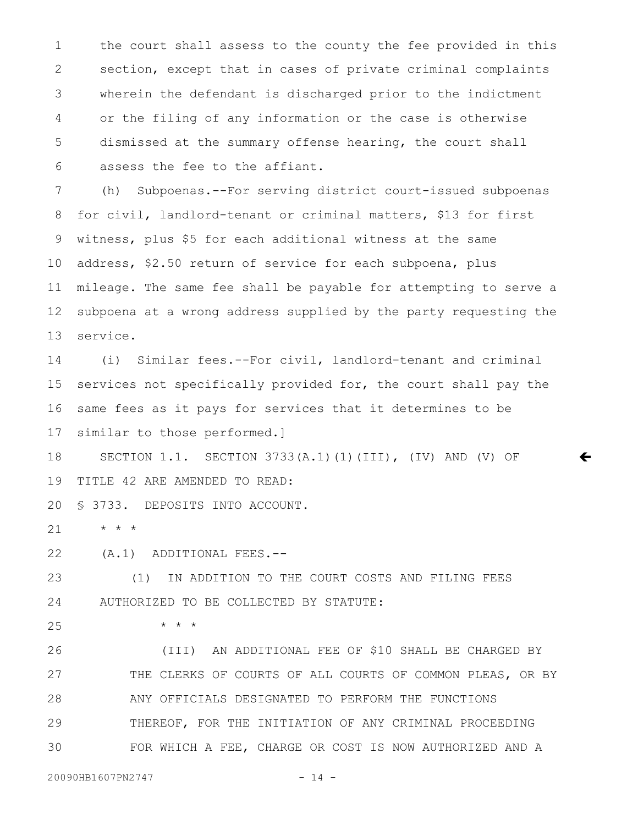the court shall assess to the county the fee provided in this section, except that in cases of private criminal complaints wherein the defendant is discharged prior to the indictment or the filing of any information or the case is otherwise dismissed at the summary offense hearing, the court shall assess the fee to the affiant. 1 2 3 4 5 6

(h) Subpoenas.--For serving district court-issued subpoenas for civil, landlord-tenant or criminal matters, \$13 for first witness, plus \$5 for each additional witness at the same address, \$2.50 return of service for each subpoena, plus mileage. The same fee shall be payable for attempting to serve a subpoena at a wrong address supplied by the party requesting the service. 7 8 9 10 11 12 13

(i) Similar fees.--For civil, landlord-tenant and criminal services not specifically provided for, the court shall pay the same fees as it pays for services that it determines to be similar to those performed.] 14 15 16 17

 $\leftarrow$ 

SECTION 1.1. SECTION 3733(A.1)(1)(III), (IV) AND (V) OF TITLE 42 ARE AMENDED TO READ: 18 19

§ 3733. DEPOSITS INTO ACCOUNT. 20

\* \* \* 21

(A.1) ADDITIONAL FEES.-- 22

(1) IN ADDITION TO THE COURT COSTS AND FILING FEES AUTHORIZED TO BE COLLECTED BY STATUTE: 23 24

\* \* \* 25

(III) AN ADDITIONAL FEE OF \$10 SHALL BE CHARGED BY THE CLERKS OF COURTS OF ALL COURTS OF COMMON PLEAS, OR BY ANY OFFICIALS DESIGNATED TO PERFORM THE FUNCTIONS THEREOF, FOR THE INITIATION OF ANY CRIMINAL PROCEEDING FOR WHICH A FEE, CHARGE OR COST IS NOW AUTHORIZED AND A 26 27 28 29 30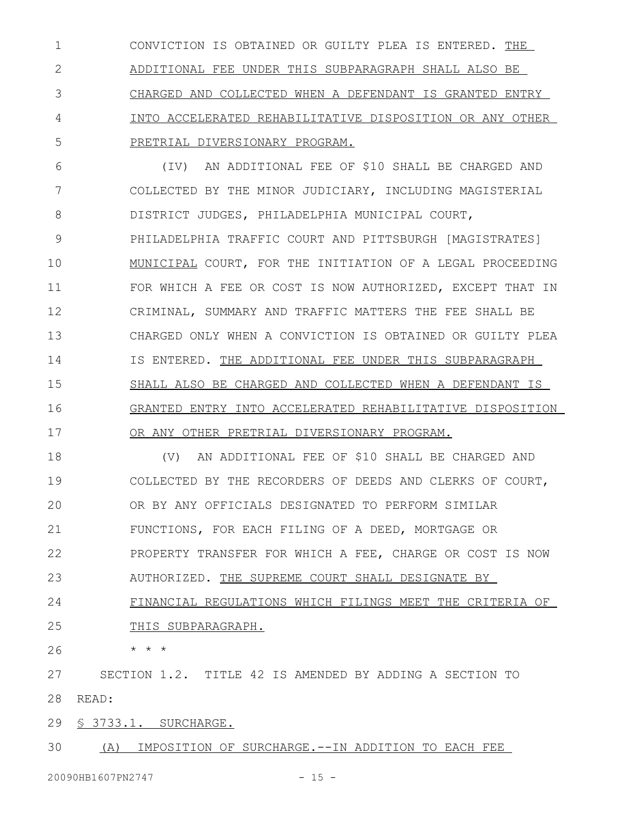CONVICTION IS OBTAINED OR GUILTY PLEA IS ENTERED. THE ADDITIONAL FEE UNDER THIS SUBPARAGRAPH SHALL ALSO BE CHARGED AND COLLECTED WHEN A DEFENDANT IS GRANTED ENTRY INTO ACCELERATED REHABILITATIVE DISPOSITION OR ANY OTHER PRETRIAL DIVERSIONARY PROGRAM. 1 2 3 4 5

(IV) AN ADDITIONAL FEE OF \$10 SHALL BE CHARGED AND COLLECTED BY THE MINOR JUDICIARY, INCLUDING MAGISTERIAL DISTRICT JUDGES, PHILADELPHIA MUNICIPAL COURT, PHILADELPHIA TRAFFIC COURT AND PITTSBURGH [MAGISTRATES] MUNICIPAL COURT, FOR THE INITIATION OF A LEGAL PROCEEDING FOR WHICH A FEE OR COST IS NOW AUTHORIZED, EXCEPT THAT IN CRIMINAL, SUMMARY AND TRAFFIC MATTERS THE FEE SHALL BE CHARGED ONLY WHEN A CONVICTION IS OBTAINED OR GUILTY PLEA IS ENTERED. THE ADDITIONAL FEE UNDER THIS SUBPARAGRAPH SHALL ALSO BE CHARGED AND COLLECTED WHEN A DEFENDANT IS GRANTED ENTRY INTO ACCELERATED REHABILITATIVE DISPOSITION OR ANY OTHER PRETRIAL DIVERSIONARY PROGRAM. 6 7 8 9 10 11 12 13 14 15 16 17

(V) AN ADDITIONAL FEE OF \$10 SHALL BE CHARGED AND COLLECTED BY THE RECORDERS OF DEEDS AND CLERKS OF COURT, OR BY ANY OFFICIALS DESIGNATED TO PERFORM SIMILAR FUNCTIONS, FOR EACH FILING OF A DEED, MORTGAGE OR PROPERTY TRANSFER FOR WHICH A FEE, CHARGE OR COST IS NOW AUTHORIZED. THE SUPREME COURT SHALL DESIGNATE BY FINANCIAL REGULATIONS WHICH FILINGS MEET THE CRITERIA OF THIS SUBPARAGRAPH. 18 19 20 21 22 23 24 25

\* \* \* 26

SECTION 1.2. TITLE 42 IS AMENDED BY ADDING A SECTION TO 28 READ: 27

§ 3733.1. SURCHARGE. 29

(A) IMPOSITION OF SURCHARGE.--IN ADDITION TO EACH FEE 30

20090HB1607PN2747 - 15 -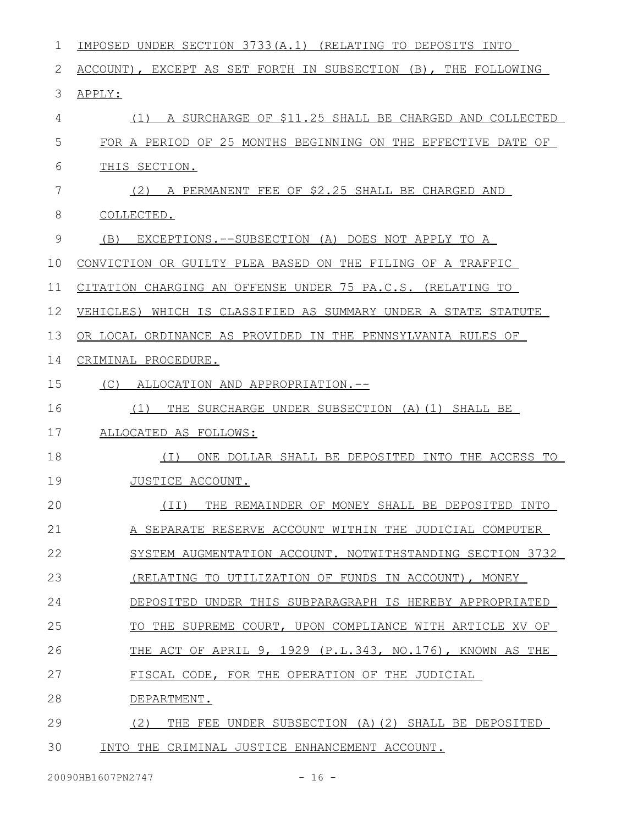| 1  | IMPOSED UNDER SECTION 3733(A.1) (RELATING TO DEPOSITS INTO     |
|----|----------------------------------------------------------------|
| 2  | ACCOUNT), EXCEPT AS SET FORTH IN SUBSECTION (B), THE FOLLOWING |
| 3  | APPLY:                                                         |
| 4  | (1) A SURCHARGE OF \$11.25 SHALL BE CHARGED AND COLLECTED      |
| 5  | FOR A PERIOD OF 25 MONTHS BEGINNING ON THE EFFECTIVE DATE OF   |
| 6  | THIS SECTION.                                                  |
| 7  | (2) A PERMANENT FEE OF \$2.25 SHALL BE CHARGED AND             |
| 8  | COLLECTED.                                                     |
| 9  | EXCEPTIONS.--SUBSECTION (A) DOES NOT APPLY TO A<br>(B)         |
| 10 | CONVICTION OR GUILTY PLEA BASED ON THE FILING OF A TRAFFIC     |
| 11 | CITATION CHARGING AN OFFENSE UNDER 75 PA.C.S. (RELATING TO     |
| 12 | VEHICLES) WHICH IS CLASSIFIED AS SUMMARY UNDER A STATE STATUTE |
| 13 | OR LOCAL ORDINANCE AS PROVIDED IN THE PENNSYLVANIA RULES OF    |
| 14 | CRIMINAL PROCEDURE.                                            |
| 15 | (C)<br>ALLOCATION AND APPROPRIATION.--                         |
| 16 | THE SURCHARGE UNDER SUBSECTION (A)(1) SHALL BE<br>(1)          |
| 17 | ALLOCATED AS FOLLOWS:                                          |
| 18 | ( I )<br>ONE DOLLAR SHALL BE DEPOSITED INTO THE ACCESS TO      |
| 19 | JUSTICE ACCOUNT.                                               |
| 20 | (II) THE REMAINDER OF MONEY SHALL BE DEPOSITED INTO            |
| 21 | A SEPARATE RESERVE ACCOUNT WITHIN THE JUDICIAL COMPUTER        |
| 22 | SYSTEM AUGMENTATION ACCOUNT. NOTWITHSTANDING SECTION 3732      |
| 23 | (RELATING TO UTILIZATION OF FUNDS IN ACCOUNT), MONEY           |
| 24 | DEPOSITED UNDER THIS SUBPARAGRAPH IS HEREBY APPROPRIATED       |
| 25 | TO THE SUPREME COURT, UPON COMPLIANCE WITH ARTICLE XV OF       |
| 26 | THE ACT OF APRIL 9, 1929 (P.L.343, NO.176), KNOWN AS THE       |
| 27 | FISCAL CODE, FOR THE OPERATION OF THE JUDICIAL                 |
| 28 | DEPARTMENT.                                                    |
| 29 | THE FEE UNDER SUBSECTION (A) (2) SHALL BE DEPOSITED<br>(2)     |
| 30 | INTO THE CRIMINAL JUSTICE ENHANCEMENT ACCOUNT.                 |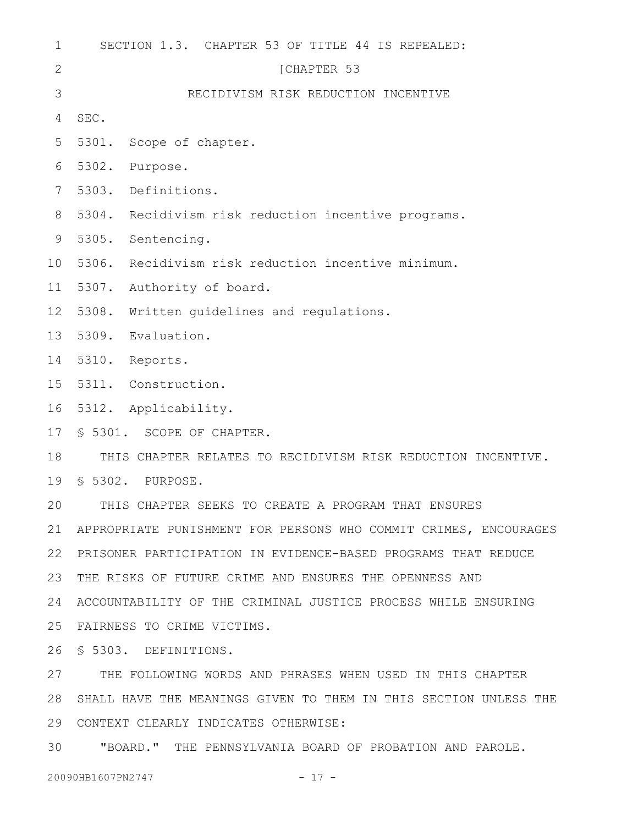| $\mathbf 1$    | SECTION 1.3. CHAPTER 53 OF TITLE 44 IS REPEALED:                 |
|----------------|------------------------------------------------------------------|
| $\mathbf{2}$   | [CHAPTER 53                                                      |
| 3              | RECIDIVISM RISK REDUCTION INCENTIVE                              |
| 4              | SEC.                                                             |
| 5              | 5301.<br>Scope of chapter.                                       |
| 6              | 5302.<br>Purpose.                                                |
| $7\phantom{.}$ | 5303.<br>Definitions.                                            |
| 8              | 5304.<br>Recidivism risk reduction incentive programs.           |
| 9              | 5305.<br>Sentencing.                                             |
| 10             | 5306.<br>Recidivism risk reduction incentive minimum.            |
| 11             | 5307.<br>Authority of board.                                     |
| 12             | 5308.<br>Written quidelines and requlations.                     |
| 13             | 5309.<br>Evaluation.                                             |
| 14             | 5310.<br>Reports.                                                |
| 15             | 5311. Construction.                                              |
| 16             | 5312. Applicability.                                             |
| 17             | \$ 5301. SCOPE OF CHAPTER.                                       |
| 18             | THIS CHAPTER RELATES TO RECIDIVISM RISK REDUCTION INCENTIVE.     |
| 19             | \$ 5302. PURPOSE.                                                |
| 20             | THIS CHAPTER SEEKS TO CREATE A PROGRAM THAT ENSURES              |
| 21             | APPROPRIATE PUNISHMENT FOR PERSONS WHO COMMIT CRIMES, ENCOURAGES |
| 22             | PRISONER PARTICIPATION IN EVIDENCE-BASED PROGRAMS THAT REDUCE    |
| 23             | THE RISKS OF FUTURE CRIME AND ENSURES THE OPENNESS AND           |
| 24             | ACCOUNTABILITY OF THE CRIMINAL JUSTICE PROCESS WHILE ENSURING    |
| 25             | FAIRNESS TO CRIME VICTIMS.                                       |
| 26             | \$ 5303. DEFINITIONS.                                            |
| 27             | THE FOLLOWING WORDS AND PHRASES WHEN USED IN THIS CHAPTER        |
| 28             | SHALL HAVE THE MEANINGS GIVEN TO THEM IN THIS SECTION UNLESS THE |
| 29             | CONTEXT CLEARLY INDICATES OTHERWISE:                             |

"BOARD." THE PENNSYLVANIA BOARD OF PROBATION AND PAROLE. 30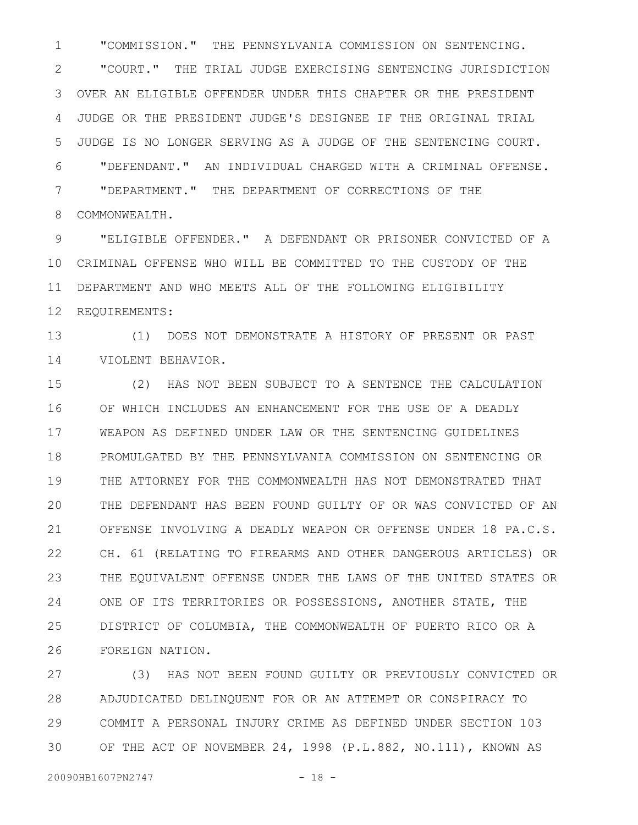"COMMISSION." THE PENNSYLVANIA COMMISSION ON SENTENCING. 1

"COURT." THE TRIAL JUDGE EXERCISING SENTENCING JURISDICTION OVER AN ELIGIBLE OFFENDER UNDER THIS CHAPTER OR THE PRESIDENT JUDGE OR THE PRESIDENT JUDGE'S DESIGNEE IF THE ORIGINAL TRIAL JUDGE IS NO LONGER SERVING AS A JUDGE OF THE SENTENCING COURT. "DEFENDANT." AN INDIVIDUAL CHARGED WITH A CRIMINAL OFFENSE. "DEPARTMENT." THE DEPARTMENT OF CORRECTIONS OF THE COMMONWEALTH. 2 3 4 5 6 7 8

"ELIGIBLE OFFENDER." A DEFENDANT OR PRISONER CONVICTED OF A CRIMINAL OFFENSE WHO WILL BE COMMITTED TO THE CUSTODY OF THE DEPARTMENT AND WHO MEETS ALL OF THE FOLLOWING ELIGIBILITY REQUIREMENTS: 9 10 11 12

(1) DOES NOT DEMONSTRATE A HISTORY OF PRESENT OR PAST VIOLENT BEHAVIOR. 13 14

(2) HAS NOT BEEN SUBJECT TO A SENTENCE THE CALCULATION OF WHICH INCLUDES AN ENHANCEMENT FOR THE USE OF A DEADLY WEAPON AS DEFINED UNDER LAW OR THE SENTENCING GUIDELINES PROMULGATED BY THE PENNSYLVANIA COMMISSION ON SENTENCING OR THE ATTORNEY FOR THE COMMONWEALTH HAS NOT DEMONSTRATED THAT THE DEFENDANT HAS BEEN FOUND GUILTY OF OR WAS CONVICTED OF AN OFFENSE INVOLVING A DEADLY WEAPON OR OFFENSE UNDER 18 PA.C.S. CH. 61 (RELATING TO FIREARMS AND OTHER DANGEROUS ARTICLES) OR THE EQUIVALENT OFFENSE UNDER THE LAWS OF THE UNITED STATES OR ONE OF ITS TERRITORIES OR POSSESSIONS, ANOTHER STATE, THE DISTRICT OF COLUMBIA, THE COMMONWEALTH OF PUERTO RICO OR A FOREIGN NATION. 15 16 17 18 19 20 21 22 23 24 25 26

(3) HAS NOT BEEN FOUND GUILTY OR PREVIOUSLY CONVICTED OR ADJUDICATED DELINQUENT FOR OR AN ATTEMPT OR CONSPIRACY TO COMMIT A PERSONAL INJURY CRIME AS DEFINED UNDER SECTION 103 OF THE ACT OF NOVEMBER 24, 1998 (P.L.882, NO.111), KNOWN AS 27 28 29 30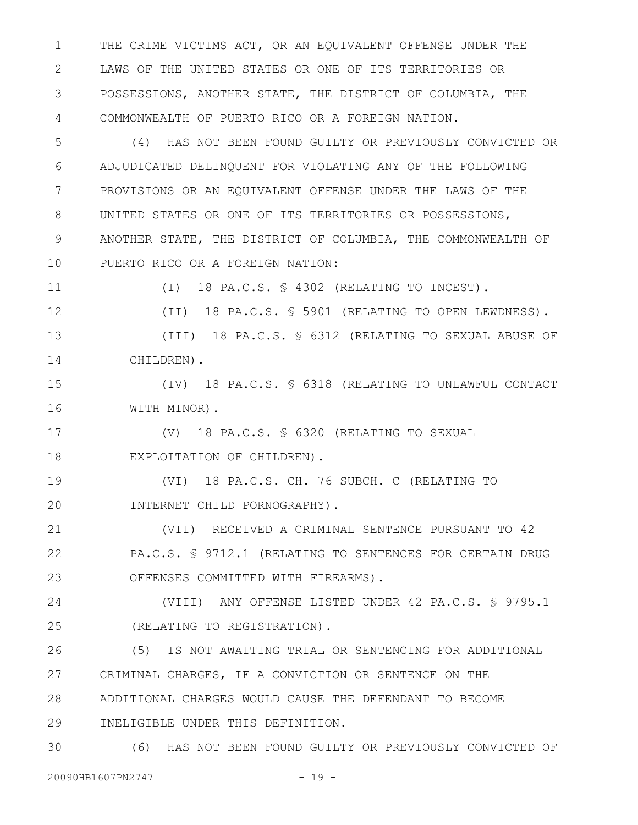THE CRIME VICTIMS ACT, OR AN EQUIVALENT OFFENSE UNDER THE LAWS OF THE UNITED STATES OR ONE OF ITS TERRITORIES OR POSSESSIONS, ANOTHER STATE, THE DISTRICT OF COLUMBIA, THE COMMONWEALTH OF PUERTO RICO OR A FOREIGN NATION. 1 2 3 4

(4) HAS NOT BEEN FOUND GUILTY OR PREVIOUSLY CONVICTED OR ADJUDICATED DELINQUENT FOR VIOLATING ANY OF THE FOLLOWING PROVISIONS OR AN EQUIVALENT OFFENSE UNDER THE LAWS OF THE UNITED STATES OR ONE OF ITS TERRITORIES OR POSSESSIONS, ANOTHER STATE, THE DISTRICT OF COLUMBIA, THE COMMONWEALTH OF PUERTO RICO OR A FOREIGN NATION: 5 6 7 8 9 10

(I) 18 PA.C.S. § 4302 (RELATING TO INCEST). 11

(II) 18 PA.C.S. § 5901 (RELATING TO OPEN LEWDNESS). (III) 18 PA.C.S. § 6312 (RELATING TO SEXUAL ABUSE OF CHILDREN). 12 13 14

(IV) 18 PA.C.S. § 6318 (RELATING TO UNLAWFUL CONTACT WITH MINOR). 15 16

(V) 18 PA.C.S. § 6320 (RELATING TO SEXUAL EXPLOITATION OF CHILDREN). 17 18

(VI) 18 PA.C.S. CH. 76 SUBCH. C (RELATING TO INTERNET CHILD PORNOGRAPHY). 19 20

(VII) RECEIVED A CRIMINAL SENTENCE PURSUANT TO 42 PA.C.S. § 9712.1 (RELATING TO SENTENCES FOR CERTAIN DRUG OFFENSES COMMITTED WITH FIREARMS). 21 22 23

(VIII) ANY OFFENSE LISTED UNDER 42 PA.C.S. § 9795.1 (RELATING TO REGISTRATION). 24 25

(5) IS NOT AWAITING TRIAL OR SENTENCING FOR ADDITIONAL CRIMINAL CHARGES, IF A CONVICTION OR SENTENCE ON THE ADDITIONAL CHARGES WOULD CAUSE THE DEFENDANT TO BECOME INELIGIBLE UNDER THIS DEFINITION. 26 27 28 29

(6) HAS NOT BEEN FOUND GUILTY OR PREVIOUSLY CONVICTED OF 30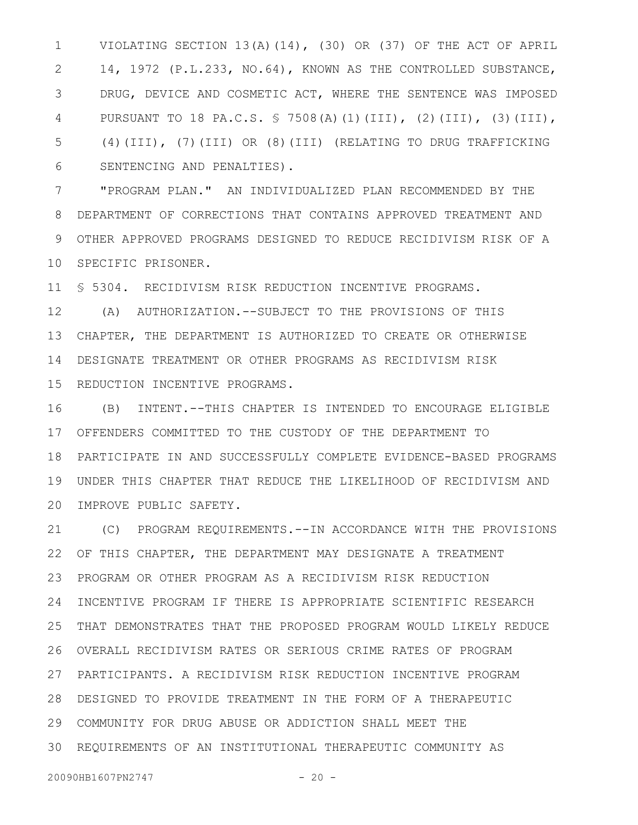VIOLATING SECTION 13(A)(14), (30) OR (37) OF THE ACT OF APRIL 14, 1972 (P.L.233, NO.64), KNOWN AS THE CONTROLLED SUBSTANCE, DRUG, DEVICE AND COSMETIC ACT, WHERE THE SENTENCE WAS IMPOSED PURSUANT TO 18 PA.C.S. § 7508(A)(1)(III), (2)(III), (3)(III), (4)(III), (7)(III) OR (8)(III) (RELATING TO DRUG TRAFFICKING SENTENCING AND PENALTIES). 1 2 3 4 5 6

"PROGRAM PLAN." AN INDIVIDUALIZED PLAN RECOMMENDED BY THE DEPARTMENT OF CORRECTIONS THAT CONTAINS APPROVED TREATMENT AND OTHER APPROVED PROGRAMS DESIGNED TO REDUCE RECIDIVISM RISK OF A 10 SPECIFIC PRISONER. 7 8 9

§ 5304. RECIDIVISM RISK REDUCTION INCENTIVE PROGRAMS. 11

(A) AUTHORIZATION.--SUBJECT TO THE PROVISIONS OF THIS CHAPTER, THE DEPARTMENT IS AUTHORIZED TO CREATE OR OTHERWISE DESIGNATE TREATMENT OR OTHER PROGRAMS AS RECIDIVISM RISK REDUCTION INCENTIVE PROGRAMS. 12 13 14 15

(B) INTENT.--THIS CHAPTER IS INTENDED TO ENCOURAGE ELIGIBLE OFFENDERS COMMITTED TO THE CUSTODY OF THE DEPARTMENT TO 17 PARTICIPATE IN AND SUCCESSFULLY COMPLETE EVIDENCE-BASED PROGRAMS 18 UNDER THIS CHAPTER THAT REDUCE THE LIKELIHOOD OF RECIDIVISM AND 20 IMPROVE PUBLIC SAFETY. 16 19

(C) PROGRAM REQUIREMENTS.--IN ACCORDANCE WITH THE PROVISIONS OF THIS CHAPTER, THE DEPARTMENT MAY DESIGNATE A TREATMENT PROGRAM OR OTHER PROGRAM AS A RECIDIVISM RISK REDUCTION INCENTIVE PROGRAM IF THERE IS APPROPRIATE SCIENTIFIC RESEARCH THAT DEMONSTRATES THAT THE PROPOSED PROGRAM WOULD LIKELY REDUCE OVERALL RECIDIVISM RATES OR SERIOUS CRIME RATES OF PROGRAM PARTICIPANTS. A RECIDIVISM RISK REDUCTION INCENTIVE PROGRAM 27 DESIGNED TO PROVIDE TREATMENT IN THE FORM OF A THERAPEUTIC 28 COMMUNITY FOR DRUG ABUSE OR ADDICTION SHALL MEET THE 29 REQUIREMENTS OF AN INSTITUTIONAL THERAPEUTIC COMMUNITY AS 3021 22 23 24 25 26

20090HB1607PN2747 - 20 -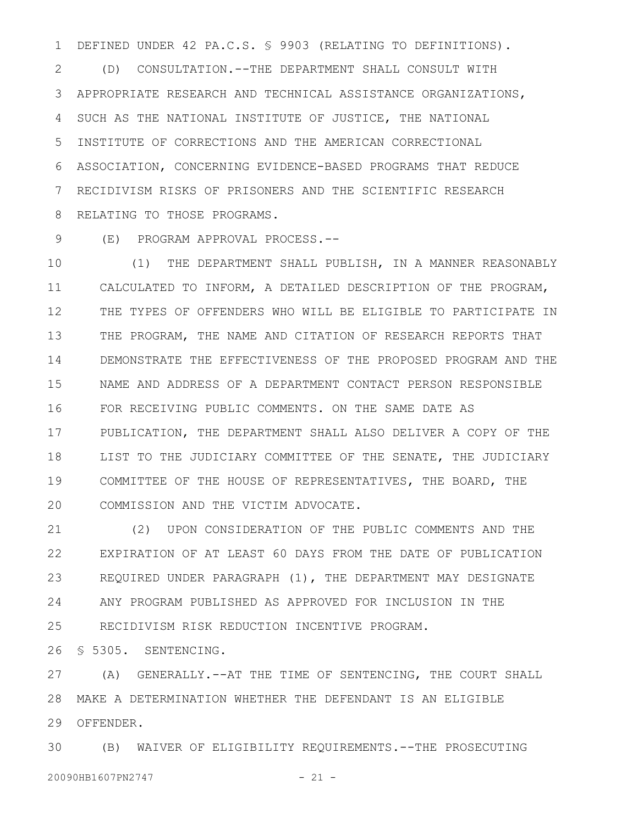DEFINED UNDER 42 PA.C.S. § 9903 (RELATING TO DEFINITIONS). 1

(D) CONSULTATION.--THE DEPARTMENT SHALL CONSULT WITH APPROPRIATE RESEARCH AND TECHNICAL ASSISTANCE ORGANIZATIONS, SUCH AS THE NATIONAL INSTITUTE OF JUSTICE, THE NATIONAL INSTITUTE OF CORRECTIONS AND THE AMERICAN CORRECTIONAL ASSOCIATION, CONCERNING EVIDENCE-BASED PROGRAMS THAT REDUCE RECIDIVISM RISKS OF PRISONERS AND THE SCIENTIFIC RESEARCH RELATING TO THOSE PROGRAMS. 2 3 4 5 6 7 8

(E) PROGRAM APPROVAL PROCESS.-- 9

(1) THE DEPARTMENT SHALL PUBLISH, IN A MANNER REASONABLY CALCULATED TO INFORM, A DETAILED DESCRIPTION OF THE PROGRAM, THE TYPES OF OFFENDERS WHO WILL BE ELIGIBLE TO PARTICIPATE IN THE PROGRAM, THE NAME AND CITATION OF RESEARCH REPORTS THAT DEMONSTRATE THE EFFECTIVENESS OF THE PROPOSED PROGRAM AND THE NAME AND ADDRESS OF A DEPARTMENT CONTACT PERSON RESPONSIBLE FOR RECEIVING PUBLIC COMMENTS. ON THE SAME DATE AS PUBLICATION, THE DEPARTMENT SHALL ALSO DELIVER A COPY OF THE LIST TO THE JUDICIARY COMMITTEE OF THE SENATE, THE JUDICIARY COMMITTEE OF THE HOUSE OF REPRESENTATIVES, THE BOARD, THE COMMISSION AND THE VICTIM ADVOCATE. 10 11 12 13 14 15 16 17 18 19 20

(2) UPON CONSIDERATION OF THE PUBLIC COMMENTS AND THE EXPIRATION OF AT LEAST 60 DAYS FROM THE DATE OF PUBLICATION REQUIRED UNDER PARAGRAPH (1), THE DEPARTMENT MAY DESIGNATE ANY PROGRAM PUBLISHED AS APPROVED FOR INCLUSION IN THE RECIDIVISM RISK REDUCTION INCENTIVE PROGRAM. 21 22 23 24 25

§ 5305. SENTENCING. 26

(A) GENERALLY.--AT THE TIME OF SENTENCING, THE COURT SHALL MAKE A DETERMINATION WHETHER THE DEFENDANT IS AN ELIGIBLE 28 29 OFFENDER. 27

(B) WAIVER OF ELIGIBILITY REQUIREMENTS.--THE PROSECUTING 3020090HB1607PN2747 - 21 -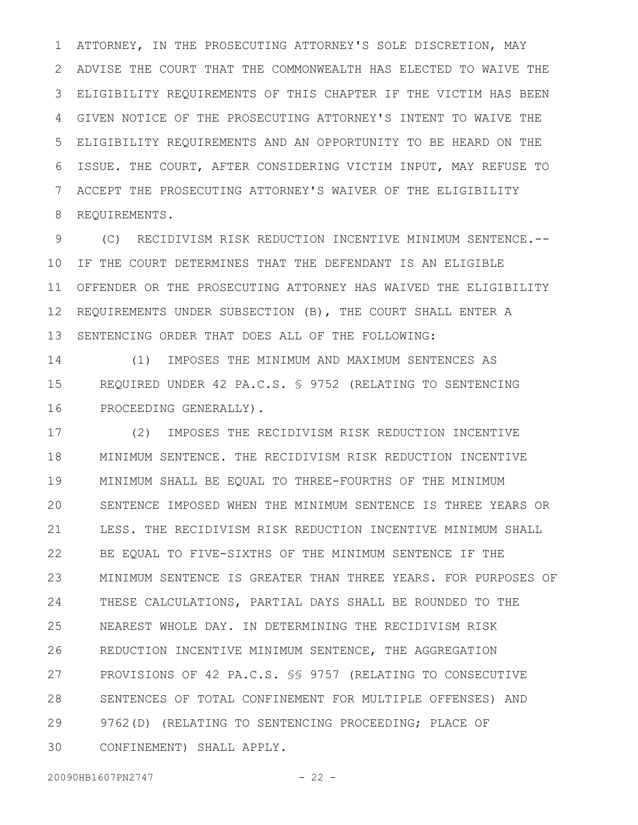ATTORNEY, IN THE PROSECUTING ATTORNEY'S SOLE DISCRETION, MAY ADVISE THE COURT THAT THE COMMONWEALTH HAS ELECTED TO WAIVE THE ELIGIBILITY REQUIREMENTS OF THIS CHAPTER IF THE VICTIM HAS BEEN GIVEN NOTICE OF THE PROSECUTING ATTORNEY'S INTENT TO WAIVE THE ELIGIBILITY REQUIREMENTS AND AN OPPORTUNITY TO BE HEARD ON THE ISSUE. THE COURT, AFTER CONSIDERING VICTIM INPUT, MAY REFUSE TO ACCEPT THE PROSECUTING ATTORNEY'S WAIVER OF THE ELIGIBILITY REQUIREMENTS. 1 2 3 4 5 6 7 8

(C) RECIDIVISM RISK REDUCTION INCENTIVE MINIMUM SENTENCE.-- IF THE COURT DETERMINES THAT THE DEFENDANT IS AN ELIGIBLE OFFENDER OR THE PROSECUTING ATTORNEY HAS WAIVED THE ELIGIBILITY REQUIREMENTS UNDER SUBSECTION (B), THE COURT SHALL ENTER A SENTENCING ORDER THAT DOES ALL OF THE FOLLOWING: 9 10 11 12 13

(1) IMPOSES THE MINIMUM AND MAXIMUM SENTENCES AS REQUIRED UNDER 42 PA.C.S. § 9752 (RELATING TO SENTENCING PROCEEDING GENERALLY). 14 15 16

(2) IMPOSES THE RECIDIVISM RISK REDUCTION INCENTIVE MINIMUM SENTENCE. THE RECIDIVISM RISK REDUCTION INCENTIVE MINIMUM SHALL BE EQUAL TO THREE-FOURTHS OF THE MINIMUM SENTENCE IMPOSED WHEN THE MINIMUM SENTENCE IS THREE YEARS OR LESS. THE RECIDIVISM RISK REDUCTION INCENTIVE MINIMUM SHALL BE EQUAL TO FIVE-SIXTHS OF THE MINIMUM SENTENCE IF THE MINIMUM SENTENCE IS GREATER THAN THREE YEARS. FOR PURPOSES OF THESE CALCULATIONS, PARTIAL DAYS SHALL BE ROUNDED TO THE NEAREST WHOLE DAY. IN DETERMINING THE RECIDIVISM RISK REDUCTION INCENTIVE MINIMUM SENTENCE, THE AGGREGATION PROVISIONS OF 42 PA.C.S. §§ 9757 (RELATING TO CONSECUTIVE SENTENCES OF TOTAL CONFINEMENT FOR MULTIPLE OFFENSES) AND 9762(D) (RELATING TO SENTENCING PROCEEDING; PLACE OF CONFINEMENT) SHALL APPLY. 17 18 19 20 21 22 23 24 25 26 27 28 29 30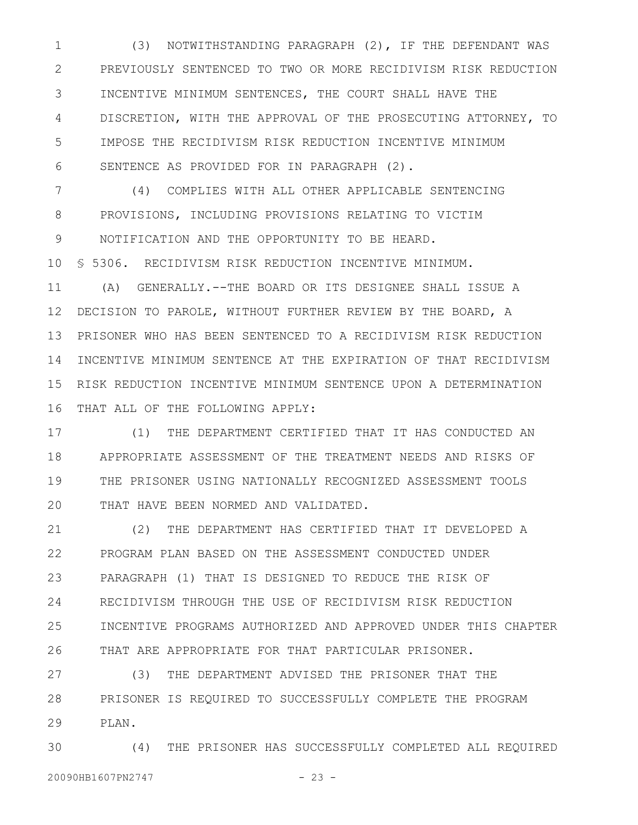(3) NOTWITHSTANDING PARAGRAPH (2), IF THE DEFENDANT WAS PREVIOUSLY SENTENCED TO TWO OR MORE RECIDIVISM RISK REDUCTION INCENTIVE MINIMUM SENTENCES, THE COURT SHALL HAVE THE DISCRETION, WITH THE APPROVAL OF THE PROSECUTING ATTORNEY, TO IMPOSE THE RECIDIVISM RISK REDUCTION INCENTIVE MINIMUM SENTENCE AS PROVIDED FOR IN PARAGRAPH (2). 1 2 3 4 5 6

(4) COMPLIES WITH ALL OTHER APPLICABLE SENTENCING PROVISIONS, INCLUDING PROVISIONS RELATING TO VICTIM NOTIFICATION AND THE OPPORTUNITY TO BE HEARD. § 5306. RECIDIVISM RISK REDUCTION INCENTIVE MINIMUM. (A) GENERALLY.--THE BOARD OR ITS DESIGNEE SHALL ISSUE A DECISION TO PAROLE, WITHOUT FURTHER REVIEW BY THE BOARD, A PRISONER WHO HAS BEEN SENTENCED TO A RECIDIVISM RISK REDUCTION 14 INCENTIVE MINIMUM SENTENCE AT THE EXPIRATION OF THAT RECIDIVISM RISK REDUCTION INCENTIVE MINIMUM SENTENCE UPON A DETERMINATION THAT ALL OF THE FOLLOWING APPLY: 7 8 9 10 11 12 13 15 16

(1) THE DEPARTMENT CERTIFIED THAT IT HAS CONDUCTED AN APPROPRIATE ASSESSMENT OF THE TREATMENT NEEDS AND RISKS OF THE PRISONER USING NATIONALLY RECOGNIZED ASSESSMENT TOOLS THAT HAVE BEEN NORMED AND VALIDATED. 17 18 19 20

(2) THE DEPARTMENT HAS CERTIFIED THAT IT DEVELOPED A PROGRAM PLAN BASED ON THE ASSESSMENT CONDUCTED UNDER PARAGRAPH (1) THAT IS DESIGNED TO REDUCE THE RISK OF RECIDIVISM THROUGH THE USE OF RECIDIVISM RISK REDUCTION INCENTIVE PROGRAMS AUTHORIZED AND APPROVED UNDER THIS CHAPTER THAT ARE APPROPRIATE FOR THAT PARTICULAR PRISONER. 21 22 23 24 25 26

(3) THE DEPARTMENT ADVISED THE PRISONER THAT THE PRISONER IS REQUIRED TO SUCCESSFULLY COMPLETE THE PROGRAM PLAN. 27 28 29

(4) THE PRISONER HAS SUCCESSFULLY COMPLETED ALL REQUIRED 20090HB1607PN2747 - 23 -30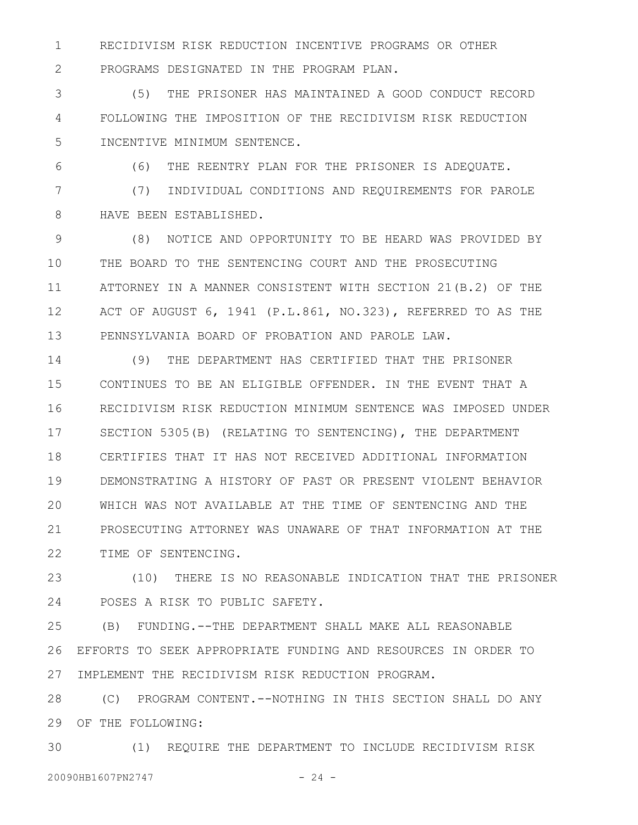RECIDIVISM RISK REDUCTION INCENTIVE PROGRAMS OR OTHER PROGRAMS DESIGNATED IN THE PROGRAM PLAN. 1

(5) THE PRISONER HAS MAINTAINED A GOOD CONDUCT RECORD FOLLOWING THE IMPOSITION OF THE RECIDIVISM RISK REDUCTION INCENTIVE MINIMUM SENTENCE. 3 4 5

6

2

(6) THE REENTRY PLAN FOR THE PRISONER IS ADEQUATE.

(7) INDIVIDUAL CONDITIONS AND REQUIREMENTS FOR PAROLE HAVE BEEN ESTABLISHED. 7 8

(8) NOTICE AND OPPORTUNITY TO BE HEARD WAS PROVIDED BY THE BOARD TO THE SENTENCING COURT AND THE PROSECUTING ATTORNEY IN A MANNER CONSISTENT WITH SECTION 21(B.2) OF THE ACT OF AUGUST 6, 1941 (P.L.861, NO.323), REFERRED TO AS THE PENNSYLVANIA BOARD OF PROBATION AND PAROLE LAW. 9 10 11 12 13

(9) THE DEPARTMENT HAS CERTIFIED THAT THE PRISONER CONTINUES TO BE AN ELIGIBLE OFFENDER. IN THE EVENT THAT A RECIDIVISM RISK REDUCTION MINIMUM SENTENCE WAS IMPOSED UNDER SECTION 5305(B) (RELATING TO SENTENCING), THE DEPARTMENT CERTIFIES THAT IT HAS NOT RECEIVED ADDITIONAL INFORMATION DEMONSTRATING A HISTORY OF PAST OR PRESENT VIOLENT BEHAVIOR WHICH WAS NOT AVAILABLE AT THE TIME OF SENTENCING AND THE PROSECUTING ATTORNEY WAS UNAWARE OF THAT INFORMATION AT THE TIME OF SENTENCING. 14 15 16 17 18 19 20 21 22

(10) THERE IS NO REASONABLE INDICATION THAT THE PRISONER POSES A RISK TO PUBLIC SAFETY. 23 24

(B) FUNDING.--THE DEPARTMENT SHALL MAKE ALL REASONABLE EFFORTS TO SEEK APPROPRIATE FUNDING AND RESOURCES IN ORDER TO IMPLEMENT THE RECIDIVISM RISK REDUCTION PROGRAM. 25 26 27

(C) PROGRAM CONTENT.--NOTHING IN THIS SECTION SHALL DO ANY 29 OF THE FOLLOWING: 28

(1) REQUIRE THE DEPARTMENT TO INCLUDE RECIDIVISM RISK 20090HB1607PN2747 - 24 -30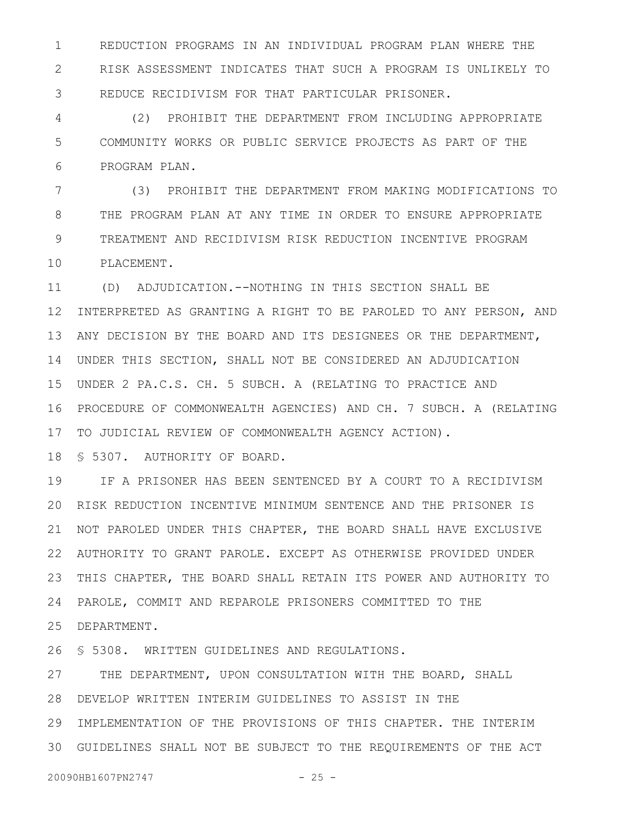REDUCTION PROGRAMS IN AN INDIVIDUAL PROGRAM PLAN WHERE THE RISK ASSESSMENT INDICATES THAT SUCH A PROGRAM IS UNLIKELY TO REDUCE RECIDIVISM FOR THAT PARTICULAR PRISONER. 1 2 3

(2) PROHIBIT THE DEPARTMENT FROM INCLUDING APPROPRIATE COMMUNITY WORKS OR PUBLIC SERVICE PROJECTS AS PART OF THE PROGRAM PLAN. 4 5 6

(3) PROHIBIT THE DEPARTMENT FROM MAKING MODIFICATIONS TO THE PROGRAM PLAN AT ANY TIME IN ORDER TO ENSURE APPROPRIATE TREATMENT AND RECIDIVISM RISK REDUCTION INCENTIVE PROGRAM PLACEMENT. 7 8 9 10

(D) ADJUDICATION.--NOTHING IN THIS SECTION SHALL BE INTERPRETED AS GRANTING A RIGHT TO BE PAROLED TO ANY PERSON, AND ANY DECISION BY THE BOARD AND ITS DESIGNEES OR THE DEPARTMENT, UNDER THIS SECTION, SHALL NOT BE CONSIDERED AN ADJUDICATION 14 UNDER 2 PA.C.S. CH. 5 SUBCH. A (RELATING TO PRACTICE AND 15 PROCEDURE OF COMMONWEALTH AGENCIES) AND CH. 7 SUBCH. A (RELATING 16 17 TO JUDICIAL REVIEW OF COMMONWEALTH AGENCY ACTION). 11 12 13

§ 5307. AUTHORITY OF BOARD. 18

IF A PRISONER HAS BEEN SENTENCED BY A COURT TO A RECIDIVISM 20 RISK REDUCTION INCENTIVE MINIMUM SENTENCE AND THE PRISONER IS 21 NOT PAROLED UNDER THIS CHAPTER, THE BOARD SHALL HAVE EXCLUSIVE AUTHORITY TO GRANT PAROLE. EXCEPT AS OTHERWISE PROVIDED UNDER 22 THIS CHAPTER, THE BOARD SHALL RETAIN ITS POWER AND AUTHORITY TO 23 PAROLE, COMMIT AND REPAROLE PRISONERS COMMITTED TO THE 24 DEPARTMENT. 25 19

§ 5308. WRITTEN GUIDELINES AND REGULATIONS. 26

THE DEPARTMENT, UPON CONSULTATION WITH THE BOARD, SHALL DEVELOP WRITTEN INTERIM GUIDELINES TO ASSIST IN THE 28 29 IMPLEMENTATION OF THE PROVISIONS OF THIS CHAPTER. THE INTERIM GUIDELINES SHALL NOT BE SUBJECT TO THE REQUIREMENTS OF THE ACT 3027

20090HB1607PN2747 - 25 -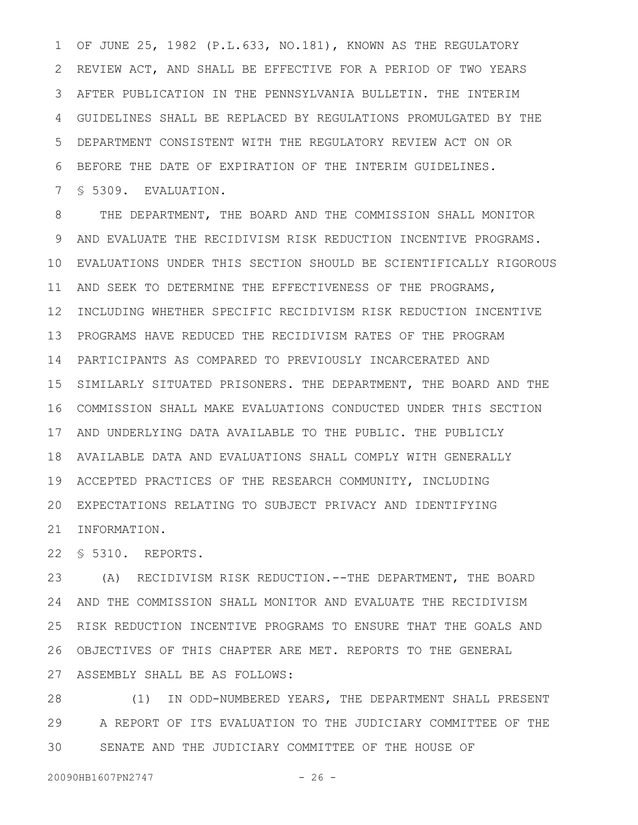OF JUNE 25, 1982 (P.L.633, NO.181), KNOWN AS THE REGULATORY REVIEW ACT, AND SHALL BE EFFECTIVE FOR A PERIOD OF TWO YEARS AFTER PUBLICATION IN THE PENNSYLVANIA BULLETIN. THE INTERIM GUIDELINES SHALL BE REPLACED BY REGULATIONS PROMULGATED BY THE DEPARTMENT CONSISTENT WITH THE REGULATORY REVIEW ACT ON OR BEFORE THE DATE OF EXPIRATION OF THE INTERIM GUIDELINES. § 5309. EVALUATION. 1 2 3 4 5 6 7

THE DEPARTMENT, THE BOARD AND THE COMMISSION SHALL MONITOR AND EVALUATE THE RECIDIVISM RISK REDUCTION INCENTIVE PROGRAMS. 9 EVALUATIONS UNDER THIS SECTION SHOULD BE SCIENTIFICALLY RIGOROUS 10 AND SEEK TO DETERMINE THE EFFECTIVENESS OF THE PROGRAMS, 11 12 INCLUDING WHETHER SPECIFIC RECIDIVISM RISK REDUCTION INCENTIVE PROGRAMS HAVE REDUCED THE RECIDIVISM RATES OF THE PROGRAM 13 PARTICIPANTS AS COMPARED TO PREVIOUSLY INCARCERATED AND 14 15 SIMILARLY SITUATED PRISONERS. THE DEPARTMENT, THE BOARD AND THE COMMISSION SHALL MAKE EVALUATIONS CONDUCTED UNDER THIS SECTION 16 17 AND UNDERLYING DATA AVAILABLE TO THE PUBLIC. THE PUBLICLY AVAILABLE DATA AND EVALUATIONS SHALL COMPLY WITH GENERALLY 18 ACCEPTED PRACTICES OF THE RESEARCH COMMUNITY, INCLUDING 19 EXPECTATIONS RELATING TO SUBJECT PRIVACY AND IDENTIFYING 20 21 INFORMATION. 8

§ 5310. REPORTS. 22

(A) RECIDIVISM RISK REDUCTION.--THE DEPARTMENT, THE BOARD 23 24 AND THE COMMISSION SHALL MONITOR AND EVALUATE THE RECIDIVISM RISK REDUCTION INCENTIVE PROGRAMS TO ENSURE THAT THE GOALS AND 25 OBJECTIVES OF THIS CHAPTER ARE MET. REPORTS TO THE GENERAL 26 ASSEMBLY SHALL BE AS FOLLOWS: 27

(1) IN ODD-NUMBERED YEARS, THE DEPARTMENT SHALL PRESENT A REPORT OF ITS EVALUATION TO THE JUDICIARY COMMITTEE OF THE SENATE AND THE JUDICIARY COMMITTEE OF THE HOUSE OF 28 29 30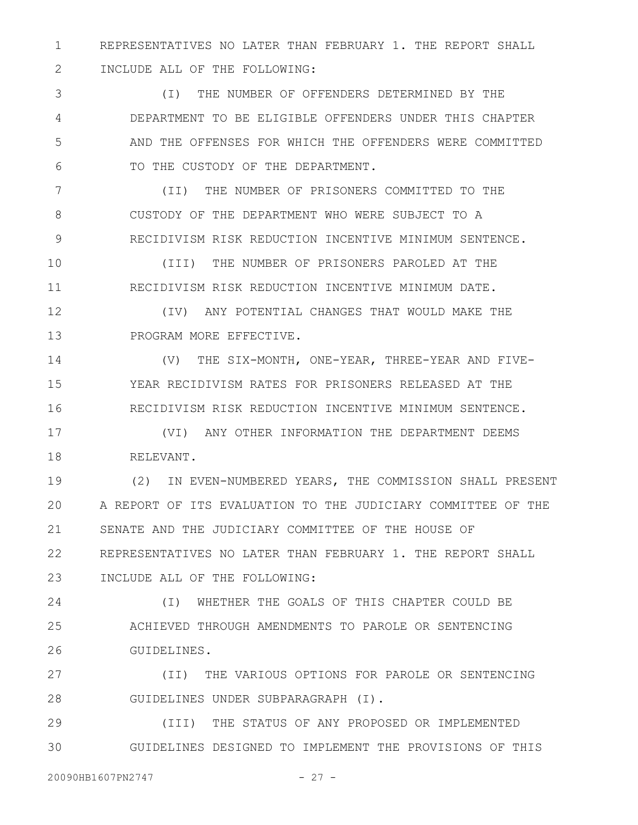REPRESENTATIVES NO LATER THAN FEBRUARY 1. THE REPORT SHALL INCLUDE ALL OF THE FOLLOWING: 1 2

(I) THE NUMBER OF OFFENDERS DETERMINED BY THE DEPARTMENT TO BE ELIGIBLE OFFENDERS UNDER THIS CHAPTER AND THE OFFENSES FOR WHICH THE OFFENDERS WERE COMMITTED TO THE CUSTODY OF THE DEPARTMENT. 3 4 5 6

(II) THE NUMBER OF PRISONERS COMMITTED TO THE CUSTODY OF THE DEPARTMENT WHO WERE SUBJECT TO A RECIDIVISM RISK REDUCTION INCENTIVE MINIMUM SENTENCE. 7 8 9

(III) THE NUMBER OF PRISONERS PAROLED AT THE RECIDIVISM RISK REDUCTION INCENTIVE MINIMUM DATE. 10 11

(IV) ANY POTENTIAL CHANGES THAT WOULD MAKE THE PROGRAM MORE EFFECTIVE. 12 13

(V) THE SIX-MONTH, ONE-YEAR, THREE-YEAR AND FIVE-YEAR RECIDIVISM RATES FOR PRISONERS RELEASED AT THE RECIDIVISM RISK REDUCTION INCENTIVE MINIMUM SENTENCE. 14 15 16

(VI) ANY OTHER INFORMATION THE DEPARTMENT DEEMS RELEVANT. 17 18

(2) IN EVEN-NUMBERED YEARS, THE COMMISSION SHALL PRESENT A REPORT OF ITS EVALUATION TO THE JUDICIARY COMMITTEE OF THE SENATE AND THE JUDICIARY COMMITTEE OF THE HOUSE OF REPRESENTATIVES NO LATER THAN FEBRUARY 1. THE REPORT SHALL INCLUDE ALL OF THE FOLLOWING: 19 20 21 22 23

(I) WHETHER THE GOALS OF THIS CHAPTER COULD BE ACHIEVED THROUGH AMENDMENTS TO PAROLE OR SENTENCING GUIDELINES. 24 25 26

(II) THE VARIOUS OPTIONS FOR PAROLE OR SENTENCING GUIDELINES UNDER SUBPARAGRAPH (I). 27 28

(III) THE STATUS OF ANY PROPOSED OR IMPLEMENTED GUIDELINES DESIGNED TO IMPLEMENT THE PROVISIONS OF THIS 29 30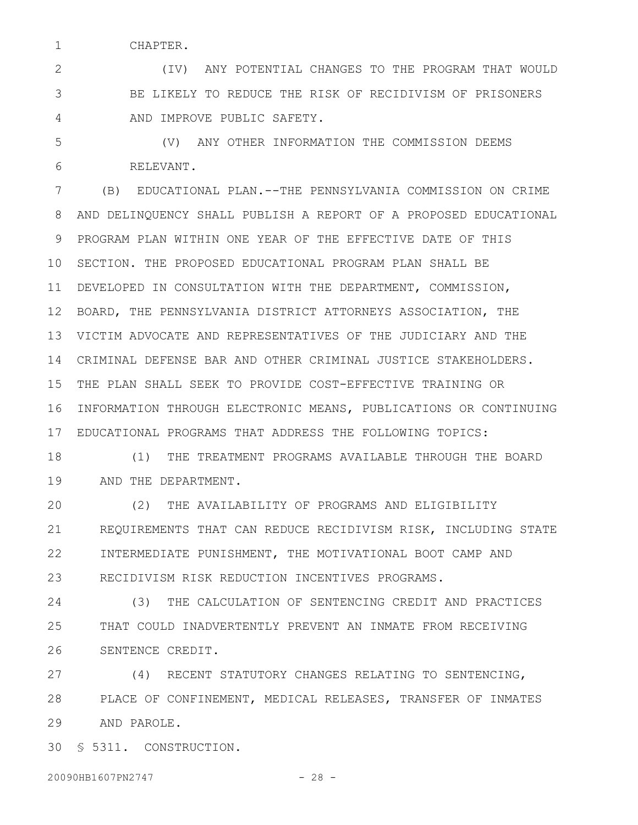CHAPTER.

1

(IV) ANY POTENTIAL CHANGES TO THE PROGRAM THAT WOULD BE LIKELY TO REDUCE THE RISK OF RECIDIVISM OF PRISONERS AND IMPROVE PUBLIC SAFETY. 2 3 4

(V) ANY OTHER INFORMATION THE COMMISSION DEEMS RELEVANT. 5 6

(B) EDUCATIONAL PLAN.--THE PENNSYLVANIA COMMISSION ON CRIME AND DELINQUENCY SHALL PUBLISH A REPORT OF A PROPOSED EDUCATIONAL PROGRAM PLAN WITHIN ONE YEAR OF THE EFFECTIVE DATE OF THIS 10 SECTION. THE PROPOSED EDUCATIONAL PROGRAM PLAN SHALL BE DEVELOPED IN CONSULTATION WITH THE DEPARTMENT, COMMISSION, 11 12 BOARD, THE PENNSYLVANIA DISTRICT ATTORNEYS ASSOCIATION, THE VICTIM ADVOCATE AND REPRESENTATIVES OF THE JUDICIARY AND THE 13 CRIMINAL DEFENSE BAR AND OTHER CRIMINAL JUSTICE STAKEHOLDERS. 14 THE PLAN SHALL SEEK TO PROVIDE COST-EFFECTIVE TRAINING OR 15 16 INFORMATION THROUGH ELECTRONIC MEANS, PUBLICATIONS OR CONTINUING EDUCATIONAL PROGRAMS THAT ADDRESS THE FOLLOWING TOPICS: 17 7 8 9

(1) THE TREATMENT PROGRAMS AVAILABLE THROUGH THE BOARD AND THE DEPARTMENT. 18 19

(2) THE AVAILABILITY OF PROGRAMS AND ELIGIBILITY REQUIREMENTS THAT CAN REDUCE RECIDIVISM RISK, INCLUDING STATE INTERMEDIATE PUNISHMENT, THE MOTIVATIONAL BOOT CAMP AND RECIDIVISM RISK REDUCTION INCENTIVES PROGRAMS. 20 21 22 23

(3) THE CALCULATION OF SENTENCING CREDIT AND PRACTICES THAT COULD INADVERTENTLY PREVENT AN INMATE FROM RECEIVING SENTENCE CREDIT. 24 25 26

(4) RECENT STATUTORY CHANGES RELATING TO SENTENCING, PLACE OF CONFINEMENT, MEDICAL RELEASES, TRANSFER OF INMATES AND PAROLE. 27 28 29

§ 5311. CONSTRUCTION. 30

20090HB1607PN2747 - 28 -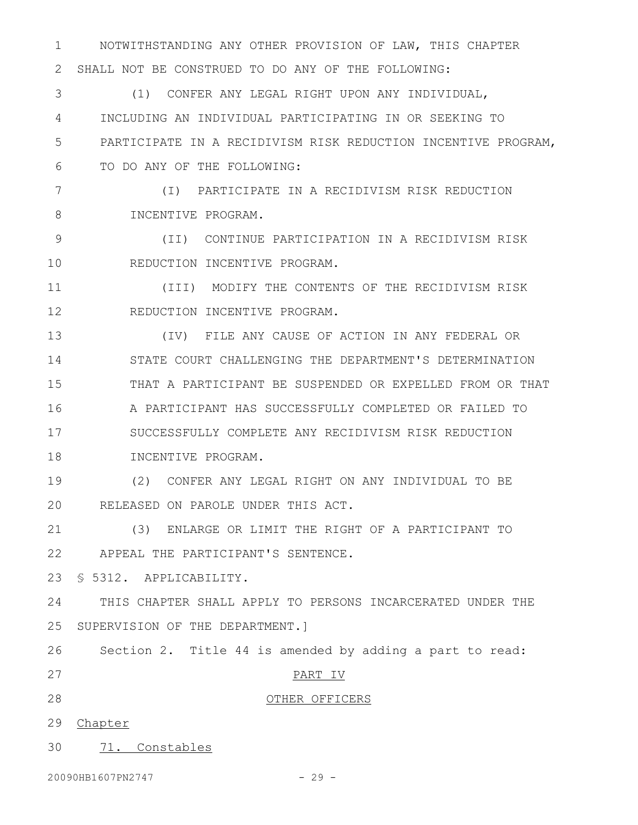NOTWITHSTANDING ANY OTHER PROVISION OF LAW, THIS CHAPTER 2 SHALL NOT BE CONSTRUED TO DO ANY OF THE FOLLOWING: 1

(1) CONFER ANY LEGAL RIGHT UPON ANY INDIVIDUAL, INCLUDING AN INDIVIDUAL PARTICIPATING IN OR SEEKING TO PARTICIPATE IN A RECIDIVISM RISK REDUCTION INCENTIVE PROGRAM, TO DO ANY OF THE FOLLOWING: 3 4 5 6

(I) PARTICIPATE IN A RECIDIVISM RISK REDUCTION INCENTIVE PROGRAM. 7 8

(II) CONTINUE PARTICIPATION IN A RECIDIVISM RISK REDUCTION INCENTIVE PROGRAM. 9 10

(III) MODIFY THE CONTENTS OF THE RECIDIVISM RISK REDUCTION INCENTIVE PROGRAM. 11 12

(IV) FILE ANY CAUSE OF ACTION IN ANY FEDERAL OR STATE COURT CHALLENGING THE DEPARTMENT'S DETERMINATION THAT A PARTICIPANT BE SUSPENDED OR EXPELLED FROM OR THAT A PARTICIPANT HAS SUCCESSFULLY COMPLETED OR FAILED TO SUCCESSFULLY COMPLETE ANY RECIDIVISM RISK REDUCTION INCENTIVE PROGRAM. 13 14 15 16 17 18

(2) CONFER ANY LEGAL RIGHT ON ANY INDIVIDUAL TO BE RELEASED ON PAROLE UNDER THIS ACT. 19 20

(3) ENLARGE OR LIMIT THE RIGHT OF A PARTICIPANT TO APPEAL THE PARTICIPANT'S SENTENCE. 22 21

23 § 5312. APPLICABILITY.

THIS CHAPTER SHALL APPLY TO PERSONS INCARCERATED UNDER THE 25 SUPERVISION OF THE DEPARTMENT.] 24

26 Section 2. Title 44 is amended by adding a part to read: PART IV OTHER OFFICERS 27 28

29 Chapter

71. Constables 30

20090HB1607PN2747 - 29 -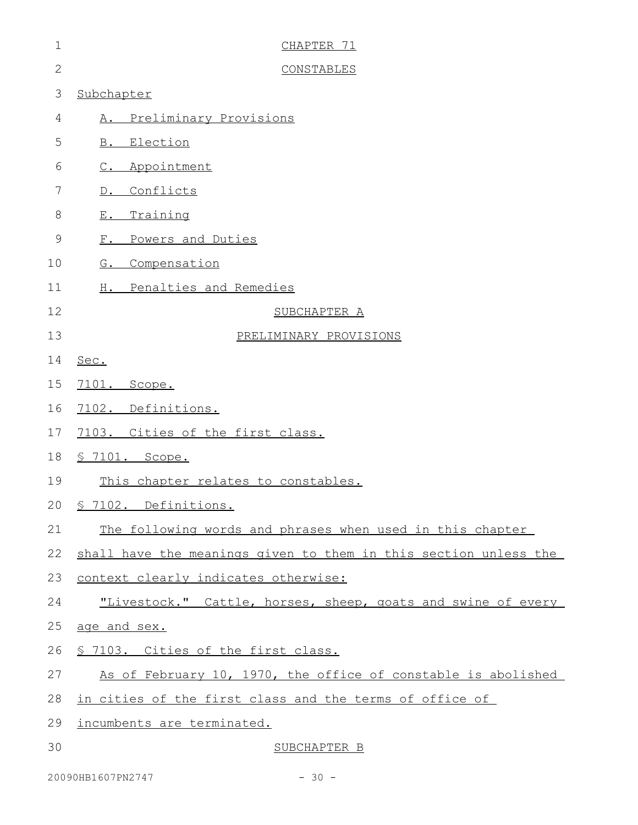| $\mathbf 1$    | CHAPTER 71                                                       |
|----------------|------------------------------------------------------------------|
| $\overline{2}$ | <b>CONSTABLES</b>                                                |
| 3              | Subchapter                                                       |
| 4              | Preliminary Provisions<br>Α.                                     |
| 5              | <b>B.</b> Election                                               |
| 6              | C. Appointment                                                   |
| 7              | Conflicts<br>$D$ .                                               |
| $8\,$          | Training<br>$E$ .                                                |
| $\mathcal{G}$  | F. Powers and Duties                                             |
| 10             | G. Compensation                                                  |
| 11             | H. Penalties and Remedies                                        |
| 12             | SUBCHAPTER A                                                     |
| 13             | PRELIMINARY PROVISIONS                                           |
| 14             | Sec.                                                             |
| 15             | 7101. Scope.                                                     |
| 16             | 7102. Definitions.                                               |
| 17             | 7103. Cities of the first class.                                 |
| 18             | § 7101. Scope.                                                   |
| 19             | This chapter relates to constables.                              |
|                | 20 § 7102. Definitions.                                          |
| 21             | The following words and phrases when used in this chapter        |
| 22             | shall have the meanings given to them in this section unless the |
| 23             | context clearly indicates otherwise:                             |
| 24             | "Livestock." Cattle, horses, sheep, goats and swine of every     |
| 25             | age and sex.                                                     |
| 26             | § 7103. Cities of the first class.                               |
| 27             | As of February 10, 1970, the office of constable is abolished    |
| 28             | <u>in cities of the first class and the terms of office of</u>   |
| 29             | incumbents are terminated.                                       |
| 30             | SUBCHAPTER B                                                     |

20090HB1607PN2747 - 30 -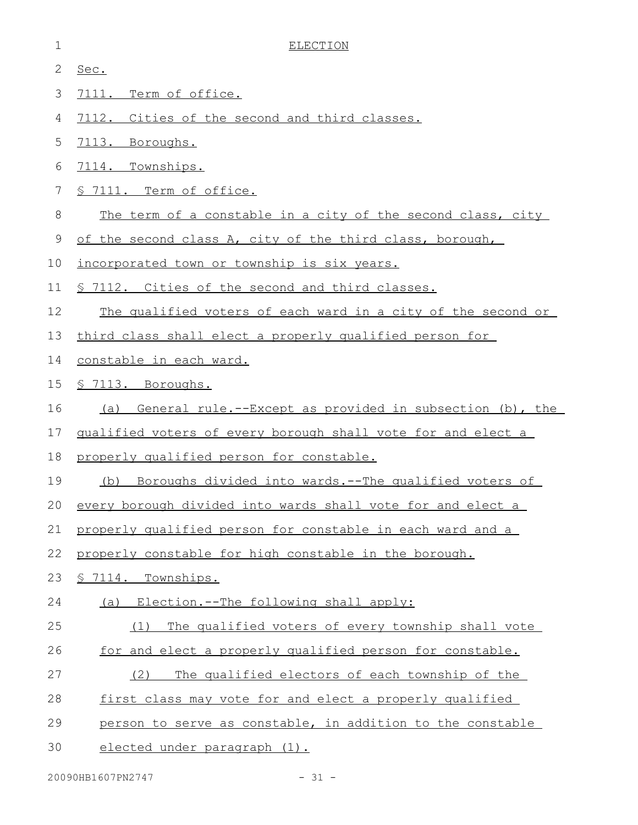| $\mathbf 1$ | <b>ELECTION</b>                                                 |
|-------------|-----------------------------------------------------------------|
| 2           | Sec.                                                            |
| 3           | 7111. Term of office.                                           |
| 4           | 7112. Cities of the second and third classes.                   |
| 5           | 7113. Boroughs.                                                 |
| 6           | 7114. Townships.                                                |
| 7           | § 7111. Term of office.                                         |
| 8           | The term of a constable in a city of the second class, city     |
| 9           | of the second class A, city of the third class, borough,        |
| 10          | incorporated town or township is six years.                     |
| 11          | § 7112. Cities of the second and third classes.                 |
| 12          | The qualified voters of each ward in a city of the second or    |
| 13          | third class shall elect a properly qualified person for         |
| 14          | constable in each ward.                                         |
| 15          | § 7113. Boroughs.                                               |
| 16          | General rule.--Except as provided in subsection (b), the<br>(a) |
| 17          | qualified voters of every borough shall vote for and elect a    |
| 18          | properly qualified person for constable.                        |
| 19          | Boroughs divided into wards.--The qualified voters of<br>(b)    |
| 20          | every borough divided into wards shall yote for and elect a     |
| 21          | properly qualified person for constable in each ward and a      |
| 22          | properly constable for high constable in the borough.           |
| 23          | § 7114. Townships.                                              |
| 24          | Election.--The following shall apply:<br>(a)                    |
| 25          | The qualified voters of every township shall vote<br>(1)        |
| 26          | for and elect a properly qualified person for constable.        |
| 27          | The qualified electors of each township of the<br>(2)           |
| 28          | first class may vote for and elect a properly qualified         |
| 29          | person to serve as constable, in addition to the constable      |
| 30          | elected under paragraph (1).                                    |
|             |                                                                 |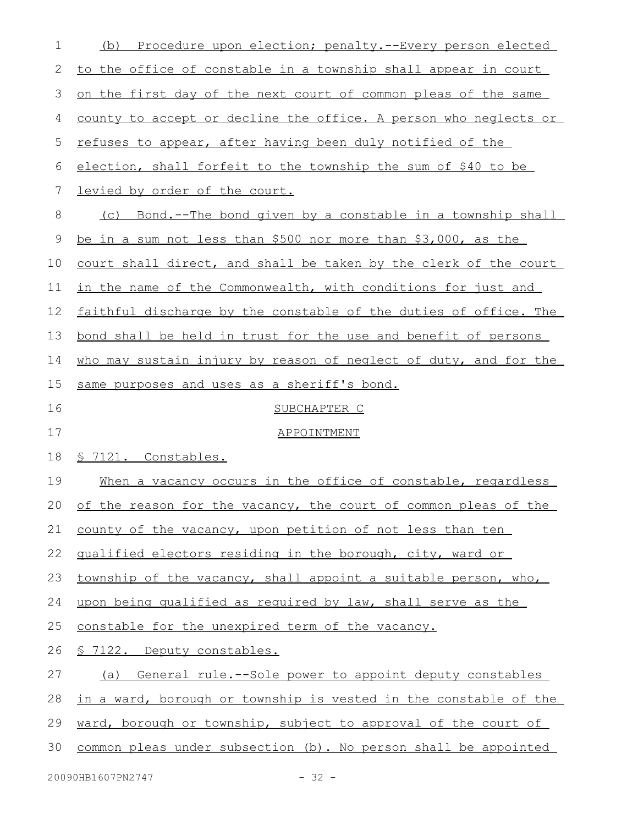| 1        | Procedure upon election; penalty.--Every person elected<br>(b)   |
|----------|------------------------------------------------------------------|
| 2        | to the office of constable in a township shall appear in court   |
| 3        | on the first day of the next court of common pleas of the same   |
| 4        | county to accept or decline the office. A person who neglects or |
| 5        | refuses to appear, after having been duly notified of the        |
| 6        | election, shall forfeit to the township the sum of \$40 to be    |
| 7        | levied by order of the court.                                    |
| 8        | (c) Bond.--The bond given by a constable in a township shall     |
| 9        | be in a sum not less than \$500 nor more than \$3,000, as the    |
| 10       | court shall direct, and shall be taken by the clerk of the court |
| 11       | in the name of the Commonwealth, with conditions for just and    |
| 12       | faithful discharge by the constable of the duties of office. The |
| 13       | bond shall be held in trust for the use and benefit of persons   |
| 14       | who may sustain injury by reason of neglect of duty, and for the |
| 15       | same purposes and uses as a sheriff's bond.                      |
|          |                                                                  |
| 16       | SUBCHAPTER C                                                     |
| 17       | APPOINTMENT                                                      |
| 18       | § 7121. Constables.                                              |
| 19       | When a vacancy occurs in the office of constable, regardless     |
|          | of the reason for the vacancy, the court of common pleas of the  |
| 21       | county of the vacancy, upon petition of not less than ten        |
| 22       | qualified electors residing in the borough, city, ward or        |
| 23       | township of the vacancy, shall appoint a suitable person, who,   |
| 24       | upon being qualified as required by law, shall serve as the      |
| 20<br>25 | constable for the unexpired term of the vacancy.                 |
| 26       | § 7122. Deputy constables.                                       |
| 27       | (a) General rule.--Sole power to appoint deputy constables       |
| 28       | in a ward, borough or township is vested in the constable of the |
| 29       | ward, borough or township, subject to approval of the court of   |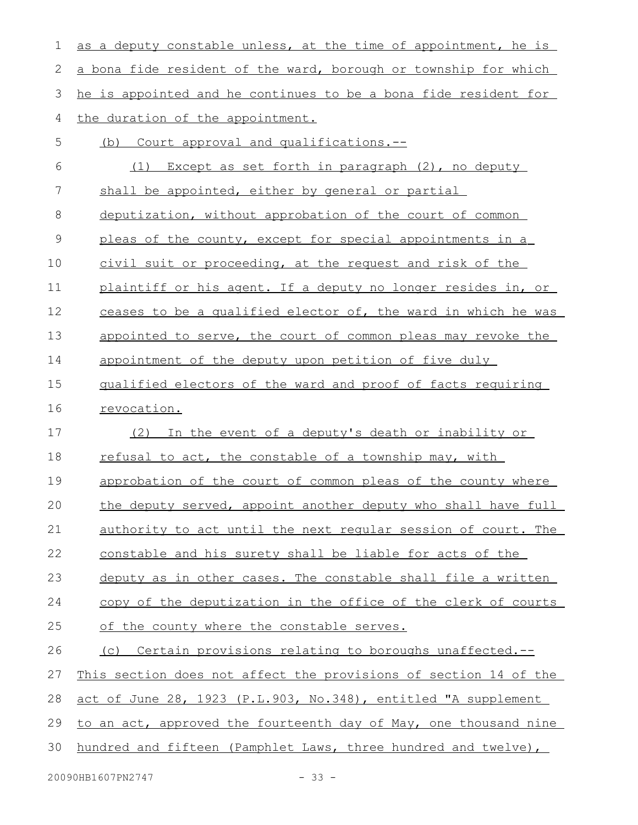| 1  | as a deputy constable unless, at the time of appointment, he is  |
|----|------------------------------------------------------------------|
| 2  | a bona fide resident of the ward, borough or township for which  |
| 3  | he is appointed and he continues to be a bona fide resident for  |
| 4  | the duration of the appointment.                                 |
| 5  | (b) Court approval and qualifications.--                         |
| 6  | Except as set forth in paragraph (2), no deputy<br>(1)           |
| 7  | shall be appointed, either by general or partial                 |
| 8  | deputization, without approbation of the court of common         |
| 9  | pleas of the county, except for special appointments in a        |
| 10 | civil suit or proceeding, at the request and risk of the         |
| 11 | plaintiff or his agent. If a deputy no longer resides in, or     |
| 12 | ceases to be a qualified elector of, the ward in which he was    |
| 13 | appointed to serve, the court of common pleas may revoke the     |
| 14 | appointment of the deputy upon petition of five duly             |
| 15 | qualified electors of the ward and proof of facts requiring      |
| 16 | revocation.                                                      |
| 17 | In the event of a deputy's death or inability or<br>(2)          |
| 18 | refusal to act, the constable of a township may, with            |
| 19 | approbation of the court of common pleas of the county where     |
| 20 | the deputy served, appoint another deputy who shall have full    |
| 21 | authority to act until the next regular session of court. The    |
| 22 | constable and his surety shall be liable for acts of the         |
| 23 | deputy as in other cases. The constable shall file a written     |
| 24 | copy of the deputization in the office of the clerk of courts    |
| 25 | of the county where the constable serves.                        |
| 26 | (c) Certain provisions relating to boroughs unaffected.--        |
| 27 | This section does not affect the provisions of section 14 of the |
| 28 | act of June 28, 1923 (P.L.903, No.348), entitled "A supplement   |
| 29 | to an act, approved the fourteenth day of May, one thousand nine |
| 30 | hundred and fifteen (Pamphlet Laws, three hundred and twelve),   |
|    |                                                                  |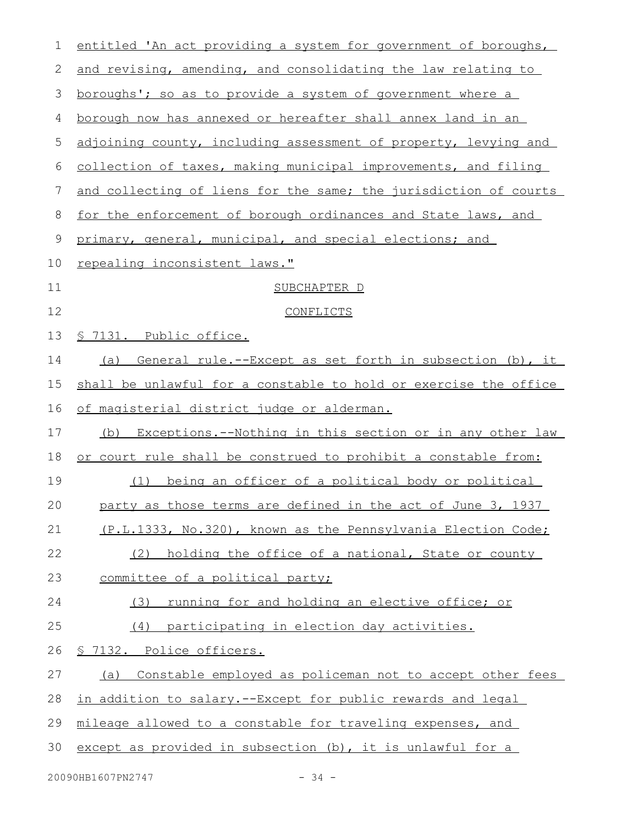| $\mathbf 1$ | entitled 'An act providing a system for government of boroughs,        |
|-------------|------------------------------------------------------------------------|
| 2           | and revising, amending, and consolidating the law relating to          |
| 3           | <u>boroughs'; so as to provide a system of government where a</u>      |
| 4           | borough now has annexed or hereafter shall annex land in an            |
| 5           | adjoining county, including assessment of property, levying and        |
| 6           | collection of taxes, making municipal improvements, and filing         |
| 7           | and collecting of liens for the same; the jurisdiction of courts       |
| 8           | for the enforcement of borough ordinances and State laws, and          |
| 9           | primary, general, municipal, and special elections; and                |
| 10          | repealing inconsistent laws."                                          |
| 11          | SUBCHAPTER D                                                           |
| 12          | CONFLICTS                                                              |
| 13          | <u>S 7131. Public office.</u>                                          |
| 14          | <u>General rule.--Except as set forth in subsection (b), it</u><br>(a) |
| 15          | shall be unlawful for a constable to hold or exercise the office       |
| 16          | <u>of magisterial district judge or alderman.</u>                      |
| 17          | (b) Exceptions.--Nothing in this section or in any other law           |
| 18          | or court rule shall be construed to prohibit a constable from:         |
| 19          | being an officer of a political body or political<br>(1)               |
| 20          | party as those terms are defined in the act of June 3, 1937            |
| 21          | (P.L.1333, No.320), known as the Pennsylvania Election Code;           |
| 22          | holding the office of a national, State or county<br>(2)               |
| 23          | committee of a political party;                                        |
| 24          | running for and holding an elective office; or<br>(3)                  |
| 25          | (4) participating in election day activities.                          |
| 26          | <u>S 7132. Police officers.</u>                                        |
| 27          | Constable employed as policeman not to accept other fees<br>(a)        |
| 28          | in addition to salary.--Except for public rewards and legal            |
| 29          | mileage allowed to a constable for traveling expenses, and             |
| 30          | except as provided in subsection (b), it is unlawful for a             |
|             |                                                                        |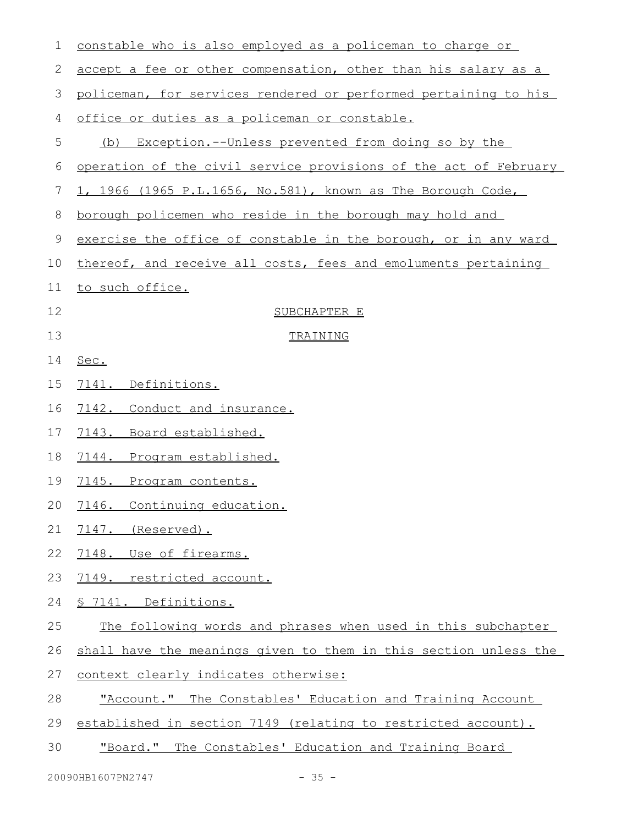| 1  | constable who is also employed as a policeman to charge or       |
|----|------------------------------------------------------------------|
| 2  | accept a fee or other compensation, other than his salary as a   |
| 3  | policeman, for services rendered or performed pertaining to his  |
| 4  | office or duties as a policeman or constable.                    |
| 5  | Exception.--Unless prevented from doing so by the<br>(b)         |
| 6  | operation of the civil service provisions of the act of February |
| 7  | 1, 1966 (1965 P.L.1656, No.581), known as The Borough Code,      |
| 8  | borough policemen who reside in the borough may hold and         |
| 9  | exercise the office of constable in the borough, or in any ward  |
| 10 | thereof, and receive all costs, fees and emoluments pertaining   |
| 11 | to such office.                                                  |
| 12 | SUBCHAPTER E                                                     |
| 13 | TRAINING                                                         |
| 14 | Sec.                                                             |
| 15 | 7141. Definitions.                                               |
| 16 | 7142. Conduct and insurance.                                     |
| 17 | 7143. Board established.                                         |
| 18 | 7144. Program established.                                       |
| 19 | 7145. Program contents.                                          |
| 20 | 7146. Continuing education.                                      |
| 21 | 7147. (Reserved).                                                |
| 22 | 7148. Use of firearms.                                           |
| 23 | 7149. restricted account.                                        |
| 24 | § 7141. Definitions.                                             |
| 25 | The following words and phrases when used in this subchapter     |
| 26 | shall have the meanings given to them in this section unless the |
| 27 | context clearly indicates otherwise:                             |
| 28 | "Account." The Constables' Education and Training Account        |
| 29 | established in section 7149 (relating to restricted account).    |
| 30 | "Board." The Constables' Education and Training Board            |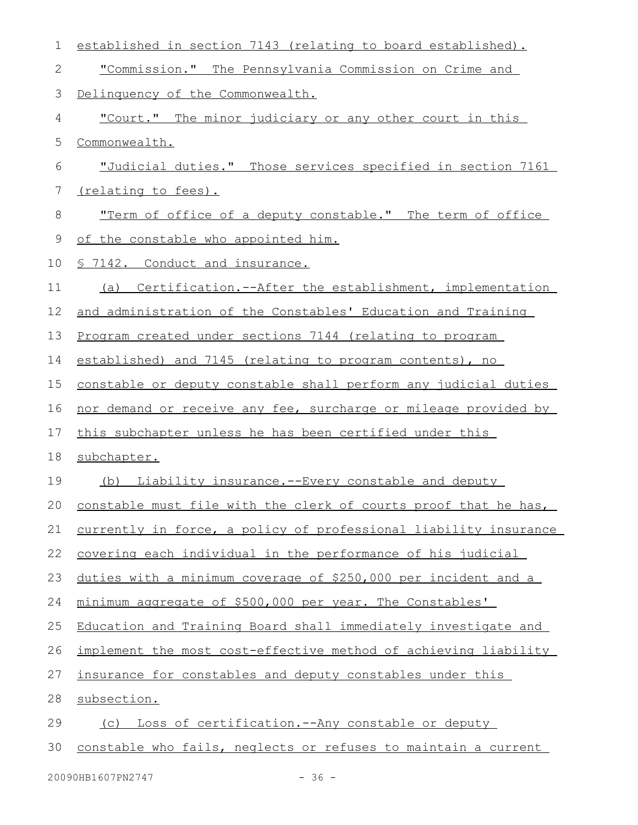| $\mathbf 1$ | established in section 7143 (relating to board established).     |
|-------------|------------------------------------------------------------------|
| 2           | "Commission." The Pennsylvania Commission on Crime and           |
| 3           | Delinquency of the Commonwealth.                                 |
| 4           | "Court." The minor judiciary or any other court in this          |
| 5           | Commonwealth.                                                    |
| 6           | "Judicial duties." Those services specified in section 7161      |
| 7           | (relating to fees).                                              |
| 8           | "Term of office of a deputy constable." The term of office       |
| 9           | of the constable who appointed him.                              |
| 10          | <u>§ 7142. Conduct and insurance.</u>                            |
| 11          | (a) Certification.--After the establishment, implementation      |
| 12          | and administration of the Constables' Education and Training     |
| 13          | Program created under sections 7144 (relating to program         |
| 14          | established) and 7145 (relating to program contents), no         |
| 15          | constable or deputy constable shall perform any judicial duties  |
| 16          | nor demand or receive any fee, surcharge or mileage provided by  |
| 17          | this subchapter unless he has been certified under this          |
| 18          | subchapter.                                                      |
| 19          | (b) Liability insurance.--Every constable and deputy             |
| 20          | constable must file with the clerk of courts proof that he has.  |
| 21          | currently in force, a policy of professional liability insurance |
| 22          | covering each individual in the performance of his judicial      |
| 23          | duties with a minimum coverage of \$250,000 per incident and a   |
| 24          | minimum aggregate of \$500,000 per year. The Constables'         |
| 25          | Education and Training Board shall immediately investigate and   |
| 26          | implement the most cost-effective method of achieving liability  |
| 27          | insurance for constables and deputy constables under this        |
| 28          | subsection.                                                      |
| 29          | Loss of certification.--Any constable or deputy<br>(C)           |
| 30          | constable who fails, neglects or refuses to maintain a current   |
|             |                                                                  |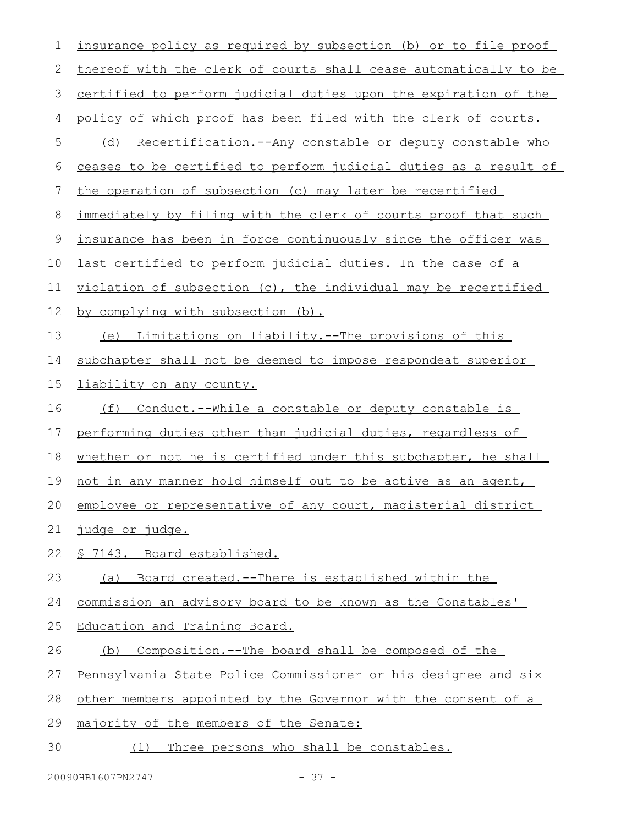| 1  | insurance policy as required by subsection (b) or to file proof  |
|----|------------------------------------------------------------------|
| 2  | thereof with the clerk of courts shall cease automatically to be |
| 3  | certified to perform judicial duties upon the expiration of the  |
| 4  | policy of which proof has been filed with the clerk of courts.   |
| 5  | (d) Recertification.--Any constable or deputy constable who      |
| 6  | ceases to be certified to perform judicial duties as a result of |
| 7  | the operation of subsection (c) may later be recertified         |
| 8  | immediately by filing with the clerk of courts proof that such   |
| 9  | insurance has been in force continuously since the officer was   |
| 10 | last certified to perform judicial duties. In the case of a      |
| 11 | violation of subsection (c), the individual may be recertified   |
| 12 | by complying with subsection (b).                                |
| 13 | (e) Limitations on liability.--The provisions of this            |
| 14 | subchapter shall not be deemed to impose respondeat superior     |
| 15 | liability on any county.                                         |
| 16 | (f) Conduct.--While a constable or deputy constable is           |
| 17 | performing duties other than judicial duties, regardless of      |
| 18 | whether or not he is certified under this subchapter, he shall   |
| 19 | not in any manner hold himself out to be active as an agent,     |
|    | 20 employee or representative of any court, magisterial district |
| 21 | <u>judge or judge.</u>                                           |
| 22 | § 7143. Board established.                                       |
| 23 | (a) Board created.--There is established within the              |
| 24 | commission an advisory board to be known as the Constables'      |
| 25 | Education and Training Board.                                    |
| 26 | Composition.--The board shall be composed of the<br>(b)          |
| 27 | Pennsylvania State Police Commissioner or his designee and six   |
| 28 | other members appointed by the Governor with the consent of a    |
| 29 | majority of the members of the Senate:                           |
| 30 | (1) Three persons who shall be constables.                       |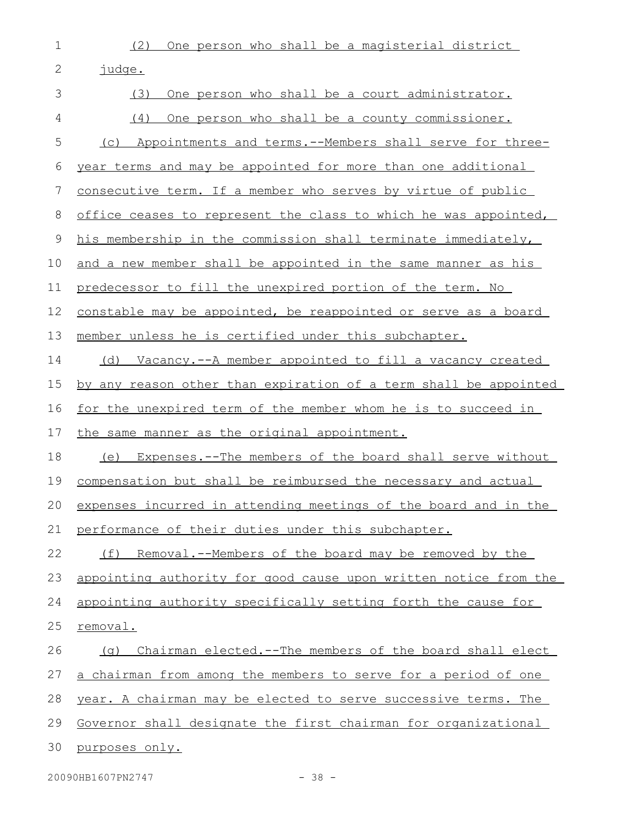1

(2) One person who shall be a magisterial district

| 2           | judge.                                                               |
|-------------|----------------------------------------------------------------------|
| 3           | One person who shall be a court administrator.<br>(3)                |
| 4           | One person who shall be a county commissioner.<br>(4)                |
| 5           | Appointments and terms.--Members shall serve for three-<br>(C)       |
| 6           | year terms and may be appointed for more than one additional         |
| 7           | consecutive term. If a member who serves by virtue of public         |
| 8           | office ceases to represent the class to which he was appointed,      |
| $\mathsf 9$ | his membership in the commission shall terminate immediately,        |
| 10          | and a new member shall be appointed in the same manner as his        |
| 11          | predecessor to fill the unexpired portion of the term. No            |
| 12          | constable may be appointed, be reappointed or serve as a board       |
| 13          | member unless he is certified under this subchapter.                 |
| 14          | (d) Vacancy.--A member appointed to fill a vacancy created           |
| 15          | by any reason other than expiration of a term shall be appointed     |
| 16          | <u>for the unexpired term of the member whom he is to succeed in</u> |
| 17          | the same manner as the original appointment.                         |
| 18          | (e) Expenses.--The members of the board shall serve without          |
| 19          | compensation but shall be reimbursed the necessary and actual        |
| 20          | expenses incurred in attending meetings of the board and in the      |
| 21          | performance of their duties under this subchapter.                   |
| 22          | (f)<br>Removal.--Members of the board may be removed by the          |
| 23          | appointing authority for good cause upon written notice from the     |
| 24          | appointing authority specifically setting forth the cause for        |
| 25          | removal.                                                             |
| 26          | Chairman elected.--The members of the board shall elect<br>(q)       |
| 27          | a chairman from among the members to serve for a period of one       |
| 28          | year. A chairman may be elected to serve successive terms. The       |
| 29          | Governor shall designate the first chairman for organizational       |
| 30          | purposes only.                                                       |

20090HB1607PN2747 - 38 -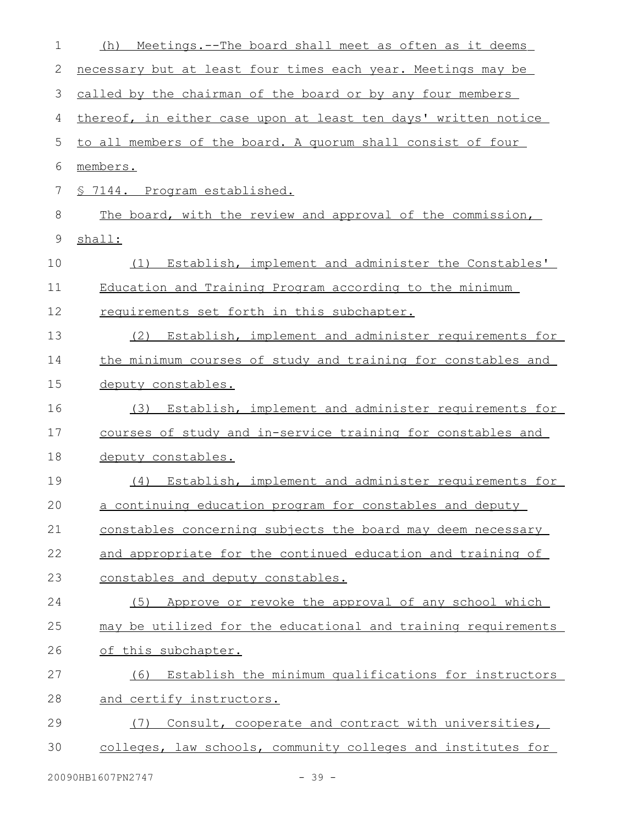| $\mathbf 1$ | Meetings.--The board shall meet as often as it deems<br>(h)    |
|-------------|----------------------------------------------------------------|
| 2           | necessary but at least four times each year. Meetings may be   |
| 3           | called by the chairman of the board or by any four members     |
| 4           | thereof, in either case upon at least ten days' written notice |
| 5           | to all members of the board. A quorum shall consist of four    |
| 6           | members.                                                       |
| 7           | § 7144. Program established.                                   |
| $\,8\,$     | The board, with the review and approval of the commission,     |
| $\mathsf 9$ | shall:                                                         |
| 10          | (1) Establish, implement and administer the Constables'        |
| 11          | Education and Training Program according to the minimum        |
| 12          | requirements set forth in this subchapter.                     |
| 13          | Establish, implement and administer requirements for<br>(2)    |
| 14          | the minimum courses of study and training for constables and   |
| 15          | deputy constables.                                             |
| 16          | Establish, implement and administer requirements for<br>(3)    |
| 17          | courses of study and in-service training for constables and    |
| 18          | deputy constables.                                             |
| 19          | (4) Establish, implement and administer requirements for       |
| 20          | a continuing education program for constables and deputy       |
| 21          | constables concerning subjects the board may deem necessary    |
| 22          | and appropriate for the continued education and training of    |
| 23          | constables and deputy constables.                              |
| 24          | Approve or revoke the approval of any school which<br>(5)      |
| 25          | may be utilized for the educational and training requirements  |
| 26          | of this subchapter.                                            |
| 27          | Establish the minimum qualifications for instructors<br>(6)    |
| 28          | and certify instructors.                                       |
| 29          | Consult, cooperate and contract with universities,<br>(7)      |
| 30          | colleges, law schools, community colleges and institutes for   |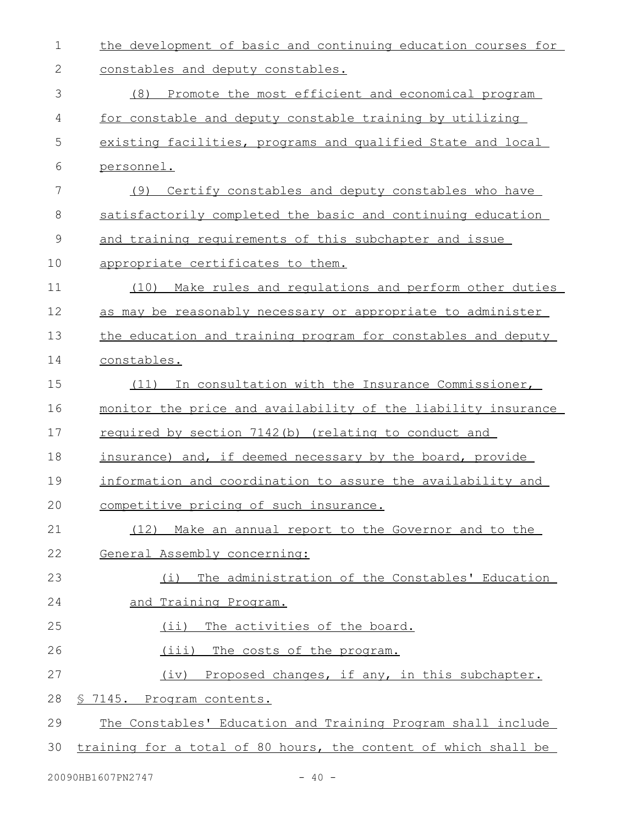| $\mathbf 1$ | the development of basic and continuing education courses for   |
|-------------|-----------------------------------------------------------------|
| 2           | constables and deputy constables.                               |
| 3           | Promote the most efficient and economical program<br>(8)        |
| 4           | for constable and deputy constable training by utilizing        |
| 5           | existing facilities, programs and qualified State and local     |
| 6           | personnel.                                                      |
| 7           | (9) Certify constables and deputy constables who have           |
| 8           | satisfactorily completed the basic and continuing education     |
| 9           | and training requirements of this subchapter and issue          |
| 10          | appropriate certificates to them.                               |
| 11          | Make rules and regulations and perform other duties<br>(10)     |
| 12          | as may be reasonably necessary or appropriate to administer     |
| 13          | the education and training program for constables and deputy    |
| 14          | constables.                                                     |
| 15          | (11) In consultation with the Insurance Commissioner,           |
| 16          | monitor the price and availability of the liability insurance   |
| 17          | required by section 7142(b) (relating to conduct and            |
| 18          | insurance) and, if deemed necessary by the board, provide       |
| 19          | information and coordination to assure the availability and     |
| 20          | competitive pricing of such insurance.                          |
| 21          | (12) Make an annual report to the Governor and to the           |
| 22          | General Assembly concerning:                                    |
| 23          | The administration of the Constables' Education<br>(i)          |
| 24          | and Training Program.                                           |
| 25          | (ii) The activities of the board.                               |
| 26          | (iii)<br>The costs of the program.                              |
| 27          | (iv) Proposed changes, if any, in this subchapter.              |
| 28          | <u>S 7145. Program contents.</u>                                |
| 29          | The Constables' Education and Training Program shall include    |
| 30          | training for a total of 80 hours, the content of which shall be |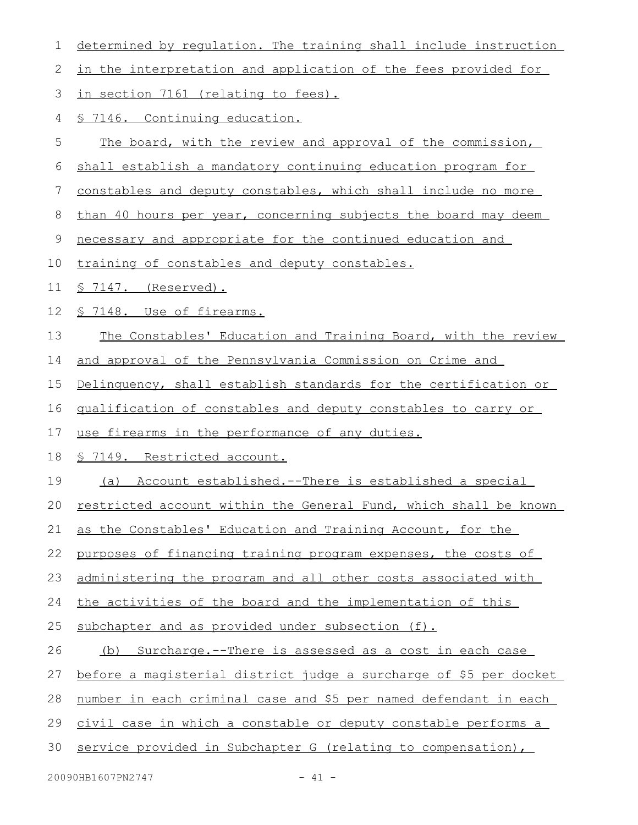| 1            | determined by regulation. The training shall include instruction  |
|--------------|-------------------------------------------------------------------|
| $\mathbf{2}$ | in the interpretation and application of the fees provided for    |
| 3            | in section 7161 (relating to fees).                               |
| 4            | § 7146. Continuing education.                                     |
| 5            | The board, with the review and approval of the commission,        |
| 6            | shall establish a mandatory continuing education program for      |
| 7            | constables and deputy constables, which shall include no more     |
| 8            | than 40 hours per year, concerning subjects the board may deem    |
| $\mathsf 9$  | necessary and appropriate for the continued education and         |
| 10           | training of constables and deputy constables.                     |
| 11           | $$7147.$ (Reserved).                                              |
| 12           | § 7148. Use of firearms.                                          |
| 13           | The Constables' Education and Training Board, with the review     |
| 14           | and approval of the Pennsylvania Commission on Crime and          |
| 15           | Delinquency, shall establish standards for the certification or   |
| 16           | qualification of constables and deputy constables to carry or     |
| 17           | use firearms in the performance of any duties.                    |
| 18           | <u>§ 7149. Restricted account.</u>                                |
| 19           | Account established.--There is established a special<br>(a)       |
| 20           | restricted account within the General Fund, which shall be known  |
| 21           | as the Constables' Education and Training Account, for the        |
| 22           | purposes of financing training program expenses, the costs of     |
| 23           | administering the program and all other costs associated with     |
| 24           | the activities of the board and the implementation of this        |
| 25           | subchapter and as provided under subsection (f).                  |
| 26           | (b) Surcharge.--There is assessed as a cost in each case          |
| 27           | before a magisterial district judge a surcharge of \$5 per docket |
| 28           | number in each criminal case and \$5 per named defendant in each  |
| 29           | civil case in which a constable or deputy constable performs a    |
| 30           | service provided in Subchapter G (relating to compensation),      |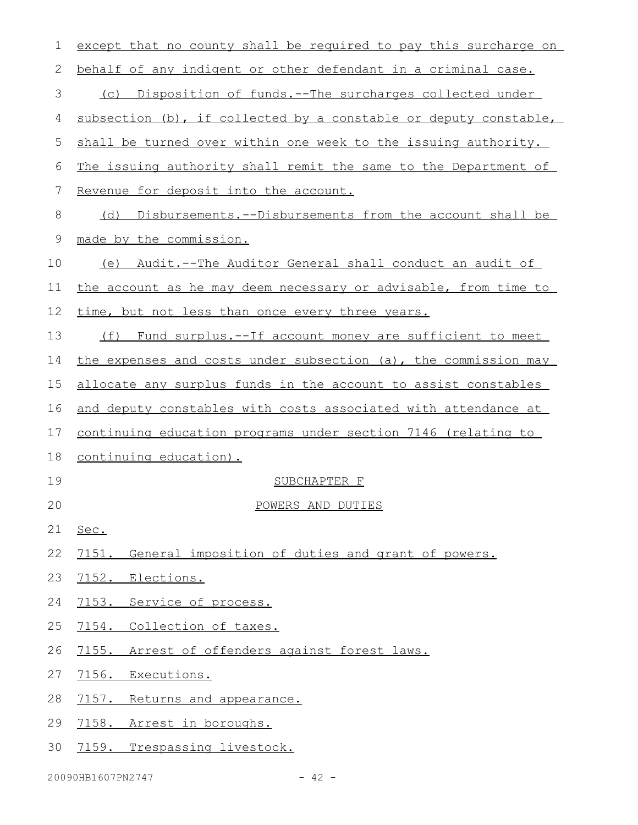| 1  | except that no county shall be required to pay this surcharge on      |
|----|-----------------------------------------------------------------------|
| 2  | behalf of any indigent or other defendant in a criminal case.         |
| 3  | (c) Disposition of funds.--The surcharges collected under             |
| 4  | subsection (b), if collected by a constable or deputy constable,      |
| 5  | shall be turned over within one week to the issuing authority.        |
| 6  | The issuing authority shall remit the same to the Department of       |
| 7  | Revenue for deposit into the account.                                 |
| 8  | Disbursements.--Disbursements from the account shall be<br>(d)        |
| 9  | made by the commission.                                               |
| 10 | (e) Audit.--The Auditor General shall conduct an audit of             |
| 11 | the account as he may deem necessary or advisable, from time to       |
| 12 | time, but not less than once every three years.                       |
| 13 | Fund surplus.--If account money are sufficient to meet<br>(f)         |
| 14 | the expenses and costs under subsection (a), the commission may       |
| 15 | allocate any surplus funds in the account to assist constables        |
| 16 | and deputy constables with costs associated with attendance at        |
| 17 | <u>continuing education programs under section 7146 (relating to </u> |
| 18 | continuing education).                                                |
| 19 | SUBCHAPTER F                                                          |
| 20 | POWERS AND DUTIES                                                     |
| 21 | Sec.                                                                  |
| 22 | 7151. General imposition of duties and grant of powers.               |
| 23 | 7152. Elections.                                                      |
| 24 | 7153. Service of process.                                             |
| 25 | 7154. Collection of taxes.                                            |
| 26 | 7155. Arrest of offenders against forest laws.                        |
| 27 | 7156. Executions.                                                     |
| 28 | 7157.<br>Returns and appearance.                                      |
| 29 | 7158. Arrest in boroughs.                                             |
| 30 | 7159. Trespassing livestock.                                          |
|    |                                                                       |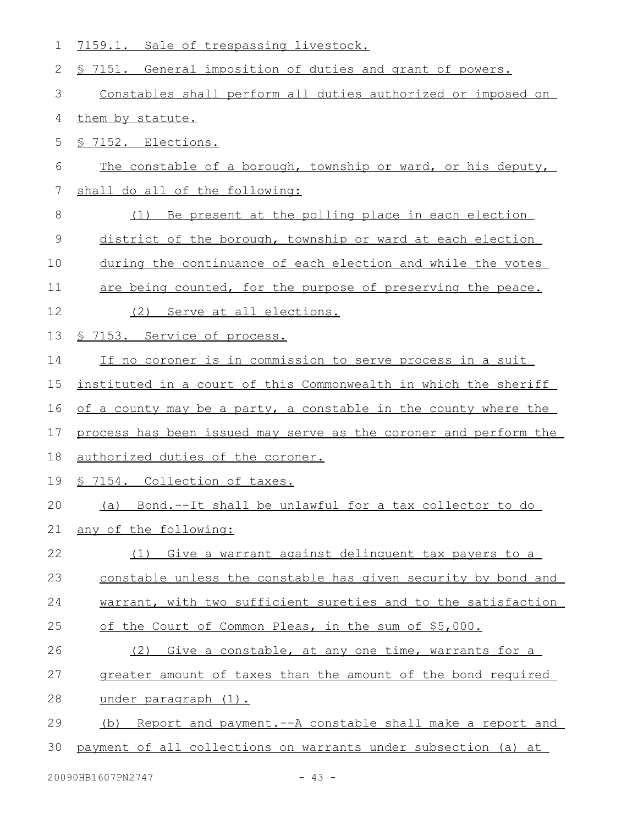| 1  | 7159.1. Sale of trespassing livestock.                           |
|----|------------------------------------------------------------------|
| 2  | \$ 7151. General imposition of duties and grant of powers.       |
| 3  | Constables shall perform all duties authorized or imposed on     |
| 4  | them by statute.                                                 |
| 5  | \$ 7152. Elections.                                              |
| 6  | The constable of a borough, township or ward, or his deputy,     |
| 7  | shall do all of the following:                                   |
| 8  | Be present at the polling place in each election<br>(1)          |
| 9  | district of the borough, township or ward at each election       |
| 10 | during the continuance of each election and while the votes      |
| 11 | are being counted, for the purpose of preserving the peace.      |
| 12 | (2)<br>Serve at all elections.                                   |
| 13 | § 7153. Service of process.                                      |
| 14 | If no coroner is in commission to serve process in a suit        |
| 15 | instituted in a court of this Commonwealth in which the sheriff  |
| 16 | of a county may be a party, a constable in the county where the  |
| 17 | process has been issued may serve as the coroner and perform the |
| 18 | authorized duties of the coroner.                                |
| 19 | 7154. Collection of taxes.                                       |
| 20 | Bond.--It shall be unlawful for a tax collector to do<br>(a)     |
| 21 | any of the following:                                            |
| 22 | (1) Give a warrant against delinguent tax payers to a            |
| 23 | constable unless the constable has given security by bond and    |
| 24 | warrant, with two sufficient sureties and to the satisfaction    |
| 25 | of the Court of Common Pleas, in the sum of \$5,000.             |
| 26 | Give a constable, at any one time, warrants for a<br>(2)         |
| 27 | greater amount of taxes than the amount of the bond required     |
| 28 | under paragraph (1).                                             |
| 29 | Report and payment.--A constable shall make a report and<br>(b)  |
| 30 | payment of all collections on warrants under subsection (a) at   |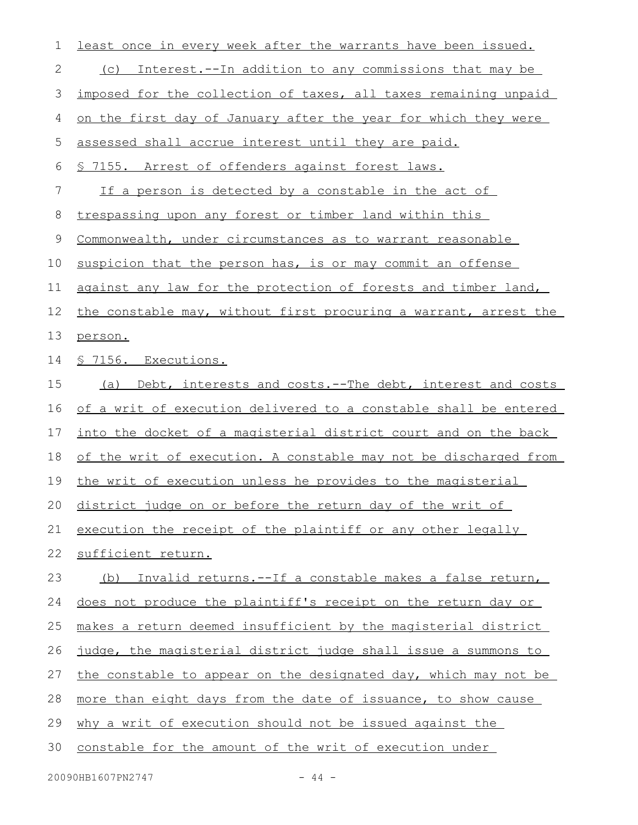| 1  | least once in every week after the warrants have been issued.    |
|----|------------------------------------------------------------------|
| 2  | Interest.--In addition to any commissions that may be<br>(C)     |
| 3  | imposed for the collection of taxes, all taxes remaining unpaid  |
| 4  | on the first day of January after the year for which they were   |
| 5  | assessed shall accrue interest until they are paid.              |
| 6  | \$ 7155. Arrest of offenders against forest laws.                |
| 7  | If a person is detected by a constable in the act of             |
| 8  | trespassing upon any forest or timber land within this           |
| 9  | Commonwealth, under circumstances as to warrant reasonable       |
| 10 | suspicion that the person has, is or may commit an offense       |
| 11 | against any law for the protection of forests and timber land,   |
| 12 | the constable may, without first procuring a warrant, arrest the |
| 13 | person.                                                          |
| 14 | <u>S 7156. Executions.</u>                                       |
| 15 | Debt, interests and costs.--The debt, interest and costs<br>(a)  |
| 16 | of a writ of execution delivered to a constable shall be entered |
| 17 | into the docket of a magisterial district court and on the back  |
| 18 | of the writ of execution. A constable may not be discharged from |
| 19 | the writ of execution unless he provides to the magisterial      |
|    | 20 district judge on or before the return day of the writ of     |
| 21 | execution the receipt of the plaintiff or any other legally      |
| 22 | sufficient return.                                               |
| 23 | Invalid returns.--If a constable makes a false return,<br>(b)    |
| 24 | does not produce the plaintiff's receipt on the return day or    |
| 25 | makes a return deemed insufficient by the magisterial district   |
| 26 | judge, the magisterial district judge shall issue a summons to   |
| 27 | the constable to appear on the designated day, which may not be  |
| 28 | more than eight days from the date of issuance, to show cause    |
| 29 | why a writ of execution should not be issued against the         |
| 30 | constable for the amount of the writ of execution under          |
|    |                                                                  |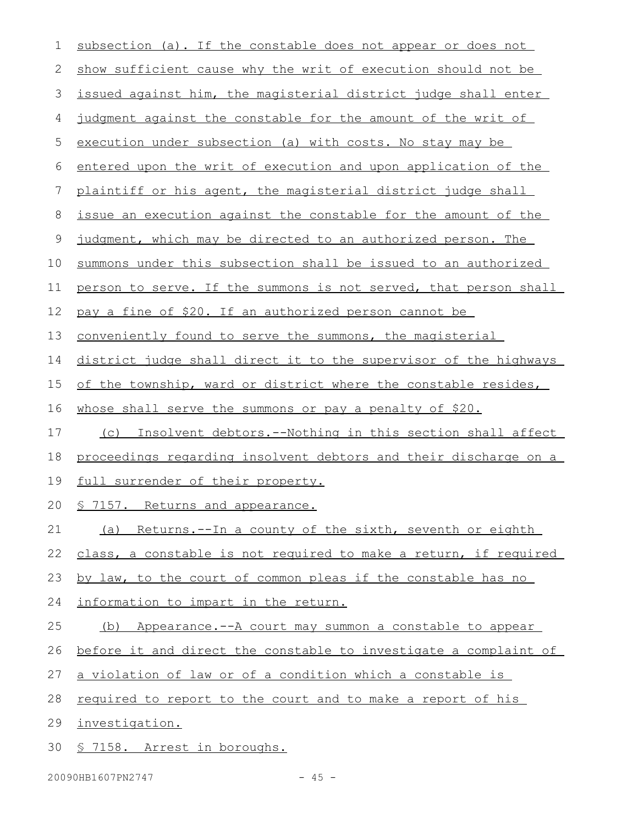| subsection (a). If the constable does not appear or does not     |
|------------------------------------------------------------------|
| show sufficient cause why the writ of execution should not be    |
| issued against him, the magisterial district judge shall enter   |
| judgment against the constable for the amount of the writ of     |
| execution under subsection (a) with costs. No stay may be        |
| entered upon the writ of execution and upon application of the   |
| plaintiff or his agent, the magisterial district judge shall     |
| issue an execution against the constable for the amount of the   |
| judgment, which may be directed to an authorized person. The     |
| summons under this subsection shall be issued to an authorized   |
| person to serve. If the summons is not served, that person shall |
| pay a fine of \$20. If an authorized person cannot be            |
| conveniently found to serve the summons, the magisterial         |
| district judge shall direct it to the supervisor of the highways |
| of the township, ward or district where the constable resides,   |
| whose shall serve the summons or pay a penalty of \$20.          |
| (c) Insolvent debtors.--Nothing in this section shall affect     |
| proceedings regarding insolvent debtors and their discharge on a |
| full surrender of their property.                                |
| § 7157. Returns and appearance.                                  |
| (a) Returns.--In a county of the sixth, seventh or eighth        |
| class, a constable is not required to make a return, if required |
| by law, to the court of common pleas if the constable has no     |
| information to impart in the return.                             |
| Appearance.--A court may summon a constable to appear<br>(b)     |
| before it and direct the constable to investigate a complaint of |
| a violation of law or of a condition which a constable is        |
| required to report to the court and to make a report of his      |
| investigation.                                                   |
| § 7158. Arrest in boroughs.                                      |
|                                                                  |

20090HB1607PN2747 - 45 -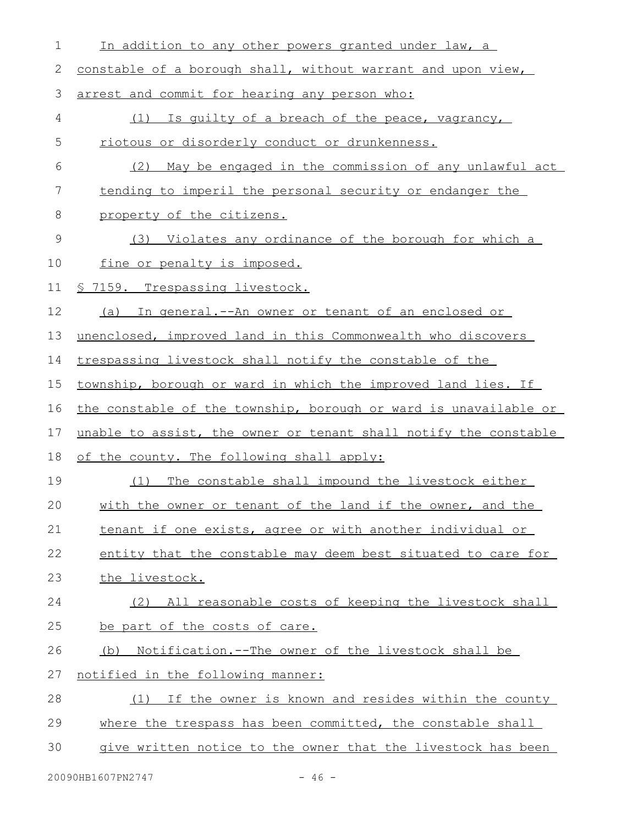| 1           | In addition to any other powers granted under law, a             |
|-------------|------------------------------------------------------------------|
| 2           | constable of a borough shall, without warrant and upon view,     |
| 3           | arrest and commit for hearing any person who:                    |
| 4           | Is quilty of a breach of the peace, vagrancy,<br>(1)             |
| 5           | riotous or disorderly conduct or drunkenness.                    |
| 6           | May be engaged in the commission of any unlawful act<br>(2)      |
| 7           | tending to imperil the personal security or endanger the         |
| 8           | property of the citizens.                                        |
| $\mathsf 9$ | (3) Violates any ordinance of the borough for which a            |
| 10          | fine or penalty is imposed.                                      |
| 11          | <u>§ 7159. Trespassing livestock.</u>                            |
| 12          | (a) In general.--An owner or tenant of an enclosed or            |
| 13          | unenclosed, improved land in this Commonwealth who discovers     |
| 14          | trespassing livestock shall notify the constable of the          |
| 15          | township, borough or ward in which the improved land lies. If    |
| 16          | the constable of the township, borough or ward is unavailable or |
| 17          | unable to assist, the owner or tenant shall notify the constable |
| 18          | of the county. The following shall apply:                        |
| 19          | The constable shall impound the livestock either<br>(1)          |
| 20          | with the owner or tenant of the land if the owner, and the       |
| 21          | tenant if one exists, agree or with another individual or        |
| 22          | entity that the constable may deem best situated to care for     |
| 23          | the livestock.                                                   |
| 24          | (2) All reasonable costs of keeping the livestock shall          |
| 25          | be part of the costs of care.                                    |
| 26          | Notification.--The owner of the livestock shall be<br>(b)        |
| 27          | notified in the following manner:                                |
| 28          | If the owner is known and resides within the county<br>(1)       |
| 29          | where the trespass has been committed, the constable shall       |
| 30          | give written notice to the owner that the livestock has been     |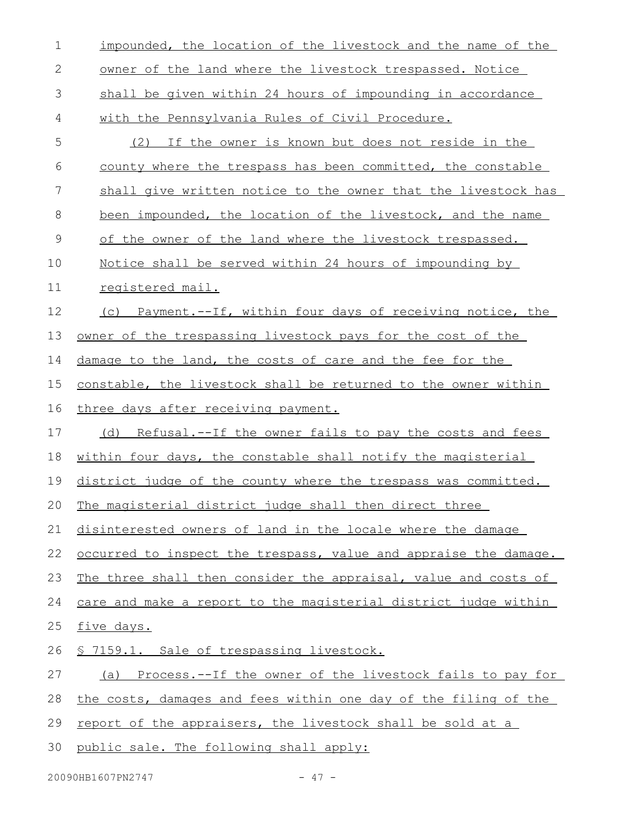| 1            | impounded, the location of the livestock and the name of the     |
|--------------|------------------------------------------------------------------|
| $\mathbf{2}$ | owner of the land where the livestock trespassed. Notice         |
| 3            | shall be given within 24 hours of impounding in accordance       |
| 4            | with the Pennsylvania Rules of Civil Procedure.                  |
| 5            | (2) If the owner is known but does not reside in the             |
| 6            | county where the trespass has been committed, the constable      |
| 7            | shall give written notice to the owner that the livestock has    |
| 8            | been impounded, the location of the livestock, and the name      |
| 9            | of the owner of the land where the livestock trespassed.         |
| 10           | Notice shall be served within 24 hours of impounding by          |
| 11           | registered mail.                                                 |
| 12           | (c) Payment.--If, within four days of receiving notice, the      |
| 13           | owner of the trespassing livestock pays for the cost of the      |
| 14           | damage to the land, the costs of care and the fee for the        |
| 15           | constable, the livestock shall be returned to the owner within   |
|              |                                                                  |
| 16           | three days after receiving payment.                              |
| 17           | Refusal.--If the owner fails to pay the costs and fees<br>(d)    |
| 18           | within four days, the constable shall notify the magisterial     |
| 19           | district judge of the county where the trespass was committed.   |
| 20           | The magisterial district judge shall then direct three           |
| 21           | disinterested owners of land in the locale where the damage      |
| 22           | occurred to inspect the trespass, value and appraise the damage. |
| 23           | The three shall then consider the appraisal, value and costs of  |
| 24           | care and make a report to the magisterial district judge within  |
| 25           | five days.                                                       |
| 26           | § 7159.1. Sale of trespassing livestock.                         |
| 27           | (a) Process.--If the owner of the livestock fails to pay for     |
| 28           | the costs, damages and fees within one day of the filing of the  |
| 29           | report of the appraisers, the livestock shall be sold at a       |

20090HB1607PN2747 - 47 -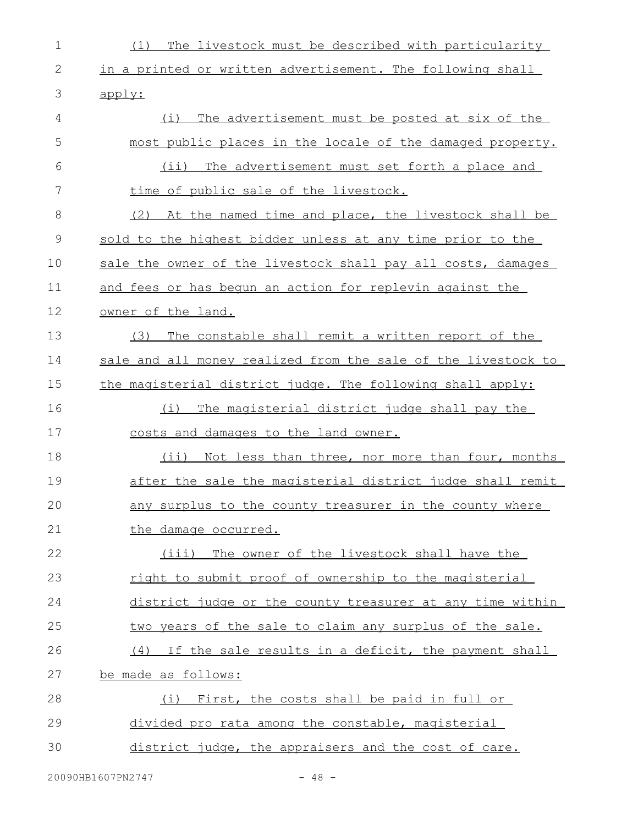| $\mathbf 1$  | The livestock must be described with particularity<br>(1)     |
|--------------|---------------------------------------------------------------|
| $\mathbf{2}$ | in a printed or written advertisement. The following shall    |
| 3            | apply:                                                        |
| 4            | (i) The advertisement must be posted at six of the            |
| 5            | most public places in the locale of the damaged property.     |
| 6            | The advertisement must set forth a place and<br>$(i$ ii)      |
| 7            | time of public sale of the livestock.                         |
| 8            | (2) At the named time and place, the livestock shall be       |
| 9            | sold to the highest bidder unless at any time prior to the    |
| 10           | sale the owner of the livestock shall pay all costs, damages  |
| 11           | and fees or has bequn an action for replevin against the      |
| 12           | owner of the land.                                            |
| 13           | The constable shall remit a written report of the<br>(3)      |
| 14           | sale and all money realized from the sale of the livestock to |
| 15           | the magisterial district judge. The following shall apply:    |
| 16           | The magisterial district judge shall pay the<br>(i)           |
| 17           | costs and damages to the land owner.                          |
| 18           | (ii) Not less than three, nor more than four, months          |
| 19           | after the sale the magisterial district judge shall remit     |
| 20           | any surplus to the county treasurer in the county where       |
| 21           | the damage occurred.                                          |
| 22           | The owner of the livestock shall have the<br>(iii)            |
| 23           | right to submit proof of ownership to the magisterial         |
| 24           | district judge or the county treasurer at any time within     |
| 25           | two years of the sale to claim any surplus of the sale.       |
| 26           | (4) If the sale results in a deficit, the payment shall       |
| 27           | be made as follows:                                           |
| 28           | (i) First, the costs shall be paid in full or                 |
| 29           | divided pro rata among the constable, magisterial             |
| 30           | district judge, the appraisers and the cost of care.          |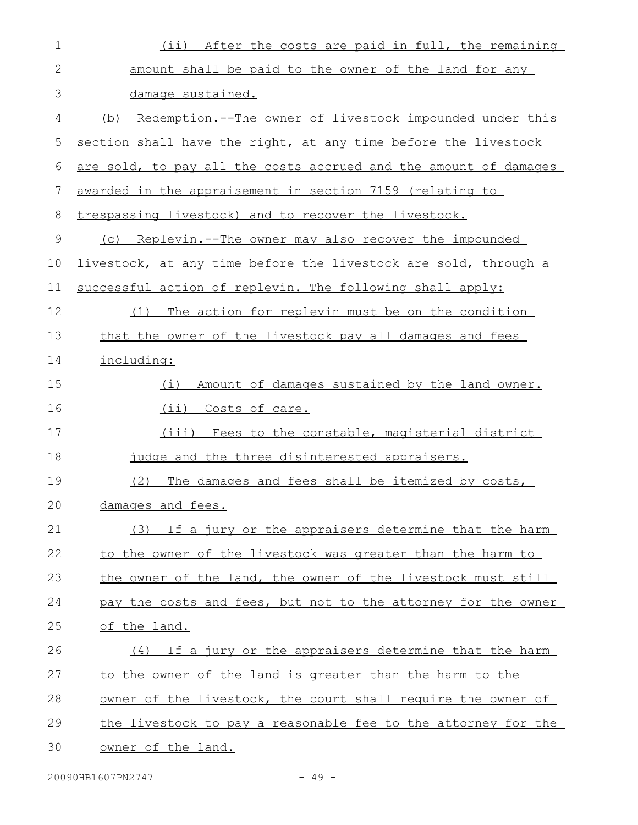| $\mathbf 1$ | (ii) After the costs are paid in full, the remaining             |
|-------------|------------------------------------------------------------------|
| 2           | amount shall be paid to the owner of the land for any            |
| 3           | damage sustained.                                                |
| 4           | (b) Redemption.--The owner of livestock impounded under this     |
| 5           | section shall have the right, at any time before the livestock   |
| 6           | are sold, to pay all the costs accrued and the amount of damages |
| 7           | awarded in the appraisement in section 7159 (relating to         |
| 8           | trespassing livestock) and to recover the livestock.             |
| 9           | (c) Replevin.--The owner may also recover the impounded          |
| 10          | livestock, at any time before the livestock are sold, through a  |
| 11          | successful action of replevin. The following shall apply:        |
| 12          | The action for replevin must be on the condition<br>(1)          |
| 13          | that the owner of the livestock pay all damages and fees         |
| 14          | including:                                                       |
| 15          | Amount of damages sustained by the land owner.<br>(i)            |
| 16          | (ii) Costs of care.                                              |
| 17          | (iii) Fees to the constable, magisterial district                |
| 18          | judge and the three disinterested appraisers.                    |
| 19          | The damages and fees shall be itemized by costs,<br>(2)          |
| 20          | damages and fees.                                                |
| 21          | If a jury or the appraisers determine that the harm<br>(3)       |
| 22          | to the owner of the livestock was greater than the harm to       |
| 23          | the owner of the land, the owner of the livestock must still     |
| 24          | pay the costs and fees, but not to the attorney for the owner    |
| 25          | of the land.                                                     |
| 26          | If a jury or the appraisers determine that the harm<br>(4)       |
| 27          | to the owner of the land is greater than the harm to the         |
| 28          | owner of the livestock, the court shall require the owner of     |
| 29          | the livestock to pay a reasonable fee to the attorney for the    |
| 30          | owner of the land.                                               |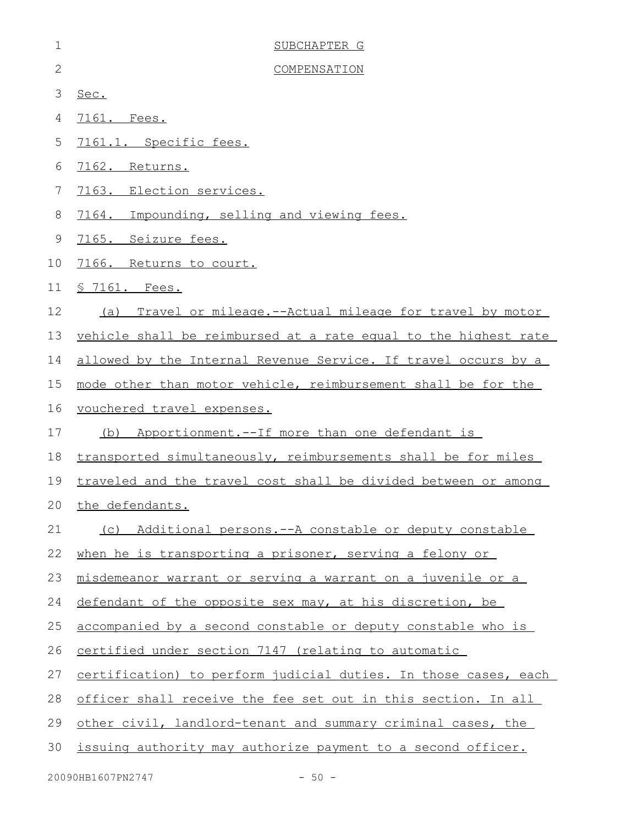| $\mathbf 1$  | SUBCHAPTER G                                                    |
|--------------|-----------------------------------------------------------------|
| $\mathbf{2}$ | COMPENSATION                                                    |
| 3            | Sec.                                                            |
| 4            | 7161. Fees.                                                     |
| 5            | 7161.1. Specific fees.                                          |
| 6            | 7162. Returns.                                                  |
| 7            | 7163. Election services.                                        |
| 8            | 7164. Impounding, selling and viewing fees.                     |
| $\mathsf 9$  | 7165. Seizure fees.                                             |
| 10           | 7166. Returns to court.                                         |
| 11           | <u>S 7161. Fees.</u>                                            |
| 12           | Travel or mileage.--Actual mileage for travel by motor<br>(a)   |
| 13           | vehicle shall be reimbursed at a rate equal to the highest rate |
| 14           | allowed by the Internal Revenue Service. If travel occurs by a  |
| 15           | mode other than motor vehicle, reimbursement shall be for the   |
| 16           | vouchered travel expenses.                                      |
| 17           | (b) Apportionment.--If more than one defendant is               |
| 18           | transported simultaneously, reimbursements shall be for miles   |
| 19           | traveled and the travel cost shall be divided between or among  |
|              | 20 the defendants.                                              |
| 21           | (c) Additional persons.--A constable or deputy constable        |
| 22           | when he is transporting a prisoner, serving a felony or         |
| 23           | misdemeanor warrant or serving a warrant on a juvenile or a     |
| 24           | defendant of the opposite sex may, at his discretion, be        |
| 25           | accompanied by a second constable or deputy constable who is    |
| 26           | certified under section 7147 (relating to automatic             |
| 27           | certification) to perform judicial duties. In those cases, each |
| 28           | officer shall receive the fee set out in this section. In all   |
| 29           | other civil, landlord-tenant and summary criminal cases, the    |
| 30           | issuing authority may authorize payment to a second officer.    |
|              |                                                                 |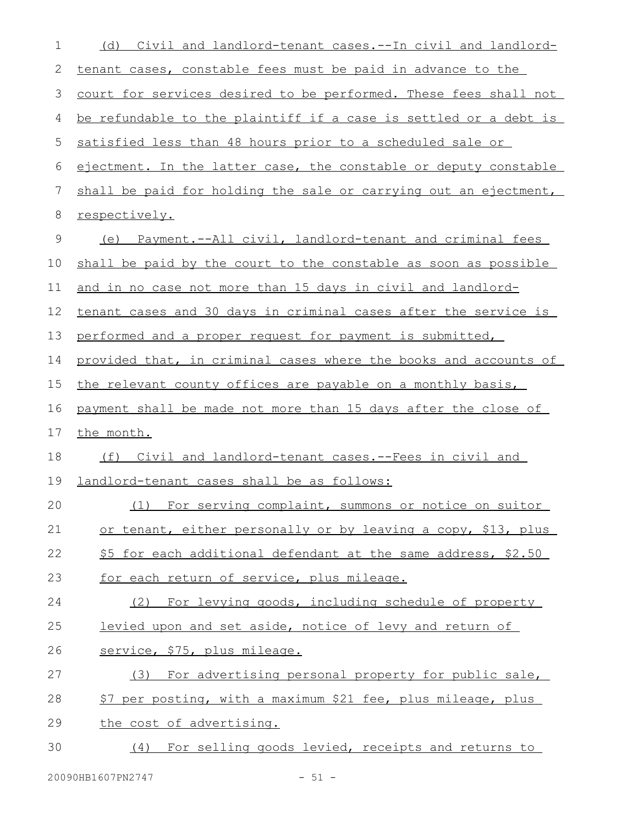| 1  | (d) Civil and landlord-tenant cases.--In civil and landlord-         |
|----|----------------------------------------------------------------------|
| 2  | tenant cases, constable fees must be paid in advance to the          |
| 3  | court for services desired to be performed. These fees shall not     |
| 4  | be refundable to the plaintiff if a case is settled or a debt is     |
| 5  | satisfied less than 48 hours prior to a scheduled sale or            |
| 6  | ejectment. In the latter case, the constable or deputy constable     |
| 7  | shall be paid for holding the sale or carrying out an ejectment,     |
| 8  | respectively.                                                        |
| 9  | <u>Payment.--All civil, landlord-tenant and criminal fees</u><br>(e) |
| 10 | shall be paid by the court to the constable as soon as possible      |
| 11 | and in no case not more than 15 days in civil and landlord-          |
| 12 | tenant cases and 30 days in criminal cases after the service is      |
| 13 | performed and a proper request for payment is submitted,             |
| 14 | provided that, in criminal cases where the books and accounts of     |
| 15 | the relevant county offices are payable on a monthly basis,          |
| 16 | payment shall be made not more than 15 days after the close of       |
|    |                                                                      |
| 17 | the month.                                                           |
| 18 | Civil and landlord-tenant cases.--Fees in civil and<br>(f)           |
| 19 | landlord-tenant cases shall be as follows:                           |
| 20 | (1) For serving complaint, summons or notice on suitor               |
| 21 | or tenant, either personally or by leaving a copy, \$13, plus        |
| 22 | \$5 for each additional defendant at the same address, \$2.50        |
| 23 | for each return of service, plus mileage.                            |
| 24 | (2) For levying goods, including schedule of property                |
| 25 | levied upon and set aside, notice of levy and return of              |
| 26 | service, \$75, plus mileage.                                         |
| 27 | (3) For advertising personal property for public sale,               |
| 28 | \$7 per posting, with a maximum \$21 fee, plus mileage, plus         |
| 29 | the cost of advertising.                                             |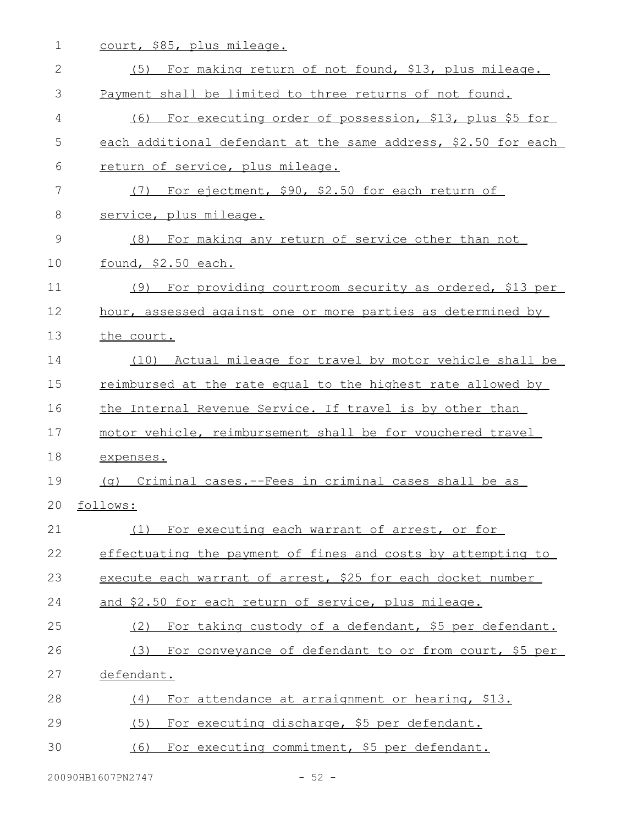1 court, \$85, plus mileage.

| $\mathbf{2}$ | (5) For making return of not found, \$13, plus mileage.        |
|--------------|----------------------------------------------------------------|
| 3            | Payment shall be limited to three returns of not found.        |
| 4            | (6) For executing order of possession, \$13, plus \$5 for      |
| 5            | each additional defendant at the same address, \$2.50 for each |
| 6            | return of service, plus mileage.                               |
| 7            | For ejectment, \$90, \$2.50 for each return of<br>(7)          |
| 8            | service, plus mileage.                                         |
| 9            | (8) For making any return of service other than not            |
| 10           | found, \$2.50 each.                                            |
| 11           | For providing courtroom security as ordered, \$13 per<br>(9)   |
| 12           | hour, assessed against one or more parties as determined by    |
| 13           | the court.                                                     |
| 14           | (10) Actual mileage for travel by motor vehicle shall be       |
| 15           | reimbursed at the rate equal to the highest rate allowed by    |
| 16           | the Internal Revenue Service. If travel is by other than       |
| 17           | motor vehicle, reimbursement shall be for vouchered travel     |
| 18           | expenses.                                                      |
| 19           | (q) Criminal cases.--Fees in criminal cases shall be as        |
| 20           | follows:                                                       |
| 21           | For executing each warrant of arrest, or for<br>(1)            |
| 22           | effectuating the payment of fines and costs by attempting to   |
| 23           | execute each warrant of arrest, \$25 for each docket number    |
| 24           | and \$2.50 for each return of service, plus mileage.           |
| 25           | For taking custody of a defendant, \$5 per defendant.<br>(2)   |
| 26           | For conveyance of defendant to or from court, \$5 per<br>(3)   |
| 27           | defendant.                                                     |
| 28           | For attendance at arraignment or hearing, \$13.<br>(4)         |
| 29           | For executing discharge, \$5 per defendant.<br>(5)             |
| 30           | For executing commitment, \$5 per defendant.<br>(6)            |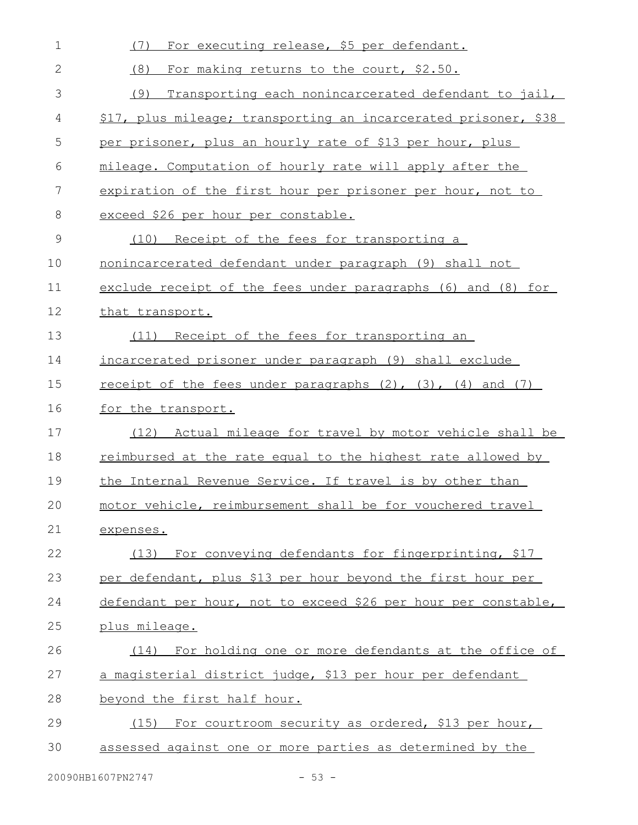| 1            | For executing release, \$5 per defendant.<br>(7)                     |
|--------------|----------------------------------------------------------------------|
| $\mathbf{2}$ | (8)<br>For making returns to the court, \$2.50.                      |
| 3            | (9)<br>Transporting each nonincarcerated defendant to jail,          |
| 4            | \$17, plus mileage; transporting an incarcerated prisoner, \$38      |
| 5            | per prisoner, plus an hourly rate of \$13 per hour, plus             |
| 6            | mileage. Computation of hourly rate will apply after the             |
| 7            | expiration of the first hour per prisoner per hour, not to           |
| 8            | exceed \$26 per hour per constable.                                  |
| 9            | (10) Receipt of the fees for transporting a                          |
| 10           | nonincarcerated defendant under paragraph (9) shall not              |
| 11           | exclude receipt of the fees under paragraphs (6) and (8) for         |
| 12           | that transport.                                                      |
| 13           | (11) Receipt of the fees for transporting an                         |
| 14           | incarcerated prisoner under paragraph (9) shall exclude              |
| 15           | receipt of the fees under paragraphs $(2)$ , $(3)$ , $(4)$ and $(7)$ |
| 16           | for the transport.                                                   |
| 17           | (12) Actual mileage for travel by motor vehicle shall be             |
| 18           | reimbursed at the rate equal to the highest rate allowed by          |
| 19           | the Internal Revenue Service. If travel is by other than             |
| 20           | motor vehicle, reimbursement shall be for vouchered travel           |
| 21           | expenses.                                                            |
| 22           | (13) For conveying defendants for fingerprinting, \$17               |
| 23           | per defendant, plus \$13 per hour beyond the first hour per          |
| 24           | defendant per hour, not to exceed \$26 per hour per constable,       |
| 25           | plus mileage.                                                        |
| 26           | (14) For holding one or more defendants at the office of             |
| 27           | a magisterial district judge, \$13 per hour per defendant            |
| 28           | beyond the first half hour.                                          |
| 29           | (15) For courtroom security as ordered, \$13 per hour,               |
| 30           | assessed against one or more parties as determined by the            |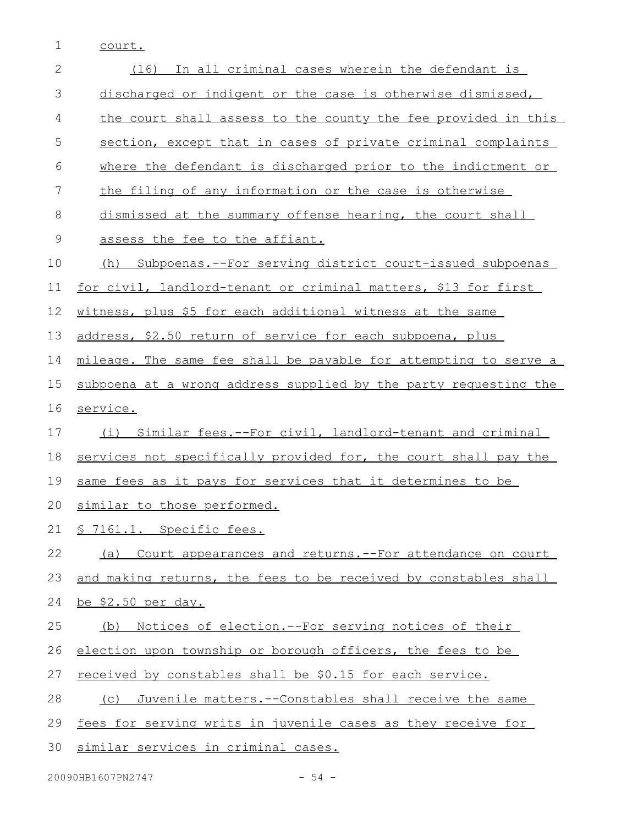1 court.

| $\overline{2}$ | In all criminal cases wherein the defendant is<br>(16)           |
|----------------|------------------------------------------------------------------|
| 3              | discharged or indigent or the case is otherwise dismissed,       |
| 4              | the court shall assess to the county the fee provided in this    |
| 5              | section, except that in cases of private criminal complaints     |
| 6              | where the defendant is discharged prior to the indictment or     |
| $\overline{7}$ | the filing of any information or the case is otherwise           |
| 8              | dismissed at the summary offense hearing, the court shall        |
| $\mathsf 9$    | assess the fee to the affiant.                                   |
| 10             | (h) Subpoenas.--For serving district court-issued subpoenas      |
| 11             | for civil, landlord-tenant or criminal matters, \$13 for first   |
| 12             | witness, plus \$5 for each additional witness at the same        |
| 13             | address, \$2.50 return of service for each subpoena, plus        |
| 14             | mileage. The same fee shall be payable for attempting to serve a |
| 15             | subpoena at a wrong address supplied by the party requesting the |
| 16             | service.                                                         |
| 17             | (i) Similar fees.--For civil, landlord-tenant and criminal       |
| 18             | services not specifically provided for, the court shall pay the  |
| 19             | same fees as it pays for services that it determines to be       |
| 20             | similar to those performed.                                      |
|                | 21 § 7161.1. Specific fees.                                      |
| 22             | (a) Court appearances and returns. -- For attendance on court    |
| 23             | and making returns, the fees to be received by constables shall  |
| 24             | <u>be \$2.50 per day.</u>                                        |
| 25             | Notices of election.--For serving notices of their<br>(b)        |
| 26             | election upon township or borough officers, the fees to be       |
| 27             | received by constables shall be \$0.15 for each service.         |
| 28             | Juvenile matters.--Constables shall receive the same<br>(C)      |
| 29             | fees for serving writs in juvenile cases as they receive for     |
| 30             | similar services in criminal cases.                              |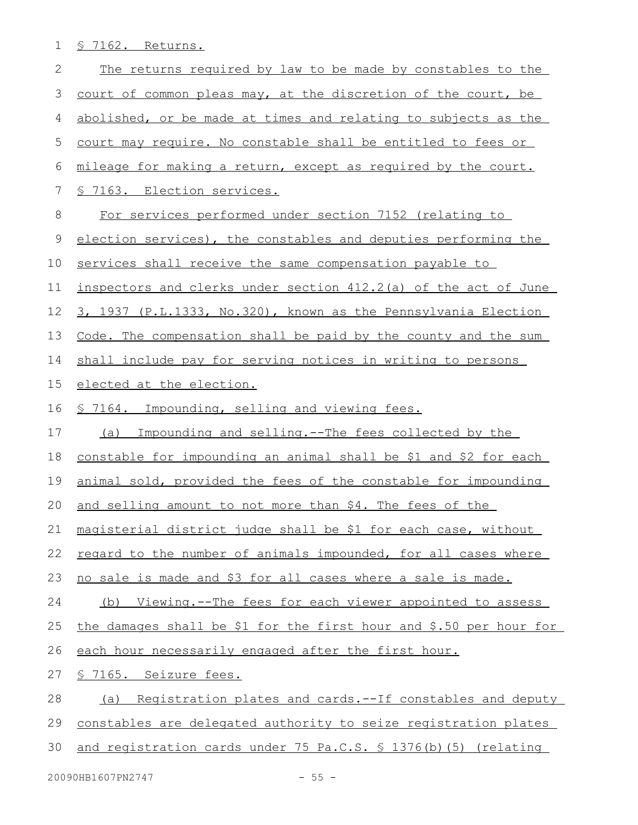1 § 7162. Returns.

| 2  | The returns required by law to be made by constables to the        |
|----|--------------------------------------------------------------------|
| 3  | court of common pleas may, at the discretion of the court, be      |
| 4  | abolished, or be made at times and relating to subjects as the     |
| 5  | court may require. No constable shall be entitled to fees or       |
| 6  | mileage for making a return, except as required by the court.      |
| 7  | § 7163. Election services.                                         |
| 8  | For services performed under section 7152 (relating to             |
| 9  | election services), the constables and deputies performing the     |
| 10 | services shall receive the same compensation payable to            |
| 11 | inspectors and clerks under section 412.2(a) of the act of June    |
| 12 | 3, 1937 (P.L.1333, No.320), known as the Pennsylvania Election     |
| 13 | Code. The compensation shall be paid by the county and the sum     |
| 14 | shall include pay for serving notices in writing to persons        |
| 15 | elected at the election.                                           |
| 16 | <u>S 7164. Impounding, selling and viewing fees.</u>               |
| 17 | Impounding and selling.--The fees collected by the<br>(a)          |
| 18 | constable for impounding an animal shall be \$1 and \$2 for each   |
| 19 | animal sold, provided the fees of the constable for impounding     |
| 20 | and selling amount to not more than \$4. The fees of the           |
| 21 | magisterial district judge shall be \$1 for each case, without     |
| 22 | regard to the number of animals impounded, for all cases where     |
| 23 | no sale is made and \$3 for all cases where a sale is made.        |
| 24 | (b) Viewing.--The fees for each viewer appointed to assess         |
| 25 | the damages shall be \$1 for the first hour and \$.50 per hour for |
| 26 | each hour necessarily engaged after the first hour.                |
| 27 | <u>§ 7165. Seizure fees.</u>                                       |
| 28 | Registration plates and cards.--If constables and deputy<br>(a)    |
| 29 | constables are delegated authority to seize registration plates    |
| 30 | and registration cards under 75 Pa.C.S. § 1376(b)(5) (relating     |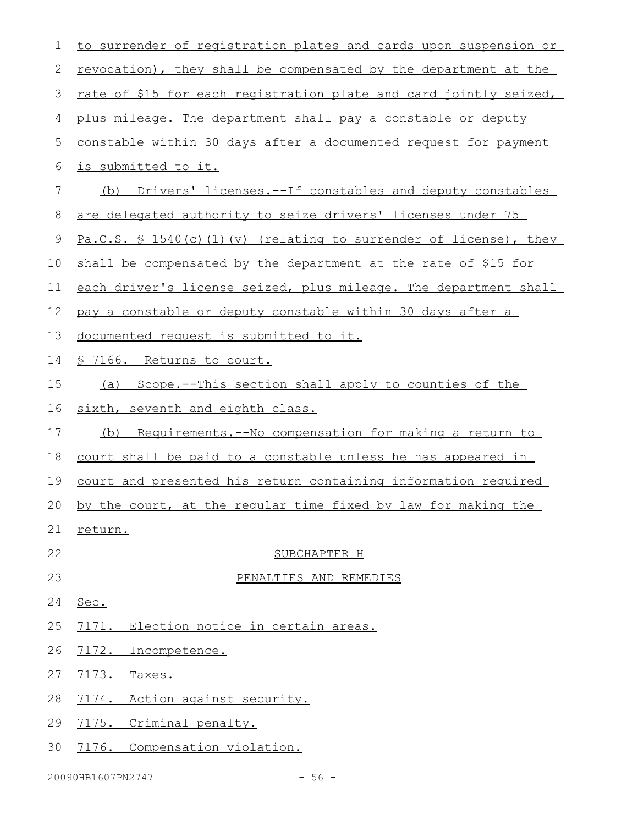| $\mathbf 1$ | to surrender of registration plates and cards upon suspension or         |
|-------------|--------------------------------------------------------------------------|
| 2           | <u>revocation), they shall be compensated by the department at the</u>   |
| 3           | rate of \$15 for each registration plate and card jointly seized,        |
| 4           | plus mileage. The department shall pay a constable or deputy             |
| 5           | constable within 30 days after a documented request for payment          |
| 6           | is submitted to it.                                                      |
| 7           | Drivers' licenses.--If constables and deputy constables<br>(b)           |
| 8           | are delegated authority to seize drivers' licenses under 75              |
| 9           | <u>Pa.C.S. § 1540(c)(1)(v) (relating to surrender of license)</u> , they |
| 10          | shall be compensated by the department at the rate of \$15 for           |
| 11          | each driver's license seized, plus mileage. The department shall         |
| 12          | pay a constable or deputy constable within 30 days after a               |
| 13          | documented request is submitted to it.                                   |
| 14          | <u>§ 7166. Returns to court.</u>                                         |
| 15          | (a) Scope.--This section shall apply to counties of the                  |
| 16          | sixth, seventh and eighth class.                                         |
| 17          | <u>Requirements.--No compensation for making a return to</u><br>(b)      |
| 18          | court shall be paid to a constable unless he has appeared in             |
| 19          | court and presented his return containing information required           |
| 20          | by the court, at the regular time fixed by law for making the            |
| 21          | return.                                                                  |
| 22          | SUBCHAPTER H                                                             |
| 23          | PENALTIES AND REMEDIES                                                   |
| 24          | Sec.                                                                     |
| 25          | 7171. Election notice in certain areas.                                  |
| 26          | 7172. Incompetence.                                                      |
| 27          | 7173.<br>Taxes.                                                          |
| 28          | 7174. Action against security.                                           |
| 29          | 7175. Criminal penalty.                                                  |
| 30          | 7176. Compensation violation.                                            |
|             |                                                                          |

20090HB1607PN2747 - 56 -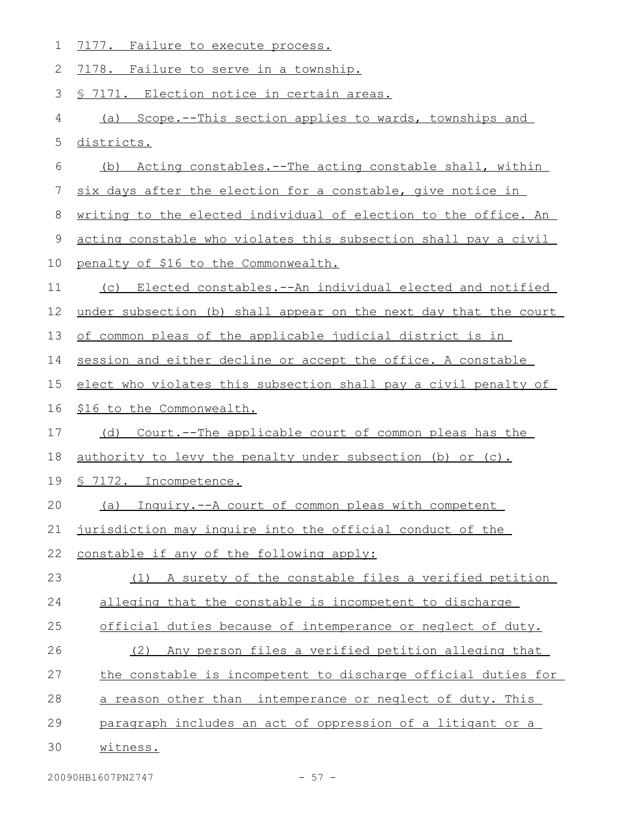| 1           | 7177. Failure to execute process.                                |
|-------------|------------------------------------------------------------------|
| 2           | 7178. Failure to serve in a township.                            |
| 3           | <u>S 7171. Election notice in certain areas.</u>                 |
| 4           | (a) Scope.--This section applies to wards, townships and         |
| 5           | districts.                                                       |
| 6           | (b) Acting constables.--The acting constable shall, within       |
| 7           | six days after the election for a constable, give notice in      |
| 8           | writing to the elected individual of election to the office. An  |
| $\mathsf 9$ | acting constable who violates this subsection shall pay a civil  |
| 10          | penalty of \$16 to the Commonwealth.                             |
| 11          | (c) Elected constables.--An individual elected and notified      |
| 12          | under subsection (b) shall appear on the next day that the court |
| 13          | of common pleas of the applicable judicial district is in        |
| 14          | session and either decline or accept the office. A constable     |
| 15          | elect who violates this subsection shall pay a civil penalty of  |
| 16          | \$16 to the Commonwealth.                                        |
| 17          | Court.--The applicable court of common pleas has the<br>(d)      |
| 18          | authority to levy the penalty under subsection (b) or (c).       |
| 19          | 7172. Incompetence.                                              |
| 20          | Inquiry.--A court of common pleas with competent<br>(a)          |
| 21          | jurisdiction may inquire into the official conduct of the        |
| 22          | constable if any of the following apply:                         |
| 23          | A surety of the constable files a verified petition<br>(1)       |
| 24          | alleging that the constable is incompetent to discharge          |
| 25          | official duties because of intemperance or neglect of duty.      |
| 26          | (2) Any person files a verified petition alleging that           |
| 27          | the constable is incompetent to discharge official duties for    |
| 28          | a reason other than intemperance or neglect of duty. This        |
| 29          | paragraph includes an act of oppression of a litigant or a       |
| 30          | witness.                                                         |
|             |                                                                  |

20090HB1607PN2747 - 57 -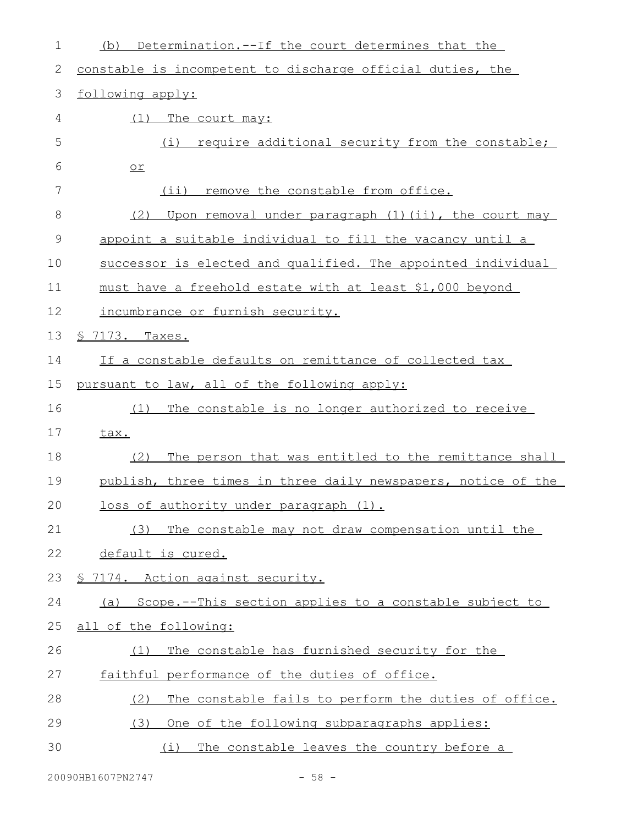| Determination.--If the court determines that the<br>(b)       |
|---------------------------------------------------------------|
| constable is incompetent to discharge official duties, the    |
| following apply:                                              |
| (1)<br>The court may:                                         |
| require additional security from the constable;<br>(i)        |
| $or$                                                          |
| (ii) remove the constable from office.                        |
| Upon removal under paragraph (1)(ii), the court may<br>(2)    |
| appoint a suitable individual to fill the vacancy until a     |
| successor is elected and qualified. The appointed individual  |
| must have a freehold estate with at least \$1,000 beyond      |
| incumbrance or furnish security.                              |
| <u>S 7173. Taxes.</u>                                         |
| If a constable defaults on remittance of collected tax        |
| pursuant to law, all of the following apply:                  |
| The constable is no longer authorized to receive<br>(1)       |
| tax.                                                          |
| The person that was entitled to the remittance shall<br>(2)   |
| publish, three times in three daily newspapers, notice of the |
| loss of authority under paragraph (1).                        |
| The constable may not draw compensation until the<br>(3)      |
| default is cured.                                             |
| § 7174. Action against security.                              |
| Scope.--This section applies to a constable subject to<br>(a) |
| all of the following:                                         |
| The constable has furnished security for the<br>(1)           |
| faithful performance of the duties of office.                 |
| The constable fails to perform the duties of office.<br>(2)   |
| One of the following subparagraphs applies:<br>(3)            |
| The constable leaves the country before a<br>(i)              |
|                                                               |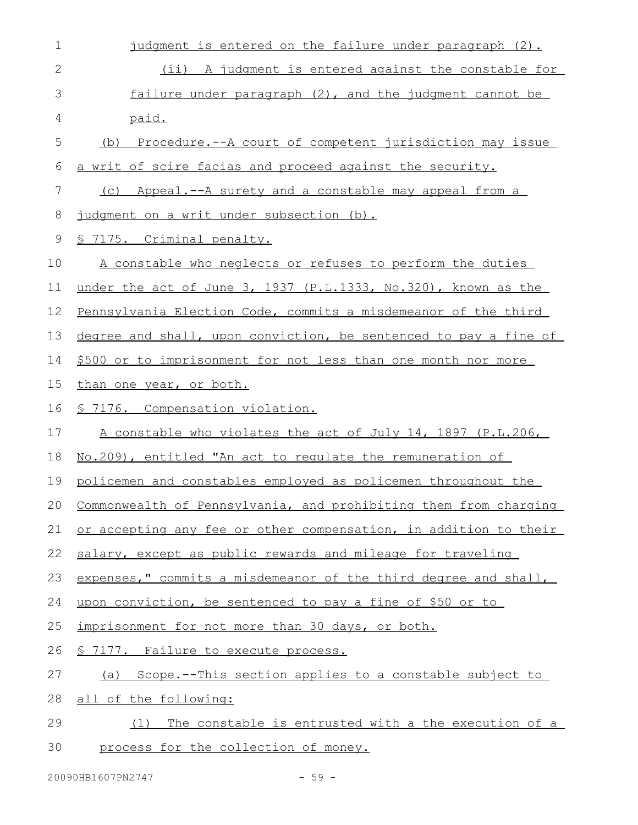| 1            | judgment is entered on the failure under paragraph (2).          |
|--------------|------------------------------------------------------------------|
| $\mathbf{2}$ | (ii) A judgment is entered against the constable for             |
| 3            | failure under paragraph (2), and the judgment cannot be          |
| 4            | paid.                                                            |
| 5            | (b) Procedure.--A court of competent jurisdiction may issue      |
| 6            | a writ of scire facias and proceed against the security.         |
| 7            | (c) Appeal.--A surety and a constable may appeal from a          |
| 8            | judgment on a writ under subsection (b).                         |
| $\mathsf 9$  | <u>§ 7175. Criminal penalty.</u>                                 |
| 10           | A constable who neglects or refuses to perform the duties        |
| 11           | under the act of June 3, 1937 (P.L.1333, No.320), known as the   |
| 12           | Pennsylvania Election Code, commits a misdemeanor of the third   |
| 13           | degree and shall, upon conviction, be sentenced to pay a fine of |
| 14           | \$500 or to imprisonment for not less than one month nor more    |
| 15           | than one year, or both.                                          |
| 16           | <u>S 7176. Compensation violation.</u>                           |
| 17           | A constable who violates the act of July 14, 1897 (P.L.206,      |
| 18           | No. 209), entitled "An act to regulate the remuneration of       |
| 19           | policemen and constables employed as policemen throughout the    |
| 20           | Commonwealth of Pennsylvania, and prohibiting them from charging |
| 21           | or accepting any fee or other compensation, in addition to their |
| 22           | salary, except as public rewards and mileage for traveling       |
| 23           | expenses," commits a misdemeanor of the third degree and shall,  |
| 24           | upon conviction, be sentenced to pay a fine of \$50 or to        |
| 25           | imprisonment for not more than 30 days, or both.                 |
| 26           | <u>S 7177. Failure to execute process.</u>                       |
| 27           | (a) Scope.--This section applies to a constable subject to       |
| 28           |                                                                  |
|              | all of the following:                                            |
| 29           | The constable is entrusted with a the execution of a<br>(1)      |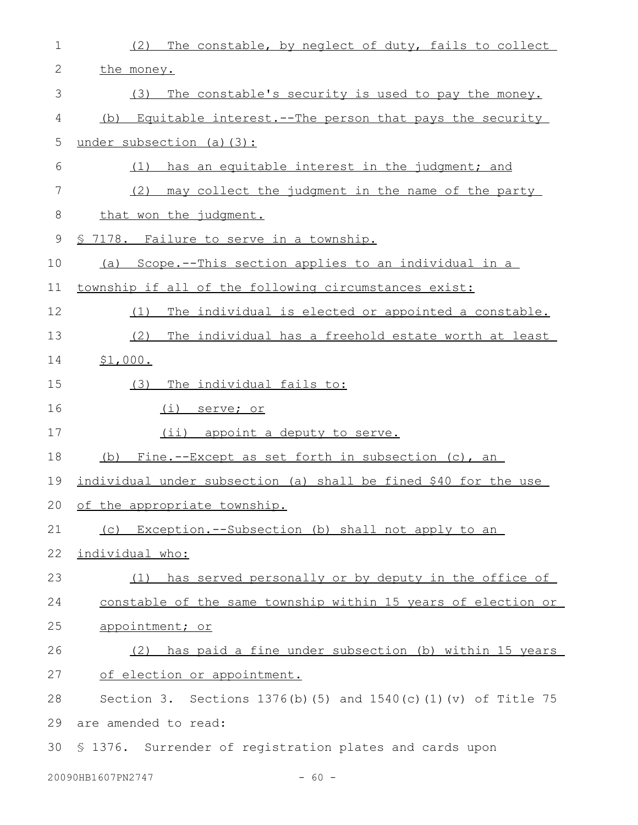| $\mathbf 1$ | (2)<br>The constable, by neglect of duty, fails to collect          |
|-------------|---------------------------------------------------------------------|
| 2           | the money.                                                          |
| 3           | The constable's security is used to pay the money.<br>(3)           |
| 4           | (b) Equitable interest. -- The person that pays the security        |
| 5           | under subsection (a) (3):                                           |
| 6           | has an equitable interest in the judgment; and<br>(1)               |
| 7           | (2)<br>may collect the judgment in the name of the party            |
| 8           | that won the judgment.                                              |
| $\mathsf 9$ | <u>§ 7178. Failure to serve in a township.</u>                      |
| 10          | (a) Scope.--This section applies to an individual in a              |
| 11          | township if all of the following circumstances exist:               |
| 12          | The individual is elected or appointed a constable.<br>(1)          |
| 13          | (2)<br>The individual has a freehold estate worth at least          |
| 14          | \$1,000.                                                            |
| 15          | The individual fails to:<br>(3)                                     |
| 16          | <u>(i) serve; or</u>                                                |
| 17          | $(i$ i)<br>appoint a deputy to serve.                               |
| 18          | (b) Fine.--Except as set forth in subsection (c), an                |
| 19          | individual under subsection (a) shall be fined \$40 for the use     |
|             | 20 of the appropriate township.                                     |
| 21          | (c) Exception.--Subsection (b) shall not apply to an                |
| 22          | individual who:                                                     |
| 23          | (1) has served personally or by deputy in the office of             |
| 24          | constable of the same township within 15 years of election or       |
| 25          | appointment; or                                                     |
| 26          | (2) has paid a fine under subsection (b) within 15 years            |
| 27          | of election or appointment.                                         |
| 28          | Section 3. Sections $1376(b)$ (5) and $1540(c)$ (1) (v) of Title 75 |
| 29          | are amended to read:                                                |
| 30          | \$ 1376. Surrender of registration plates and cards upon            |
|             | 20090HB1607PN2747<br>$-60 -$                                        |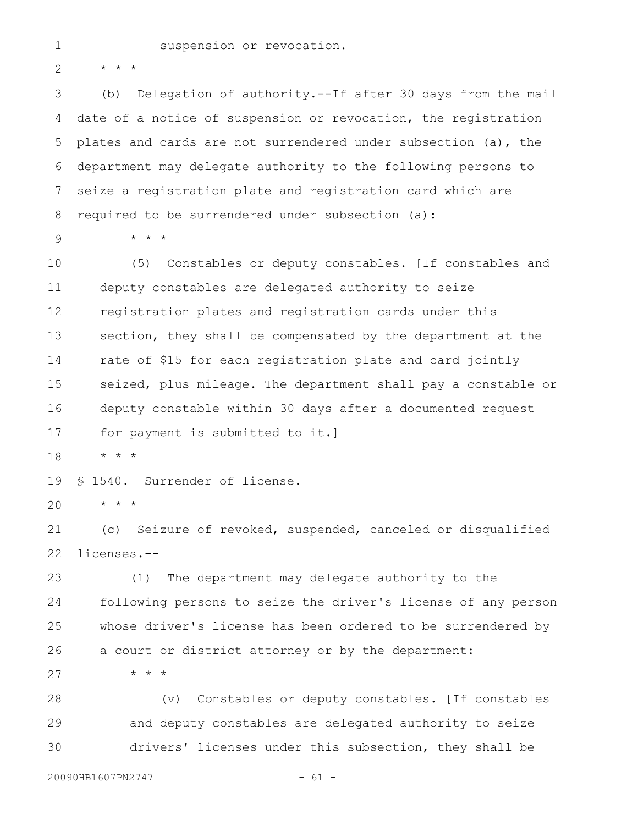\* \* \* 2

1

(b) Delegation of authority.--If after 30 days from the mail date of a notice of suspension or revocation, the registration plates and cards are not surrendered under subsection (a), the department may delegate authority to the following persons to seize a registration plate and registration card which are required to be surrendered under subsection (a): 3 4 5 6 7 8

9

\* \* \*

(5) Constables or deputy constables. [If constables and deputy constables are delegated authority to seize registration plates and registration cards under this section, they shall be compensated by the department at the rate of \$15 for each registration plate and card jointly seized, plus mileage. The department shall pay a constable or deputy constable within 30 days after a documented request for payment is submitted to it.] 10 11 12 13 14 15 16 17

\* \* \* 18

§ 1540. Surrender of license. 19

\* \* \* 20

(c) Seizure of revoked, suspended, canceled or disqualified licenses.-- 21 22

(1) The department may delegate authority to the following persons to seize the driver's license of any person whose driver's license has been ordered to be surrendered by a court or district attorney or by the department: 23 24 25 26

\* \* \* 27

(v) Constables or deputy constables. [If constables and deputy constables are delegated authority to seize drivers' licenses under this subsection, they shall be 28 29 30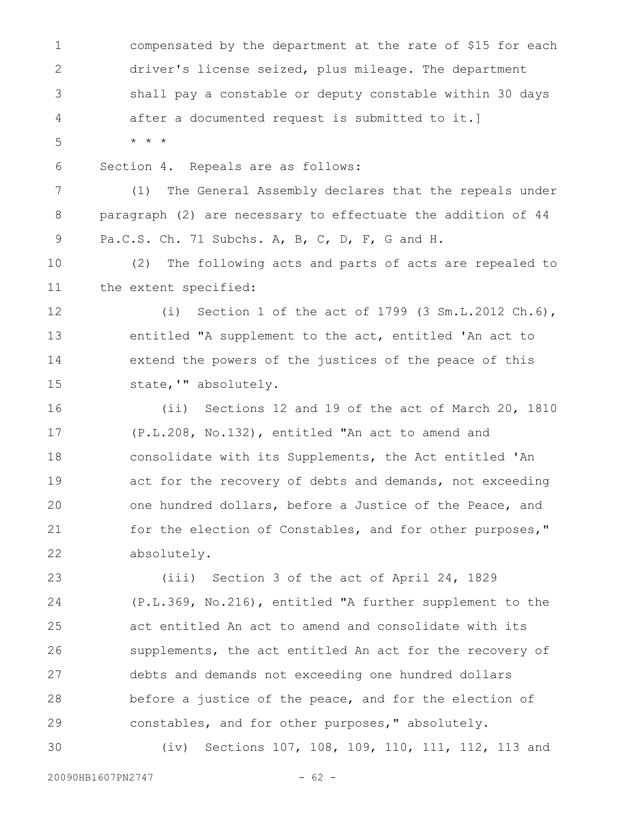compensated by the department at the rate of \$15 for each driver's license seized, plus mileage. The department shall pay a constable or deputy constable within 30 days after a documented request is submitted to it.] \* \* \* Section 4. Repeals are as follows: (1) The General Assembly declares that the repeals under paragraph (2) are necessary to effectuate the addition of 44 Pa.C.S. Ch. 71 Subchs. A, B, C, D, F, G and H. (2) The following acts and parts of acts are repealed to the extent specified: (i) Section 1 of the act of 1799 (3 Sm.L.2012 Ch.6), entitled "A supplement to the act, entitled 'An act to extend the powers of the justices of the peace of this state,'" absolutely. (ii) Sections 12 and 19 of the act of March 20, 1810 (P.L.208, No.132), entitled "An act to amend and consolidate with its Supplements, the Act entitled 'An act for the recovery of debts and demands, not exceeding one hundred dollars, before a Justice of the Peace, and for the election of Constables, and for other purposes," absolutely. (iii) Section 3 of the act of April 24, 1829 1 2 3 4 5 6 7 8 9 10 11 12 13 14 15 16 17 18 19 20 21 22 23

(P.L.369, No.216), entitled "A further supplement to the act entitled An act to amend and consolidate with its supplements, the act entitled An act for the recovery of debts and demands not exceeding one hundred dollars before a justice of the peace, and for the election of constables, and for other purposes," absolutely. 24 25 26 27 28 29

(iv) Sections 107, 108, 109, 110, 111, 112, 113 and 30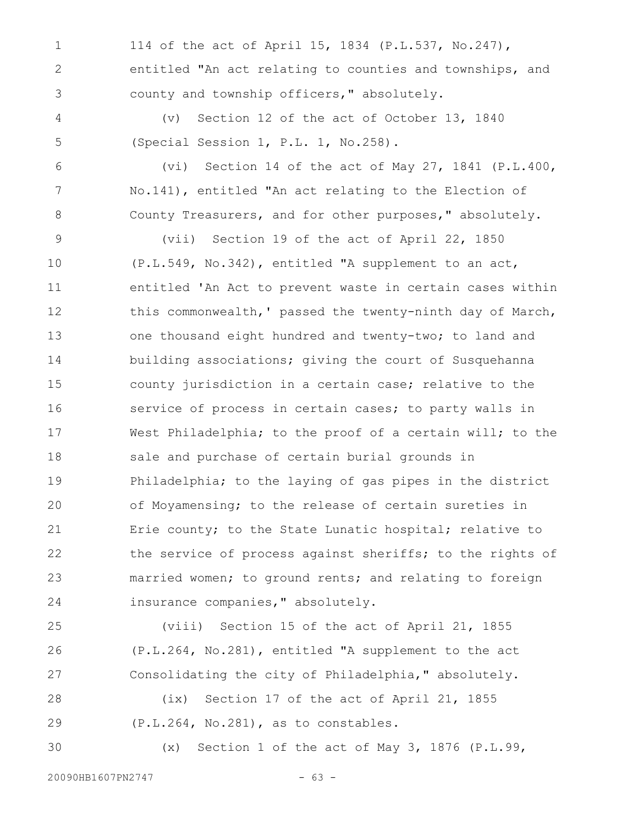114 of the act of April 15, 1834 (P.L.537, No.247), entitled "An act relating to counties and townships, and county and township officers," absolutely. 1 2 3

(v) Section 12 of the act of October 13, 1840 (Special Session 1, P.L. 1, No.258). 4 5

(vi) Section 14 of the act of May 27, 1841 (P.L.400, No.141), entitled "An act relating to the Election of County Treasurers, and for other purposes," absolutely. 6 7 8

(vii) Section 19 of the act of April 22, 1850 (P.L.549, No.342), entitled "A supplement to an act, entitled 'An Act to prevent waste in certain cases within this commonwealth,' passed the twenty-ninth day of March, one thousand eight hundred and twenty-two; to land and building associations; giving the court of Susquehanna county jurisdiction in a certain case; relative to the service of process in certain cases; to party walls in West Philadelphia; to the proof of a certain will; to the sale and purchase of certain burial grounds in Philadelphia; to the laying of gas pipes in the district of Moyamensing; to the release of certain sureties in Erie county; to the State Lunatic hospital; relative to the service of process against sheriffs; to the rights of married women; to ground rents; and relating to foreign insurance companies," absolutely. 9 10 11 12 13 14 15 16 17 18 19 20 21 22 23 24

(viii) Section 15 of the act of April 21, 1855 (P.L.264, No.281), entitled "A supplement to the act Consolidating the city of Philadelphia," absolutely. 25 26 27

(ix) Section 17 of the act of April 21, 1855 (P.L.264, No.281), as to constables. 28 29

(x) Section 1 of the act of May 3, 1876 (P.L.99,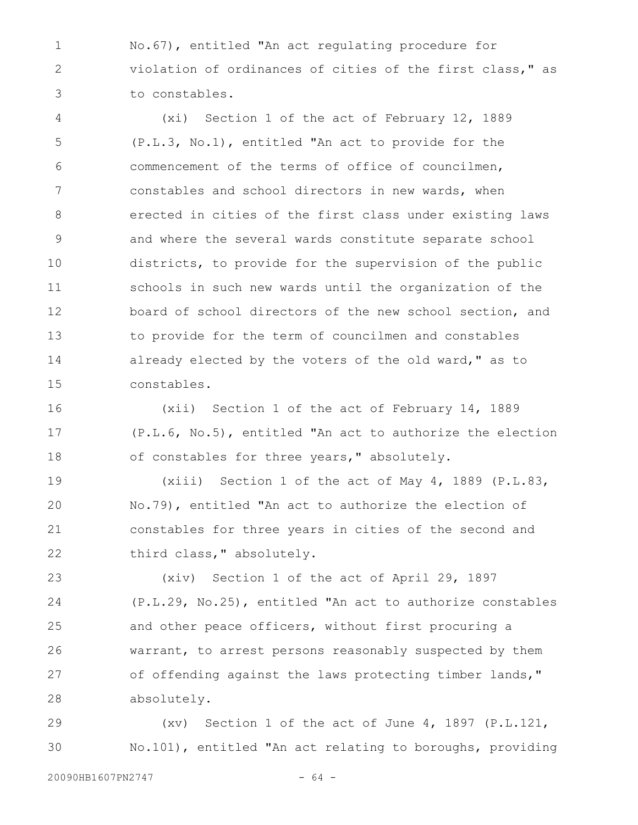No.67), entitled "An act regulating procedure for violation of ordinances of cities of the first class," as to constables. 1 2 3

(xi) Section 1 of the act of February 12, 1889 (P.L.3, No.1), entitled "An act to provide for the commencement of the terms of office of councilmen, constables and school directors in new wards, when erected in cities of the first class under existing laws and where the several wards constitute separate school districts, to provide for the supervision of the public schools in such new wards until the organization of the board of school directors of the new school section, and to provide for the term of councilmen and constables already elected by the voters of the old ward," as to constables. 4 5 6 7 8 9 10 11 12 13 14 15

(xii) Section 1 of the act of February 14, 1889 (P.L.6, No.5), entitled "An act to authorize the election of constables for three years," absolutely. 16 17 18

(xiii) Section 1 of the act of May 4, 1889 (P.L.83, No.79), entitled "An act to authorize the election of constables for three years in cities of the second and third class," absolutely. 19 20 21 22

(xiv) Section 1 of the act of April 29, 1897 (P.L.29, No.25), entitled "An act to authorize constables and other peace officers, without first procuring a warrant, to arrest persons reasonably suspected by them of offending against the laws protecting timber lands," absolutely. 23 24 25 26 27 28

(xv) Section 1 of the act of June 4, 1897 (P.L.121, No.101), entitled "An act relating to boroughs, providing 29 30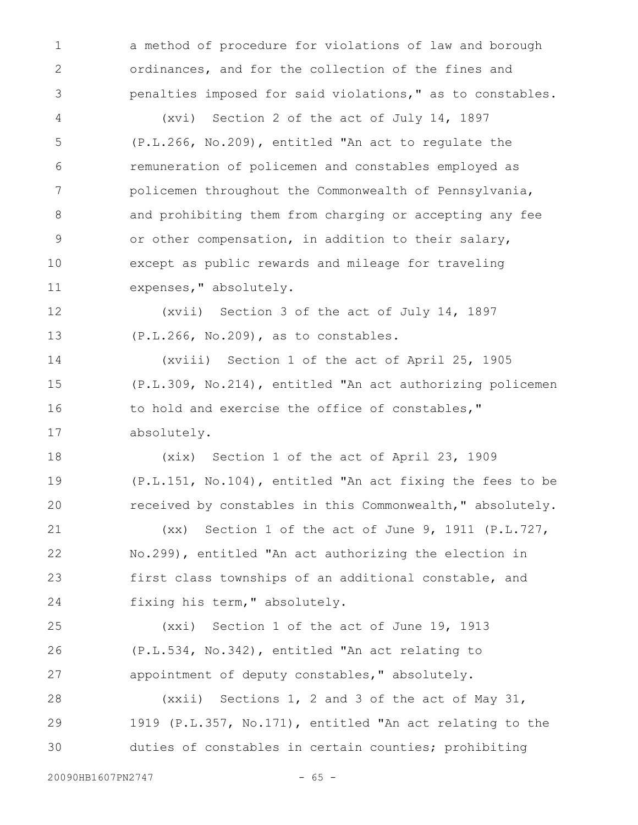a method of procedure for violations of law and borough ordinances, and for the collection of the fines and penalties imposed for said violations," as to constables.

(xvi) Section 2 of the act of July 14, 1897 (P.L.266, No.209), entitled "An act to regulate the remuneration of policemen and constables employed as policemen throughout the Commonwealth of Pennsylvania, and prohibiting them from charging or accepting any fee or other compensation, in addition to their salary, except as public rewards and mileage for traveling expenses," absolutely. 4 5 6 7 8 9 10 11

(xvii) Section 3 of the act of July 14, 1897 (P.L.266, No.209), as to constables. 12 13

(xviii) Section 1 of the act of April 25, 1905 (P.L.309, No.214), entitled "An act authorizing policemen to hold and exercise the office of constables," absolutely. 14 15 16 17

(xix) Section 1 of the act of April 23, 1909 (P.L.151, No.104), entitled "An act fixing the fees to be received by constables in this Commonwealth," absolutely. 18 19 20

(xx) Section 1 of the act of June 9, 1911 (P.L.727, No.299), entitled "An act authorizing the election in first class townships of an additional constable, and fixing his term," absolutely. 21 22 23 24

(xxi) Section 1 of the act of June 19, 1913 (P.L.534, No.342), entitled "An act relating to appointment of deputy constables," absolutely. 25 26 27

(xxii) Sections 1, 2 and 3 of the act of May 31, 1919 (P.L.357, No.171), entitled "An act relating to the duties of constables in certain counties; prohibiting 28 29 30

1

2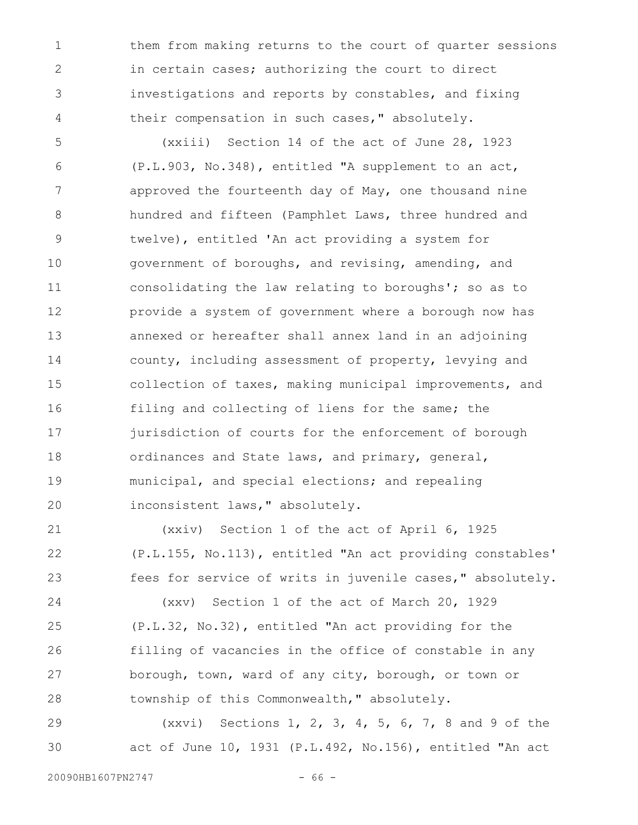them from making returns to the court of quarter sessions in certain cases; authorizing the court to direct investigations and reports by constables, and fixing their compensation in such cases," absolutely. 1 2 3 4

(xxiii) Section 14 of the act of June 28, 1923 (P.L.903, No.348), entitled "A supplement to an act, approved the fourteenth day of May, one thousand nine hundred and fifteen (Pamphlet Laws, three hundred and twelve), entitled 'An act providing a system for government of boroughs, and revising, amending, and consolidating the law relating to boroughs'; so as to provide a system of government where a borough now has annexed or hereafter shall annex land in an adjoining county, including assessment of property, levying and collection of taxes, making municipal improvements, and filing and collecting of liens for the same; the jurisdiction of courts for the enforcement of borough ordinances and State laws, and primary, general, municipal, and special elections; and repealing inconsistent laws," absolutely. 5 6 7 8 9 10 11 12 13 14 15 16 17 18 19 20

(xxiv) Section 1 of the act of April 6, 1925 (P.L.155, No.113), entitled "An act providing constables' fees for service of writs in juvenile cases," absolutely. 21 22 23

(xxv) Section 1 of the act of March 20, 1929 (P.L.32, No.32), entitled "An act providing for the filling of vacancies in the office of constable in any borough, town, ward of any city, borough, or town or township of this Commonwealth," absolutely. 24 25 26 27 28

(xxvi) Sections 1, 2, 3, 4, 5, 6, 7, 8 and 9 of the act of June 10, 1931 (P.L.492, No.156), entitled "An act 29 30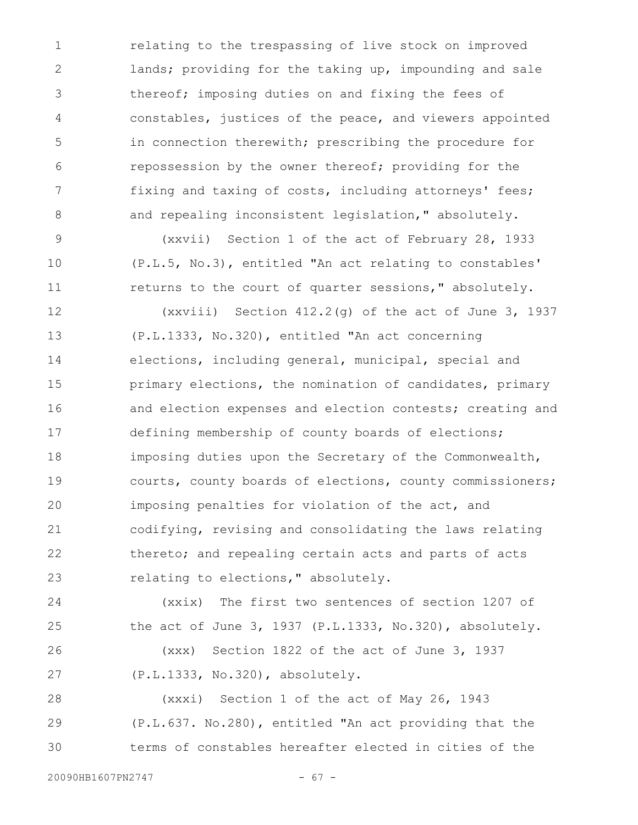relating to the trespassing of live stock on improved lands; providing for the taking up, impounding and sale thereof; imposing duties on and fixing the fees of constables, justices of the peace, and viewers appointed in connection therewith; prescribing the procedure for repossession by the owner thereof; providing for the fixing and taxing of costs, including attorneys' fees; and repealing inconsistent legislation," absolutely. 1 2 3 4 5 6 7 8

(xxvii) Section 1 of the act of February 28, 1933 (P.L.5, No.3), entitled "An act relating to constables' returns to the court of quarter sessions," absolutely.

(xxviii) Section 412.2(g) of the act of June 3, 1937 (P.L.1333, No.320), entitled "An act concerning elections, including general, municipal, special and primary elections, the nomination of candidates, primary and election expenses and election contests; creating and defining membership of county boards of elections; imposing duties upon the Secretary of the Commonwealth, courts, county boards of elections, county commissioners; imposing penalties for violation of the act, and codifying, revising and consolidating the laws relating thereto; and repealing certain acts and parts of acts relating to elections," absolutely. 12 13 14 15 16 17 18 19 20 21 22 23

(xxix) The first two sentences of section 1207 of the act of June 3, 1937 (P.L.1333, No.320), absolutely. (xxx) Section 1822 of the act of June 3, 1937 (P.L.1333, No.320), absolutely. 24 25 26 27

(xxxi) Section 1 of the act of May 26, 1943 (P.L.637. No.280), entitled "An act providing that the terms of constables hereafter elected in cities of the 28 29 30

9

10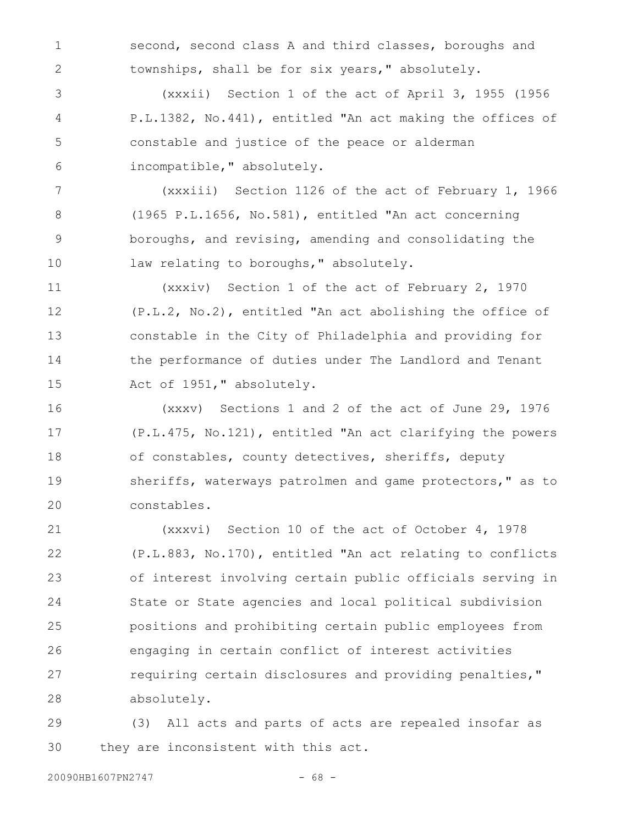second, second class A and third classes, boroughs and townships, shall be for six years," absolutely.

(xxxii) Section 1 of the act of April 3, 1955 (1956 P.L.1382, No.441), entitled "An act making the offices of constable and justice of the peace or alderman incompatible," absolutely. 3 4 5 6

(xxxiii) Section 1126 of the act of February 1, 1966 (1965 P.L.1656, No.581), entitled "An act concerning boroughs, and revising, amending and consolidating the law relating to boroughs, " absolutely. 7 8 9 10

(xxxiv) Section 1 of the act of February 2, 1970 (P.L.2, No.2), entitled "An act abolishing the office of constable in the City of Philadelphia and providing for the performance of duties under The Landlord and Tenant Act of 1951," absolutely. 11 12 13 14 15

(xxxv) Sections 1 and 2 of the act of June 29, 1976 (P.L.475, No.121), entitled "An act clarifying the powers of constables, county detectives, sheriffs, deputy sheriffs, waterways patrolmen and game protectors," as to constables. 16 17 18 19 20

(xxxvi) Section 10 of the act of October 4, 1978 (P.L.883, No.170), entitled "An act relating to conflicts of interest involving certain public officials serving in State or State agencies and local political subdivision positions and prohibiting certain public employees from engaging in certain conflict of interest activities requiring certain disclosures and providing penalties," absolutely. 21 22 23 24 25 26 27 28

(3) All acts and parts of acts are repealed insofar as they are inconsistent with this act. 29 30

1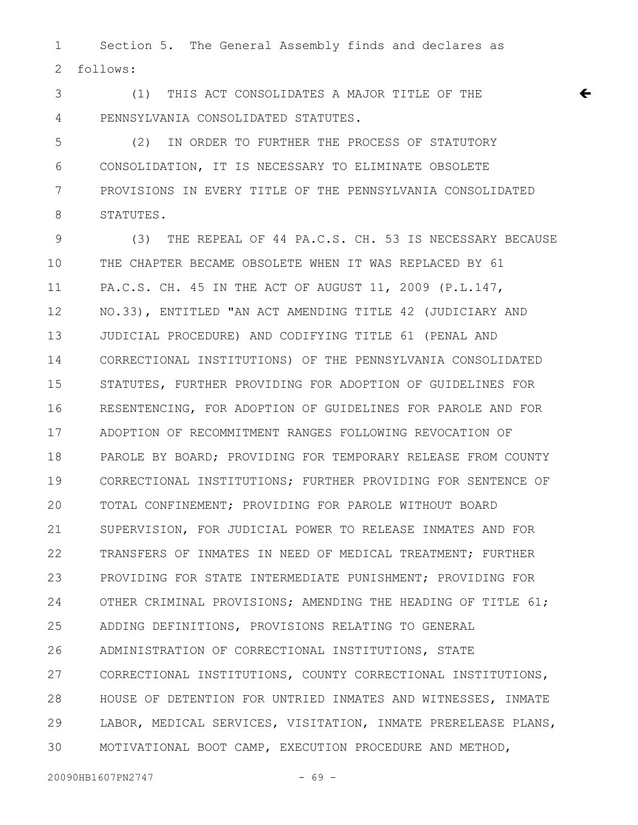Section 5. The General Assembly finds and declares as follows: 1 2

(1) THIS ACT CONSOLIDATES A MAJOR TITLE OF THE PENNSYLVANIA CONSOLIDATED STATUTES. 3 4

(2) IN ORDER TO FURTHER THE PROCESS OF STATUTORY CONSOLIDATION, IT IS NECESSARY TO ELIMINATE OBSOLETE PROVISIONS IN EVERY TITLE OF THE PENNSYLVANIA CONSOLIDATED STATUTES. 5 6 7 8

 $\leftarrow$ 

(3) THE REPEAL OF 44 PA.C.S. CH. 53 IS NECESSARY BECAUSE THE CHAPTER BECAME OBSOLETE WHEN IT WAS REPLACED BY 61 PA.C.S. CH. 45 IN THE ACT OF AUGUST 11, 2009 (P.L.147, NO.33), ENTITLED "AN ACT AMENDING TITLE 42 (JUDICIARY AND JUDICIAL PROCEDURE) AND CODIFYING TITLE 61 (PENAL AND CORRECTIONAL INSTITUTIONS) OF THE PENNSYLVANIA CONSOLIDATED STATUTES, FURTHER PROVIDING FOR ADOPTION OF GUIDELINES FOR RESENTENCING, FOR ADOPTION OF GUIDELINES FOR PAROLE AND FOR ADOPTION OF RECOMMITMENT RANGES FOLLOWING REVOCATION OF PAROLE BY BOARD; PROVIDING FOR TEMPORARY RELEASE FROM COUNTY CORRECTIONAL INSTITUTIONS; FURTHER PROVIDING FOR SENTENCE OF TOTAL CONFINEMENT; PROVIDING FOR PAROLE WITHOUT BOARD SUPERVISION, FOR JUDICIAL POWER TO RELEASE INMATES AND FOR TRANSFERS OF INMATES IN NEED OF MEDICAL TREATMENT; FURTHER PROVIDING FOR STATE INTERMEDIATE PUNISHMENT; PROVIDING FOR OTHER CRIMINAL PROVISIONS; AMENDING THE HEADING OF TITLE 61; ADDING DEFINITIONS, PROVISIONS RELATING TO GENERAL ADMINISTRATION OF CORRECTIONAL INSTITUTIONS, STATE CORRECTIONAL INSTITUTIONS, COUNTY CORRECTIONAL INSTITUTIONS, HOUSE OF DETENTION FOR UNTRIED INMATES AND WITNESSES, INMATE LABOR, MEDICAL SERVICES, VISITATION, INMATE PRERELEASE PLANS, MOTIVATIONAL BOOT CAMP, EXECUTION PROCEDURE AND METHOD, 9 10 11 12 13 14 15 16 17 18 19 20 21 22 23 24 25 26 27 28 29 30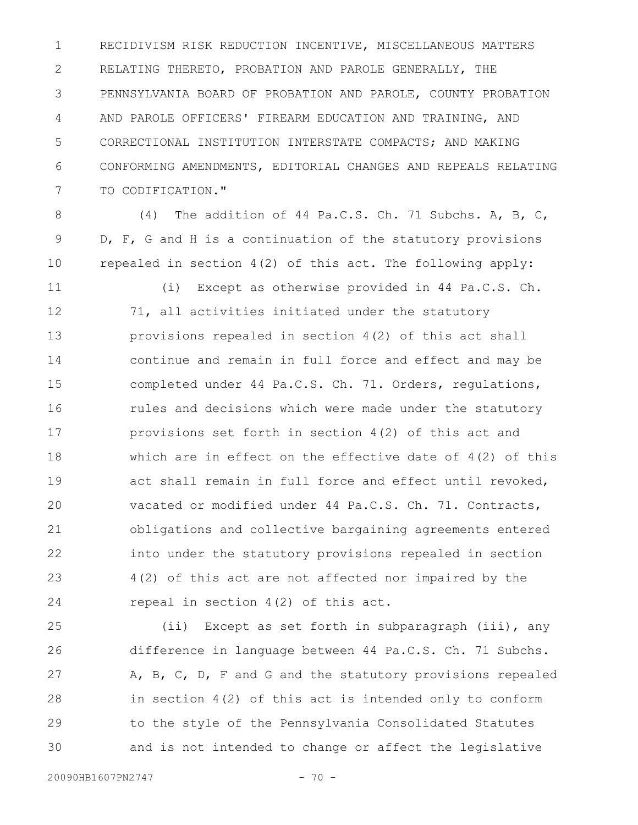RECIDIVISM RISK REDUCTION INCENTIVE, MISCELLANEOUS MATTERS RELATING THERETO, PROBATION AND PAROLE GENERALLY, THE PENNSYLVANIA BOARD OF PROBATION AND PAROLE, COUNTY PROBATION AND PAROLE OFFICERS' FIREARM EDUCATION AND TRAINING, AND CORRECTIONAL INSTITUTION INTERSTATE COMPACTS; AND MAKING CONFORMING AMENDMENTS, EDITORIAL CHANGES AND REPEALS RELATING TO CODIFICATION." 1 2 3 4 5 6 7

 (4) The addition of 44 Pa.C.S. Ch. 71 Subchs. A, B, C, D, F, G and H is a continuation of the statutory provisions repealed in section 4(2) of this act. The following apply: 8 9 10

(i) Except as otherwise provided in 44 Pa.C.S. Ch. 71, all activities initiated under the statutory provisions repealed in section 4(2) of this act shall continue and remain in full force and effect and may be completed under 44 Pa.C.S. Ch. 71. Orders, regulations, rules and decisions which were made under the statutory provisions set forth in section 4(2) of this act and which are in effect on the effective date of 4(2) of this act shall remain in full force and effect until revoked, vacated or modified under 44 Pa.C.S. Ch. 71. Contracts, obligations and collective bargaining agreements entered into under the statutory provisions repealed in section 4(2) of this act are not affected nor impaired by the repeal in section 4(2) of this act. 11 12 13 14 15 16 17 18 19 20 21 22 23 24

(ii) Except as set forth in subparagraph (iii), any difference in language between 44 Pa.C.S. Ch. 71 Subchs. A, B, C, D, F and G and the statutory provisions repealed in section 4(2) of this act is intended only to conform to the style of the Pennsylvania Consolidated Statutes and is not intended to change or affect the legislative 25 26 27 28 29 30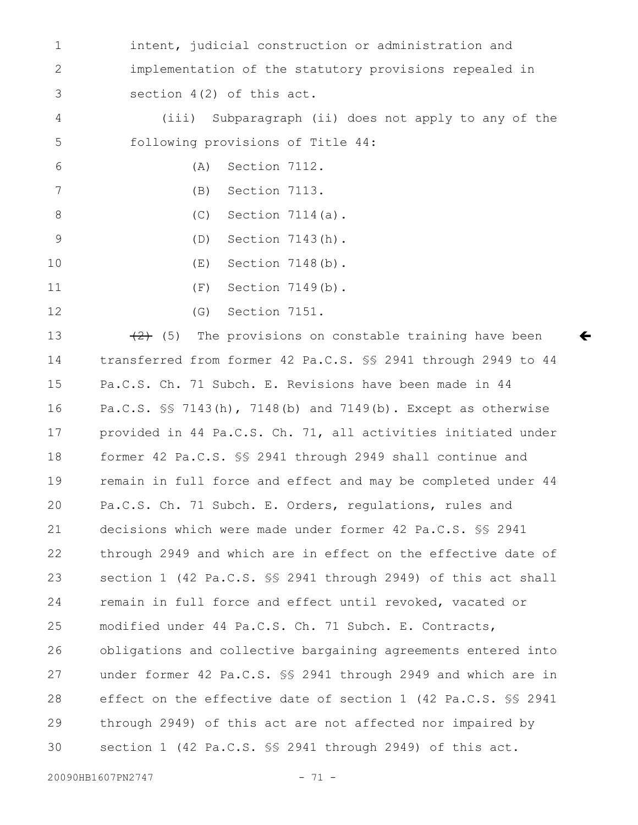intent, judicial construction or administration and implementation of the statutory provisions repealed in section 4(2) of this act. 1 2 3

(iii) Subparagraph (ii) does not apply to any of the following provisions of Title 44: 4 5

 $\leftarrow$ 

(A) Section 7112.

(B) Section 7113. 7

(C) Section 7114(a). 8

(D) Section 7143(h). 9

(E) Section 7148(b). 10

(F) Section 7149(b). 11

12

6

(G) Section 7151.

 $(2)$  (5) The provisions on constable training have been transferred from former 42 Pa.C.S. §§ 2941 through 2949 to 44 Pa.C.S. Ch. 71 Subch. E. Revisions have been made in 44 Pa.C.S. §§ 7143(h), 7148(b) and 7149(b). Except as otherwise provided in 44 Pa.C.S. Ch. 71, all activities initiated under former 42 Pa.C.S. §§ 2941 through 2949 shall continue and remain in full force and effect and may be completed under 44 Pa.C.S. Ch. 71 Subch. E. Orders, regulations, rules and decisions which were made under former 42 Pa.C.S. §§ 2941 through 2949 and which are in effect on the effective date of section 1 (42 Pa.C.S. §§ 2941 through 2949) of this act shall remain in full force and effect until revoked, vacated or modified under 44 Pa.C.S. Ch. 71 Subch. E. Contracts, obligations and collective bargaining agreements entered into under former 42 Pa.C.S. §§ 2941 through 2949 and which are in effect on the effective date of section 1 (42 Pa.C.S. §§ 2941 through 2949) of this act are not affected nor impaired by section 1 (42 Pa.C.S. §§ 2941 through 2949) of this act. 13 14 15 16 17 18 19 20 21 22 23 24 25 26 27 28 29 30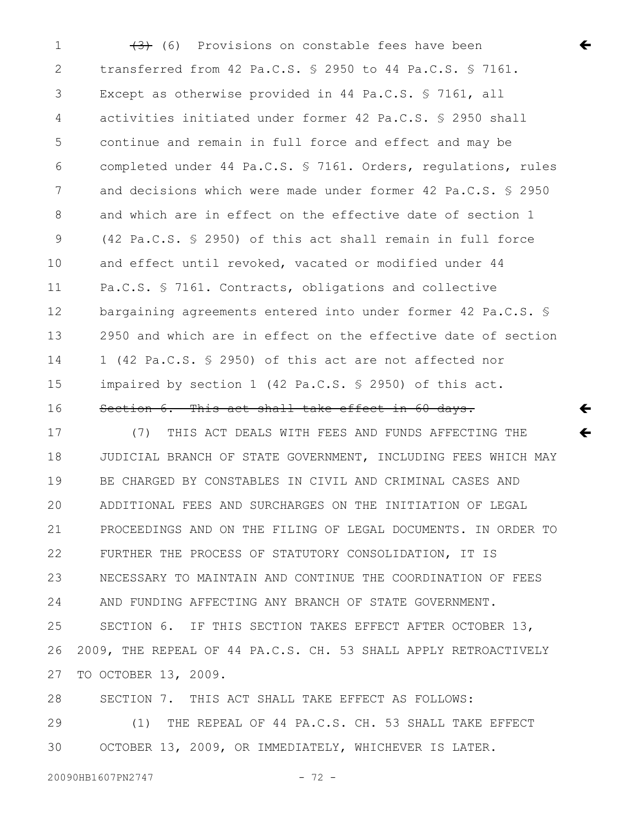$(3)$  (6) Provisions on constable fees have been transferred from 42 Pa.C.S. § 2950 to 44 Pa.C.S. § 7161. Except as otherwise provided in 44 Pa.C.S. § 7161, all activities initiated under former 42 Pa.C.S. § 2950 shall continue and remain in full force and effect and may be completed under 44 Pa.C.S. § 7161. Orders, regulations, rules and decisions which were made under former 42 Pa.C.S. § 2950 and which are in effect on the effective date of section 1 (42 Pa.C.S. § 2950) of this act shall remain in full force and effect until revoked, vacated or modified under 44 Pa.C.S. § 7161. Contracts, obligations and collective bargaining agreements entered into under former 42 Pa.C.S. § 2950 and which are in effect on the effective date of section 1 (42 Pa.C.S. § 2950) of this act are not affected nor impaired by section 1 (42 Pa.C.S. § 2950) of this act. Section 6. This act shall take effect in 60 days. 1 2 3 4 5 6 7 8 9 10 11 12 13 14 15 16

 $\leftarrow$ 

 $\leftarrow$ 

 $\leftarrow$ 

(7) THIS ACT DEALS WITH FEES AND FUNDS AFFECTING THE JUDICIAL BRANCH OF STATE GOVERNMENT, INCLUDING FEES WHICH MAY BE CHARGED BY CONSTABLES IN CIVIL AND CRIMINAL CASES AND ADDITIONAL FEES AND SURCHARGES ON THE INITIATION OF LEGAL PROCEEDINGS AND ON THE FILING OF LEGAL DOCUMENTS. IN ORDER TO FURTHER THE PROCESS OF STATUTORY CONSOLIDATION, IT IS NECESSARY TO MAINTAIN AND CONTINUE THE COORDINATION OF FEES AND FUNDING AFFECTING ANY BRANCH OF STATE GOVERNMENT. SECTION 6. IF THIS SECTION TAKES EFFECT AFTER OCTOBER 13, 2009, THE REPEAL OF 44 PA.C.S. CH. 53 SHALL APPLY RETROACTIVELY TO OCTOBER 13, 2009. SECTION 7. THIS ACT SHALL TAKE EFFECT AS FOLLOWS: 17 18 19 20 21 22 23 24 25 26 27 28

(1) THE REPEAL OF 44 PA.C.S. CH. 53 SHALL TAKE EFFECT OCTOBER 13, 2009, OR IMMEDIATELY, WHICHEVER IS LATER. 29 30